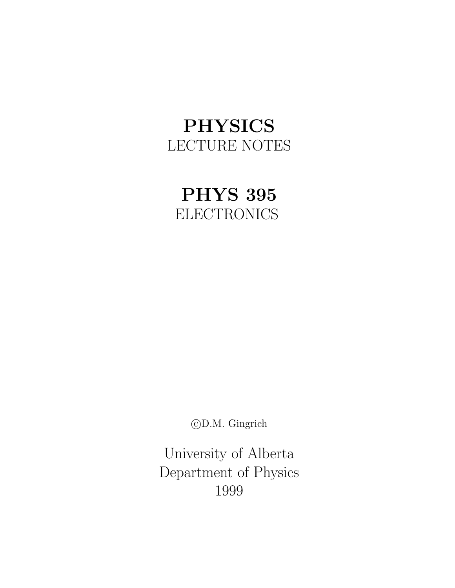# **PHYSICS** LECTURE NOTES

# **PHYS 395 ELECTRONICS**

c D.M. Gingrich

University of Alberta Department of Physics 1999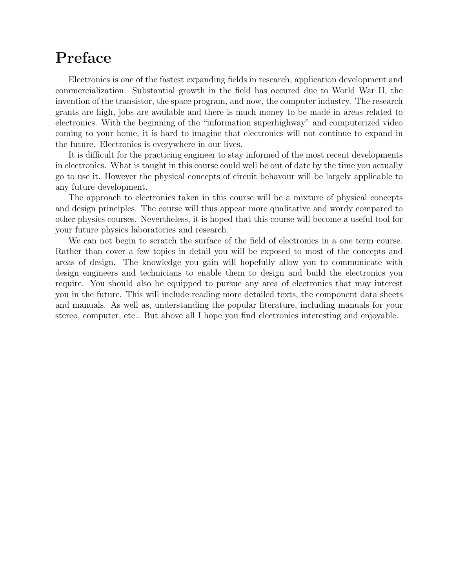# **Preface**

Electronics is one of the fastest expanding fields in research, application development and commercialization. Substantial growth in the field has occured due to World War II, the invention of the transistor, the space program, and now, the computer industry. The research grants are high, jobs are available and there is much money to be made in areas related to electronics. With the beginning of the "information superhighway" and computerized video coming to your home, it is hard to imagine that electronics will not continue to expand in the future. Electronics is everywhere in our lives.

It is difficult for the practicing engineer to stay informed of the most recent developments in electronics. What is taught in this course could well be out of date by the time you actually go to use it. However the physical concepts of circuit behavour will be largely applicable to any future development.

The approach to electronics taken in this course will be a mixture of physical concepts and design principles. The course will thus appear more qualitative and wordy compared to other physics courses. Nevertheless, it is hoped that this course will become a useful tool for your future physics laboratories and research.

We can not begin to scratch the surface of the field of electronics in a one term course. Rather than cover a few topics in detail you will be exposed to most of the concepts and areas of design. The knowledge you gain will hopefully allow you to communicate with design engineers and technicians to enable them to design and build the electronics you require. You should also be equipped to pursue any area of electronics that may interest you in the future. This will include reading more detailed texts, the component data sheets and manuals. As well as, understanding the popular literature, including manuals for your stereo, computer, etc.. But above all I hope you find electronics interesting and enjoyable.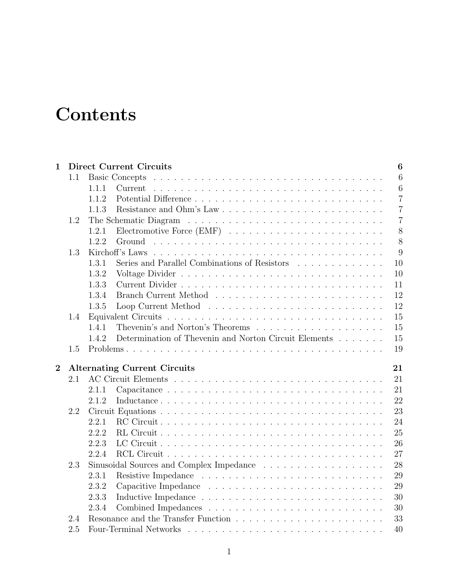# **Contents**

| $\mathbf{1}$   | <b>Direct Current Circuits</b><br>$\boldsymbol{6}$ |                                                                      |  |  |  |  |  |
|----------------|----------------------------------------------------|----------------------------------------------------------------------|--|--|--|--|--|
|                | 1.1                                                | <b>Basic Concepts</b>                                                |  |  |  |  |  |
|                |                                                    | 6<br>1.1.1<br>Current                                                |  |  |  |  |  |
|                |                                                    | $\overline{7}$<br>1.1.2                                              |  |  |  |  |  |
|                |                                                    | $\overline{7}$<br>1.1.3                                              |  |  |  |  |  |
|                | 1.2                                                | $\overline{7}$                                                       |  |  |  |  |  |
|                |                                                    | 8<br>1.2.1                                                           |  |  |  |  |  |
|                |                                                    | 8<br>1.2.2                                                           |  |  |  |  |  |
|                | 1.3                                                | 9                                                                    |  |  |  |  |  |
|                |                                                    | Series and Parallel Combinations of Resistors<br>10<br>1.3.1         |  |  |  |  |  |
|                |                                                    | 10<br>1.3.2                                                          |  |  |  |  |  |
|                |                                                    | 1.3.3<br>11                                                          |  |  |  |  |  |
|                |                                                    | 12<br>1.3.4                                                          |  |  |  |  |  |
|                |                                                    | 12<br>1.3.5                                                          |  |  |  |  |  |
|                | 1.4                                                | 15                                                                   |  |  |  |  |  |
|                |                                                    | 15<br>1.4.1                                                          |  |  |  |  |  |
|                |                                                    | Determination of Thevenin and Norton Circuit Elements<br>15<br>1.4.2 |  |  |  |  |  |
|                | 1.5                                                | 19                                                                   |  |  |  |  |  |
| $\overline{2}$ | 21<br><b>Alternating Current Circuits</b>          |                                                                      |  |  |  |  |  |
|                | 2.1                                                | 21                                                                   |  |  |  |  |  |
|                |                                                    | 21<br>2.1.1                                                          |  |  |  |  |  |
|                |                                                    | 22<br>2.1.2<br>Inductance                                            |  |  |  |  |  |
|                | 2.2                                                | 23                                                                   |  |  |  |  |  |
|                |                                                    | 24<br>2.2.1                                                          |  |  |  |  |  |
|                |                                                    | 25<br>2.2.2                                                          |  |  |  |  |  |
|                |                                                    | 26<br>2.2.3                                                          |  |  |  |  |  |
|                |                                                    | 27<br>2.2.4                                                          |  |  |  |  |  |
|                | 2.3                                                | 28                                                                   |  |  |  |  |  |
|                |                                                    | 29<br>2.3.1                                                          |  |  |  |  |  |
|                |                                                    | 29<br>2.3.2                                                          |  |  |  |  |  |
|                |                                                    | 2.3.3<br>30                                                          |  |  |  |  |  |
|                |                                                    | 30<br>2.3.4                                                          |  |  |  |  |  |
|                |                                                    | 33                                                                   |  |  |  |  |  |
|                | 2.4                                                |                                                                      |  |  |  |  |  |
|                | 2.5                                                | 40                                                                   |  |  |  |  |  |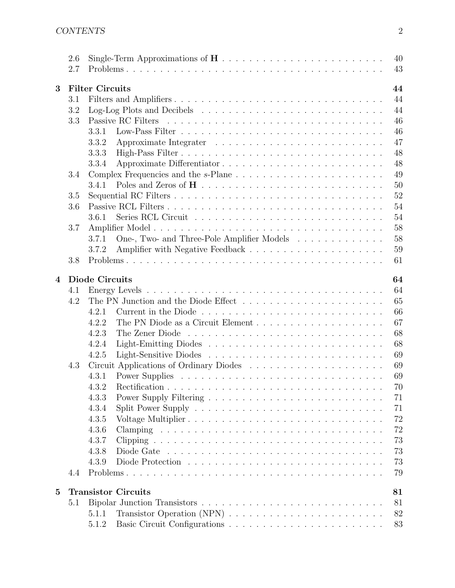|   | 2.6                          | 40                                                                                                    |  |  |  |  |  |  |  |  |
|---|------------------------------|-------------------------------------------------------------------------------------------------------|--|--|--|--|--|--|--|--|
|   | 2.7                          | 43                                                                                                    |  |  |  |  |  |  |  |  |
| 3 | 44<br><b>Filter Circuits</b> |                                                                                                       |  |  |  |  |  |  |  |  |
|   | 3.1                          | 44                                                                                                    |  |  |  |  |  |  |  |  |
|   | 3.2                          | 44                                                                                                    |  |  |  |  |  |  |  |  |
|   | 3.3                          | 46                                                                                                    |  |  |  |  |  |  |  |  |
|   |                              | 46<br>3.3.1                                                                                           |  |  |  |  |  |  |  |  |
|   |                              | 47<br>3.3.2                                                                                           |  |  |  |  |  |  |  |  |
|   |                              | 48<br>3.3.3                                                                                           |  |  |  |  |  |  |  |  |
|   |                              | 48<br>Approximate Differentiator<br>3.3.4                                                             |  |  |  |  |  |  |  |  |
|   | 3.4                          | 49                                                                                                    |  |  |  |  |  |  |  |  |
|   |                              | 50<br>3.4.1                                                                                           |  |  |  |  |  |  |  |  |
|   | 3.5                          | 52                                                                                                    |  |  |  |  |  |  |  |  |
|   | 3.6                          | 54                                                                                                    |  |  |  |  |  |  |  |  |
|   |                              | 54<br>3.6.1                                                                                           |  |  |  |  |  |  |  |  |
|   | 3.7                          | 58                                                                                                    |  |  |  |  |  |  |  |  |
|   |                              | 58<br>One-, Two- and Three-Pole Amplifier Models<br>3.7.1                                             |  |  |  |  |  |  |  |  |
|   |                              | 59<br>3.7.2                                                                                           |  |  |  |  |  |  |  |  |
|   | 3.8                          | 61                                                                                                    |  |  |  |  |  |  |  |  |
|   |                              |                                                                                                       |  |  |  |  |  |  |  |  |
| 4 |                              | Diode Circuits<br>64                                                                                  |  |  |  |  |  |  |  |  |
|   | 64<br>4.1                    |                                                                                                       |  |  |  |  |  |  |  |  |
|   | 4.2                          | 65                                                                                                    |  |  |  |  |  |  |  |  |
|   |                              | 66<br>4.2.1                                                                                           |  |  |  |  |  |  |  |  |
|   |                              | 67<br>4.2.2                                                                                           |  |  |  |  |  |  |  |  |
|   |                              | 4.2.3<br>68                                                                                           |  |  |  |  |  |  |  |  |
|   |                              | 68<br>4.2.4                                                                                           |  |  |  |  |  |  |  |  |
|   |                              | 69<br>4.2.5                                                                                           |  |  |  |  |  |  |  |  |
|   | 4.3                          | 69                                                                                                    |  |  |  |  |  |  |  |  |
|   |                              | 69<br>4.3.1                                                                                           |  |  |  |  |  |  |  |  |
|   |                              | 4.3.2<br>70                                                                                           |  |  |  |  |  |  |  |  |
|   |                              | 4.3.3<br>71                                                                                           |  |  |  |  |  |  |  |  |
|   |                              | 4.3.4<br>71<br>Split Power Supply $\dots \dots \dots \dots \dots \dots \dots \dots \dots \dots \dots$ |  |  |  |  |  |  |  |  |
|   |                              | 72<br>4.3.5<br>Voltage Multiplier                                                                     |  |  |  |  |  |  |  |  |
|   |                              | 72<br>4.3.6                                                                                           |  |  |  |  |  |  |  |  |
|   |                              | 73<br>4.3.7                                                                                           |  |  |  |  |  |  |  |  |
|   |                              | 73<br>4.3.8                                                                                           |  |  |  |  |  |  |  |  |
|   |                              |                                                                                                       |  |  |  |  |  |  |  |  |
|   |                              | 4.3.9<br>73                                                                                           |  |  |  |  |  |  |  |  |
|   | 4.4                          | 79                                                                                                    |  |  |  |  |  |  |  |  |
| 5 |                              | <b>Transistor Circuits</b><br>81                                                                      |  |  |  |  |  |  |  |  |
|   | 5.1                          | 81                                                                                                    |  |  |  |  |  |  |  |  |
|   |                              | Transistor Operation (NPN) $\ldots \ldots \ldots \ldots \ldots \ldots \ldots$<br>82<br>5.1.1          |  |  |  |  |  |  |  |  |
|   |                              | 83<br>5.1.2                                                                                           |  |  |  |  |  |  |  |  |
|   |                              |                                                                                                       |  |  |  |  |  |  |  |  |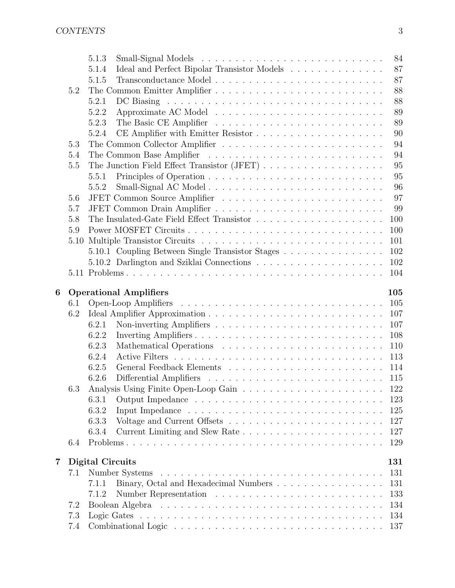|   |      | 5.1.3<br>84                                                |
|---|------|------------------------------------------------------------|
|   |      | 87<br>Ideal and Perfect Bipolar Transistor Models<br>5.1.4 |
|   |      | 87<br>5.1.5                                                |
|   | 5.2  | 88                                                         |
|   |      | 88<br>5.2.1                                                |
|   |      | 89<br>5.2.2                                                |
|   |      | 89<br>5.2.3                                                |
|   |      | 90<br>5.2.4                                                |
|   | 5.3  | 94                                                         |
|   | 5.4  | 94                                                         |
|   | 5.5  | 95                                                         |
|   |      | 95<br>5.5.1                                                |
|   |      | 96<br>5.5.2                                                |
|   | 5.6  | 97                                                         |
|   | 5.7  | 99                                                         |
|   | 5.8  | 100                                                        |
|   | 5.9  | 100                                                        |
|   |      | 101                                                        |
|   | 5.10 |                                                            |
|   |      | 102<br>5.10.1 Coupling Between Single Transistor Stages    |
|   |      | 102                                                        |
|   |      | 104                                                        |
| 6 |      | <b>Operational Amplifiers</b><br>105                       |
|   | 6.1  | 105                                                        |
|   | 6.2  | 107                                                        |
|   |      | 107<br>6.2.1                                               |
|   |      | 6.2.2<br>108                                               |
|   |      | 6.2.3<br>110                                               |
|   |      | 6.2.4<br>113                                               |
|   |      | 6.2.5                                                      |
|   |      | 114                                                        |
|   |      | 6.2.6<br>115                                               |
|   | 6.3  | 122                                                        |
|   |      | 6.3.1<br>123                                               |
|   |      | 125<br>6.3.2                                               |
|   |      | 127<br>6.3.3                                               |
|   |      | 6.3.4<br>127                                               |
|   | 6.4  | 129                                                        |
| 7 |      | <b>Digital Circuits</b><br>131                             |
|   | 7.1  | 131                                                        |
|   |      | Binary, Octal and Hexadecimal Numbers<br>131<br>7.1.1      |
|   |      | 133<br>7.1.2                                               |
|   | 7.2  | Boolean Algebra<br>134                                     |
|   | 7.3  | 134                                                        |
|   |      |                                                            |
|   | 7.4  | 137                                                        |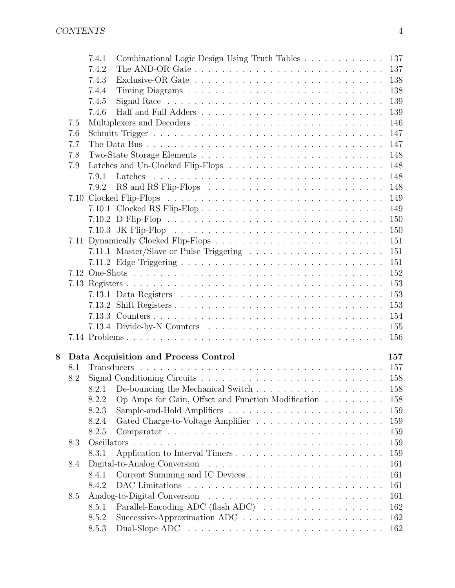|   |     | Combinational Logic Design Using Truth Tables<br>137<br>7.4.1                                                                                                                                                                                                         |
|---|-----|-----------------------------------------------------------------------------------------------------------------------------------------------------------------------------------------------------------------------------------------------------------------------|
|   |     | 7.4.2<br>137                                                                                                                                                                                                                                                          |
|   |     | 7.4.3<br>138                                                                                                                                                                                                                                                          |
|   |     | 138<br>7.4.4                                                                                                                                                                                                                                                          |
|   |     | 139<br>7.4.5<br>Signal Race $\ldots \ldots \ldots \ldots \ldots \ldots \ldots \ldots \ldots \ldots \ldots$                                                                                                                                                            |
|   |     | 139<br>7.4.6                                                                                                                                                                                                                                                          |
|   | 7.5 | 146                                                                                                                                                                                                                                                                   |
|   | 7.6 | 147                                                                                                                                                                                                                                                                   |
|   | 7.7 | 147                                                                                                                                                                                                                                                                   |
|   | 7.8 | 148                                                                                                                                                                                                                                                                   |
|   | 7.9 | 148                                                                                                                                                                                                                                                                   |
|   |     | 148<br>7.9.1                                                                                                                                                                                                                                                          |
|   |     | 148<br>7.9.2                                                                                                                                                                                                                                                          |
|   |     | 149                                                                                                                                                                                                                                                                   |
|   |     | 149                                                                                                                                                                                                                                                                   |
|   |     | 150                                                                                                                                                                                                                                                                   |
|   |     | 150                                                                                                                                                                                                                                                                   |
|   |     | 151                                                                                                                                                                                                                                                                   |
|   |     | 151                                                                                                                                                                                                                                                                   |
|   |     | 151                                                                                                                                                                                                                                                                   |
|   |     | 152                                                                                                                                                                                                                                                                   |
|   |     | 153                                                                                                                                                                                                                                                                   |
|   |     | 153                                                                                                                                                                                                                                                                   |
|   |     |                                                                                                                                                                                                                                                                       |
|   |     | $153\,$                                                                                                                                                                                                                                                               |
|   |     | 154                                                                                                                                                                                                                                                                   |
|   |     | 155                                                                                                                                                                                                                                                                   |
|   |     | 156                                                                                                                                                                                                                                                                   |
| 8 |     | Data Acquisition and Process Control<br>157                                                                                                                                                                                                                           |
|   | 8.1 | 157                                                                                                                                                                                                                                                                   |
|   | 8.2 | 158                                                                                                                                                                                                                                                                   |
|   |     | 158<br>8.2.1                                                                                                                                                                                                                                                          |
|   |     | 8.2.2<br>Op Amps for Gain, Offset and Function Modification<br>158                                                                                                                                                                                                    |
|   |     | 8.2.3<br>159                                                                                                                                                                                                                                                          |
|   |     | 159<br>8.2.4                                                                                                                                                                                                                                                          |
|   |     | 8.2.5<br>159                                                                                                                                                                                                                                                          |
|   | 8.3 | 159                                                                                                                                                                                                                                                                   |
|   |     | 159<br>8.3.1                                                                                                                                                                                                                                                          |
|   | 8.4 | Digital-to-Analog Conversion<br>161<br>and the contract of the contract of the contract of the contract of the contract of the contract of the contract of the contract of the contract of the contract of the contract of the contract of the contract of the contra |
|   |     | 161<br>8.4.1                                                                                                                                                                                                                                                          |
|   |     | 8.4.2<br>161                                                                                                                                                                                                                                                          |
|   | 8.5 | 161                                                                                                                                                                                                                                                                   |
|   |     | 162<br>8.5.1                                                                                                                                                                                                                                                          |
|   |     | Successive-Approximation ADC $\ldots \ldots \ldots \ldots \ldots \ldots \ldots$<br>8.5.2<br>162                                                                                                                                                                       |
|   |     | 162<br>8.5.3                                                                                                                                                                                                                                                          |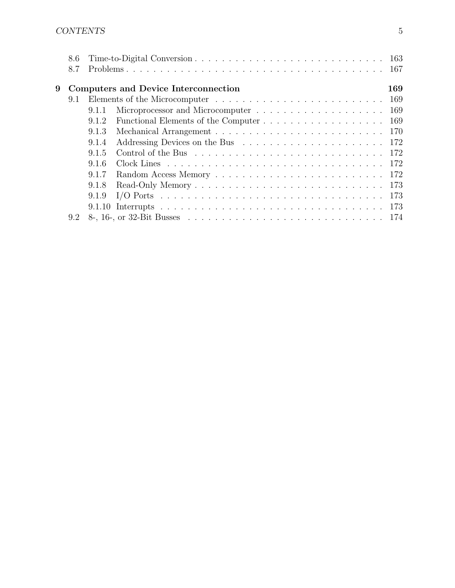|   | 8.6                                         |       |  |     |  |  |  |  |  |  |
|---|---------------------------------------------|-------|--|-----|--|--|--|--|--|--|
|   | 8.7                                         |       |  |     |  |  |  |  |  |  |
| 9 | 169<br>Computers and Device Interconnection |       |  |     |  |  |  |  |  |  |
|   | 9.1                                         |       |  | 169 |  |  |  |  |  |  |
|   |                                             | 9.1.1 |  |     |  |  |  |  |  |  |
|   |                                             | 9.1.2 |  |     |  |  |  |  |  |  |
|   |                                             | 9.1.3 |  |     |  |  |  |  |  |  |
|   |                                             | 9.1.4 |  |     |  |  |  |  |  |  |
|   |                                             | 9.1.5 |  |     |  |  |  |  |  |  |
|   |                                             | 9.1.6 |  |     |  |  |  |  |  |  |
|   |                                             | 9.1.7 |  |     |  |  |  |  |  |  |
|   |                                             | 9.1.8 |  |     |  |  |  |  |  |  |
|   |                                             | 9.1.9 |  |     |  |  |  |  |  |  |
|   |                                             |       |  |     |  |  |  |  |  |  |
|   | $9.2^{\circ}$                               |       |  |     |  |  |  |  |  |  |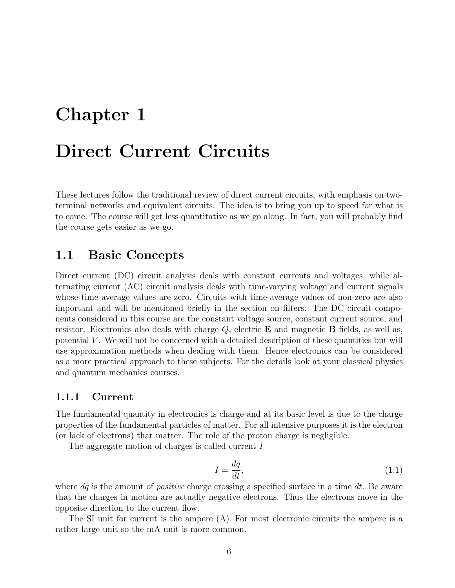# **Chapter 1 Direct Current Circuits**

These lectures follow the traditional review of direct current circuits, with emphasis on twoterminal networks and equivalent circuits. The idea is to bring you up to speed for what is to come. The course will get less quantitative as we go along. In fact, you will probably find the course gets easier as we go.

# **1.1 Basic Concepts**

Direct current (DC) circuit analysis deals with constant currents and voltages, while alternating current (AC) circuit analysis deals with time-varying voltage and current signals whose time average values are zero. Circuits with time-average values of non-zero are also important and will be mentioned briefly in the section on filters. The DC circuit components considered in this course are the constant voltage source, constant current source, and resistor. Electronics also deals with charge Q, electric **E** and magnetic **B** fields, as well as, potential V . We will not be concerned with a detailed description of these quantities but will use approximation methods when dealing with them. Hence electronics can be considered as a more practical approach to these subjects. For the details look at your classical physics and quantum mechanics courses.

#### **1.1.1 Current**

The fundamental quantity in electronics is charge and at its basic level is due to the charge properties of the fundamental particles of matter. For all intensive purposes it is the electron (or lack of electrons) that matter. The role of the proton charge is negligible.

The aggregate motion of charges is called current I

$$
I = \frac{dq}{dt},\tag{1.1}
$$

where  $dq$  is the amount of *positive* charge crossing a specified surface in a time  $dt$ . Be aware that the charges in motion are actually negative electrons. Thus the electrons move in the opposite direction to the current flow.

The SI unit for current is the ampere (A). For most electronic circuits the ampere is a rather large unit so the mA unit is more common.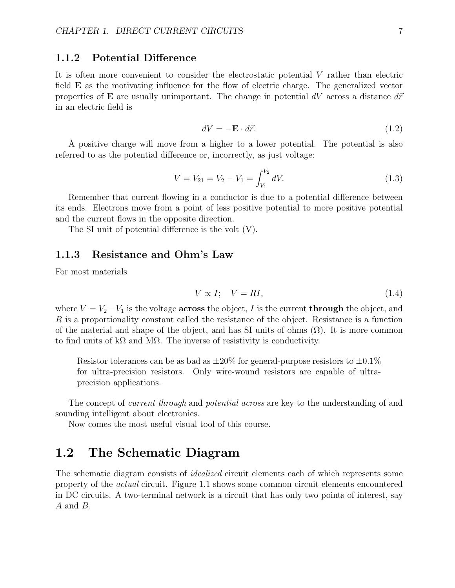#### **1.1.2 Potential Difference**

It is often more convenient to consider the electrostatic potential V rather than electric field **E** as the motivating influence for the flow of electric charge. The generalized vector properties of **E** are usually unimportant. The change in potential  $dV$  across a distance  $d\vec{r}$ in an electric field is

$$
dV = -\mathbf{E} \cdot d\vec{r}.\tag{1.2}
$$

A positive charge will move from a higher to a lower potential. The potential is also referred to as the potential difference or, incorrectly, as just voltage:

$$
V = V_{21} = V_2 - V_1 = \int_{V_1}^{V_2} dV.
$$
\n(1.3)

Remember that current flowing in a conductor is due to a potential difference between its ends. Electrons move from a point of less positive potential to more positive potential and the current flows in the opposite direction.

The SI unit of potential difference is the volt (V).

#### **1.1.3 Resistance and Ohm's Law**

For most materials

$$
V \propto I; \quad V = RI,\tag{1.4}
$$

where  $V = V_2 - V_1$  is the voltage **across** the object, I is the current **through** the object, and R is a proportionality constant called the resistance of the object. Resistance is a function of the material and shape of the object, and has SI units of ohms  $(\Omega)$ . It is more common to find units of kΩ and MΩ. The inverse of resistivity is conductivity.

Resistor tolerances can be as bad as  $\pm 20\%$  for general-purpose resistors to  $\pm 0.1\%$ for ultra-precision resistors. Only wire-wound resistors are capable of ultraprecision applications.

The concept of *current through* and *potential across* are key to the understanding of and sounding intelligent about electronics.

Now comes the most useful visual tool of this course.

### **1.2 The Schematic Diagram**

The schematic diagram consists of *idealized* circuit elements each of which represents some property of the actual circuit. Figure 1.1 shows some common circuit elements encountered in DC circuits. A two-terminal network is a circuit that has only two points of interest, say A and B.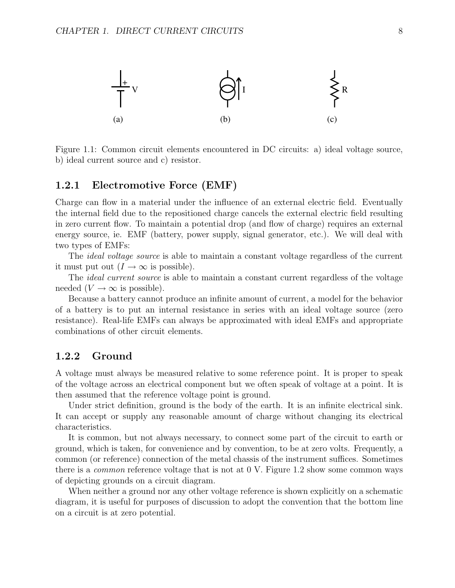

Figure 1.1: Common circuit elements encountered in DC circuits: a) ideal voltage source, b) ideal current source and c) resistor.

#### **1.2.1 Electromotive Force (EMF)**

Charge can flow in a material under the influence of an external electric field. Eventually the internal field due to the repositioned charge cancels the external electric field resulting in zero current flow. To maintain a potential drop (and flow of charge) requires an external energy source, ie. EMF (battery, power supply, signal generator, etc.). We will deal with two types of EMFs:

The ideal voltage source is able to maintain a constant voltage regardless of the current it must put out  $(I \to \infty$  is possible).

The ideal current source is able to maintain a constant current regardless of the voltage needed  $(V \rightarrow \infty$  is possible).

Because a battery cannot produce an infinite amount of current, a model for the behavior of a battery is to put an internal resistance in series with an ideal voltage source (zero resistance). Real-life EMFs can always be approximated with ideal EMFs and appropriate combinations of other circuit elements.

#### **1.2.2 Ground**

A voltage must always be measured relative to some reference point. It is proper to speak of the voltage across an electrical component but we often speak of voltage at a point. It is then assumed that the reference voltage point is ground.

Under strict definition, ground is the body of the earth. It is an infinite electrical sink. It can accept or supply any reasonable amount of charge without changing its electrical characteristics.

It is common, but not always necessary, to connect some part of the circuit to earth or ground, which is taken, for convenience and by convention, to be at zero volts. Frequently, a common (or reference) connection of the metal chassis of the instrument suffices. Sometimes there is a common reference voltage that is not at 0 V. Figure 1.2 show some common ways of depicting grounds on a circuit diagram.

When neither a ground nor any other voltage reference is shown explicitly on a schematic diagram, it is useful for purposes of discussion to adopt the convention that the bottom line on a circuit is at zero potential.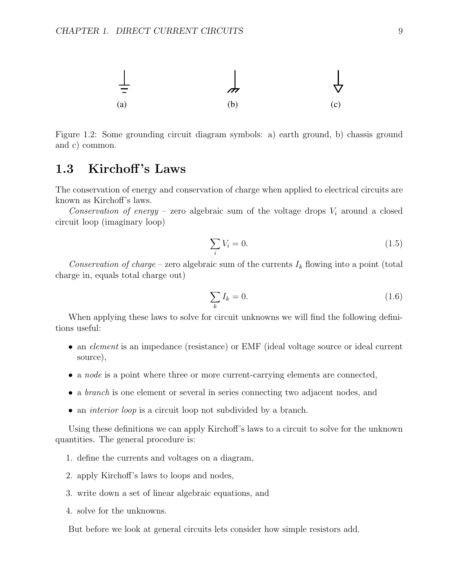

Figure 1.2: Some grounding circuit diagram symbols: a) earth ground, b) chassis ground and c) common.

# **1.3 Kirchoff 's Laws**

The conservation of energy and conservation of charge when applied to electrical circuits are known as Kirchoff's laws.

Conservation of energy – zero algebraic sum of the voltage drops  $V_i$  around a closed circuit loop (imaginary loop)

$$
\sum_{i} V_i = 0. \tag{1.5}
$$

Conservation of charge – zero algebraic sum of the currents  $I_k$  flowing into a point (total charge in, equals total charge out)

$$
\sum_{k} I_k = 0. \tag{1.6}
$$

When applying these laws to solve for circuit unknowns we will find the following definitions useful:

- an *element* is an impedance (resistance) or EMF (ideal voltage source or ideal current source),
- a *node* is a point where three or more current-carrying elements are connected,
- a *branch* is one element or several in series connecting two adjacent nodes, and
- an *interior loop* is a circuit loop not subdivided by a branch.

Using these definitions we can apply Kirchoff's laws to a circuit to solve for the unknown quantities. The general procedure is:

- 1. define the currents and voltages on a diagram,
- 2. apply Kirchoff's laws to loops and nodes,
- 3. write down a set of linear algebraic equations, and
- 4. solve for the unknowns.

But before we look at general circuits lets consider how simple resistors add.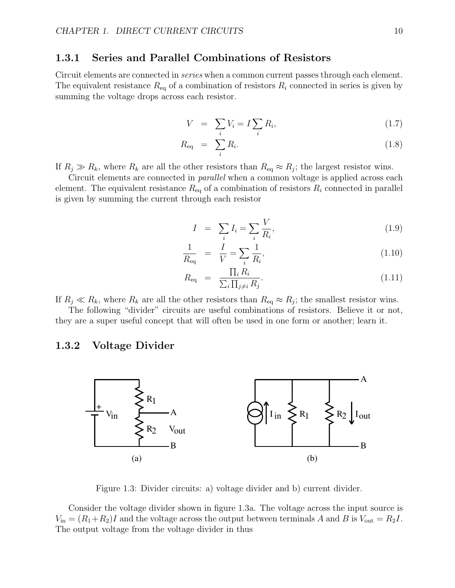#### **1.3.1 Series and Parallel Combinations of Resistors**

Circuit elements are connected in series when a common current passes through each element. The equivalent resistance  $R_{eq}$  of a combination of resistors  $R_i$  connected in series is given by summing the voltage drops across each resistor.

$$
V = \sum_{i} V_i = I \sum_{i} R_i, \qquad (1.7)
$$

$$
R_{\text{eq}} = \sum_{i} R_i. \tag{1.8}
$$

If  $R_i \gg R_k$ , where  $R_k$  are all the other resistors than  $R_{eq} \approx R_j$ ; the largest resistor wins.

Circuit elements are connected in parallel when a common voltage is applied across each element. The equivalent resistance  $R_{eq}$  of a combination of resistors  $R_i$  connected in parallel is given by summing the current through each resistor

$$
I = \sum_{i} I_i = \sum_{i} \frac{V}{R_i},\tag{1.9}
$$

$$
\frac{1}{R_{\text{eq}}} = \frac{I}{V} = \sum_{i} \frac{1}{R_i},\tag{1.10}
$$

$$
R_{\text{eq}} = \frac{\prod_{i} R_i}{\sum_{i} \prod_{j \neq i} R_j}.
$$
\n(1.11)

If  $R_j \ll R_k$ , where  $R_k$  are all the other resistors than  $R_{eq} \approx R_j$ ; the smallest resistor wins.

The following "divider" circuits are useful combinations of resistors. Believe it or not, they are a super useful concept that will often be used in one form or another; learn it.

#### **1.3.2 Voltage Divider**



Figure 1.3: Divider circuits: a) voltage divider and b) current divider.

Consider the voltage divider shown in figure 1.3a. The voltage across the input source is  $V_{\text{in}} = (R_1 + R_2)I$  and the voltage across the output between terminals A and B is  $V_{\text{out}} = R_2I$ . The output voltage from the voltage divider in thus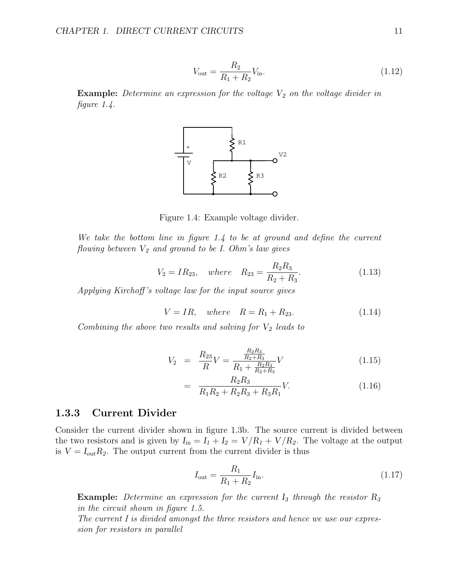$$
V_{\text{out}} = \frac{R_2}{R_1 + R_2} V_{\text{in}}.\tag{1.12}
$$

**Example:** Determine an expression for the voltage  $V_2$  on the voltage divider in figure 1.4.



Figure 1.4: Example voltage divider.

We take the bottom line in figure 1.4 to be at ground and define the current flowing between *V<sup>2</sup>* and ground to be I. Ohm's law gives

$$
V_2 = IR_{23}, \quad where \quad R_{23} = \frac{R_2 R_3}{R_2 + R_3}.\tag{1.13}
$$

Applying Kirchoff 's voltage law for the input source gives

$$
V = IR, where R = R_1 + R_{23}.
$$
 (1.14)

Combining the above two results and solving for *V<sup>2</sup>* leads to

$$
V_2 = \frac{R_{23}}{R}V = \frac{\frac{R_2R_3}{R_2 + R_3}}{R_1 + \frac{R_2R_3}{R_2 + R_3}}V
$$
\n(1.15)

$$
= \frac{R_2 R_3}{R_1 R_2 + R_2 R_3 + R_3 R_1} V.
$$
\n(1.16)

#### **1.3.3 Current Divider**

Consider the current divider shown in figure 1.3b. The source current is divided between the two resistors and is given by  $I_{in} = I_1 + I_2 = V/R_1 + V/R_2$ . The voltage at the output is  $V = I_{out}R_2$ . The output current from the current divider is thus

$$
I_{\text{out}} = \frac{R_1}{R_1 + R_2} I_{\text{in}}.\tag{1.17}
$$

**Example:** Determine an expression for the current *I<sup>3</sup>* through the resistor *R<sup>3</sup>* in the circuit shown in figure 1.5.

The current I is divided amongst the three resistors and hence we use our expression for resistors in parallel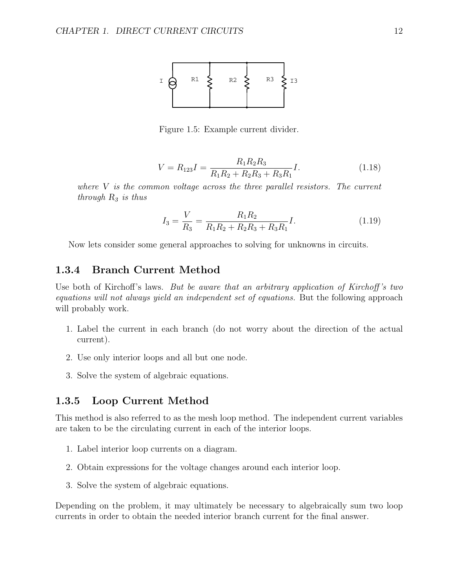

Figure 1.5: Example current divider.

$$
V = R_{123}I = \frac{R_1 R_2 R_3}{R_1 R_2 + R_2 R_3 + R_3 R_1} I.
$$
\n(1.18)

where *V* is the common voltage across the three parallel resistors. The current through *R<sup>3</sup>* is thus

$$
I_3 = \frac{V}{R_3} = \frac{R_1 R_2}{R_1 R_2 + R_2 R_3 + R_3 R_1} I.
$$
\n(1.19)

Now lets consider some general approaches to solving for unknowns in circuits.

#### **1.3.4 Branch Current Method**

Use both of Kirchoff's laws. But be aware that an arbitrary application of Kirchoff 's two equations will not always yield an independent set of equations. But the following approach will probably work.

- 1. Label the current in each branch (do not worry about the direction of the actual current).
- 2. Use only interior loops and all but one node.
- 3. Solve the system of algebraic equations.

#### **1.3.5 Loop Current Method**

This method is also referred to as the mesh loop method. The independent current variables are taken to be the circulating current in each of the interior loops.

- 1. Label interior loop currents on a diagram.
- 2. Obtain expressions for the voltage changes around each interior loop.
- 3. Solve the system of algebraic equations.

Depending on the problem, it may ultimately be necessary to algebraically sum two loop currents in order to obtain the needed interior branch current for the final answer.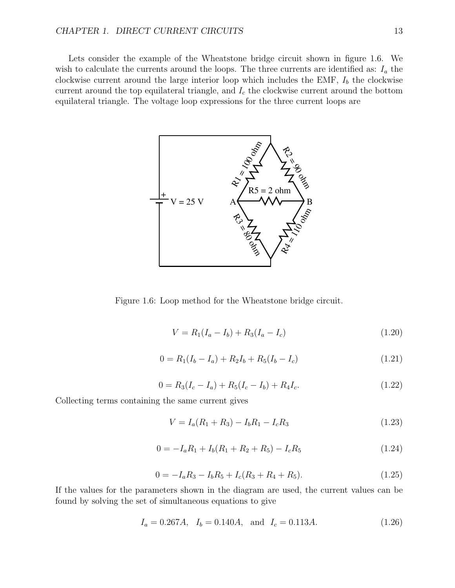Lets consider the example of the Wheatstone bridge circuit shown in figure 1.6. We wish to calculate the currents around the loops. The three currents are identified as:  $I_a$  the clockwise current around the large interior loop which includes the EMF,  $I<sub>b</sub>$  the clockwise current around the top equilateral triangle, and  $I_c$  the clockwise current around the bottom equilateral triangle. The voltage loop expressions for the three current loops are



Figure 1.6: Loop method for the Wheatstone bridge circuit.

$$
V = R_1(I_a - I_b) + R_3(I_a - I_c)
$$
\n(1.20)

$$
0 = R_1(I_b - I_a) + R_2I_b + R_5(I_b - I_c)
$$
\n(1.21)

$$
0 = R_3(I_c - I_a) + R_5(I_c - I_b) + R_4I_c.
$$
\n(1.22)

Collecting terms containing the same current gives

$$
V = I_a(R_1 + R_3) - I_bR_1 - I_cR_3 \tag{1.23}
$$

$$
0 = -I_a R_1 + I_b (R_1 + R_2 + R_5) - I_c R_5 \tag{1.24}
$$

$$
0 = -I_a R_3 - I_b R_5 + I_c (R_3 + R_4 + R_5).
$$
\n(1.25)

If the values for the parameters shown in the diagram are used, the current values can be found by solving the set of simultaneous equations to give

$$
I_a = 0.267A, I_b = 0.140A, \text{ and } I_c = 0.113A. \tag{1.26}
$$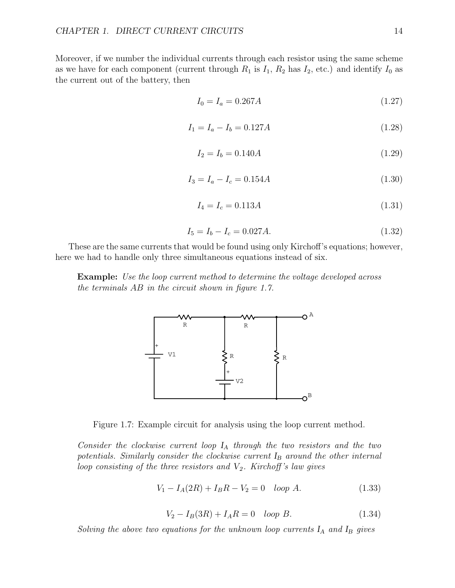Moreover, if we number the individual currents through each resistor using the same scheme as we have for each component (current through  $R_1$  is  $I_1$ ,  $R_2$  has  $I_2$ , etc.) and identify  $I_0$  as the current out of the battery, then

$$
I_0 = I_a = 0.267A \tag{1.27}
$$

$$
I_1 = I_a - I_b = 0.127A \tag{1.28}
$$

$$
I_2 = I_b = 0.140A \tag{1.29}
$$

$$
I_3 = I_a - I_c = 0.154A \tag{1.30}
$$

$$
I_4 = I_c = 0.113A \tag{1.31}
$$

$$
I_5 = I_b - I_c = 0.027A.
$$
\n<sup>(1.32)</sup>

These are the same currents that would be found using only Kirchoff's equations; however, here we had to handle only three simultaneous equations instead of six.

**Example:** Use the loop current method to determine the voltage developed across the terminals AB in the circuit shown in figure 1.7.



Figure 1.7: Example circuit for analysis using the loop current method.

Consider the clockwise current loop *I<sup>A</sup>* through the two resistors and the two potentials. Similarly consider the clockwise current *I<sup>B</sup>* around the other internal loop consisting of the three resistors and *V<sup>2</sup>* . Kirchoff 's law gives

$$
V_1 - I_A(2R) + I_B R - V_2 = 0 \quad loop \ A.
$$
 (1.33)

$$
V_2 - I_B(3R) + I_A R = 0 \text{ loop } B. \tag{1.34}
$$

Solving the above two equations for the unknown loop currents  $I_A$  and  $I_B$  gives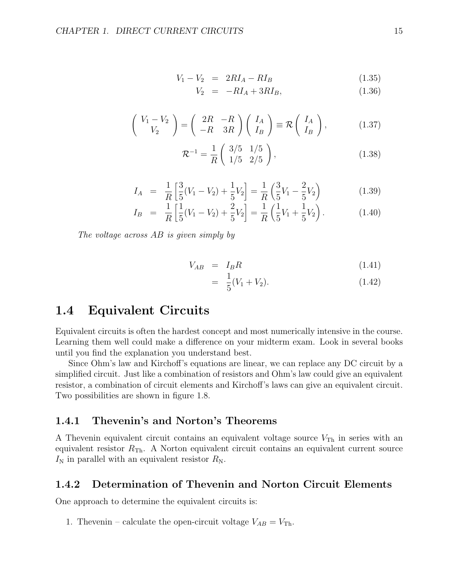$$
V_1 - V_2 = 2R I_A - R I_B \tag{1.35}
$$

$$
V_2 = -RI_A + 3RI_B, \t(1.36)
$$

$$
\begin{pmatrix} V_1 - V_2 \ V_2 \end{pmatrix} = \begin{pmatrix} 2R & -R \ -R & 3R \end{pmatrix} \begin{pmatrix} I_A \ I_B \end{pmatrix} \equiv \mathcal{R} \begin{pmatrix} I_A \ I_B \end{pmatrix}, \qquad (1.37)
$$

$$
\mathcal{R}^{-1} = \frac{1}{R} \begin{pmatrix} 3/5 & 1/5 \\ 1/5 & 2/5 \end{pmatrix},
$$
 (1.38)

$$
I_A = \frac{1}{R} \left[ \frac{3}{5} (V_1 - V_2) + \frac{1}{5} V_2 \right] = \frac{1}{R} \left( \frac{3}{5} V_1 - \frac{2}{5} V_2 \right) \tag{1.39}
$$

$$
I_B = \frac{1}{R} \left[ \frac{1}{5} (V_1 - V_2) + \frac{2}{5} V_2 \right] = \frac{1}{R} \left( \frac{1}{5} V_1 + \frac{1}{5} V_2 \right).
$$
 (1.40)

The voltage across AB is given simply by

$$
V_{AB} = I_B R \tag{1.41}
$$

$$
= \frac{1}{5}(V_1 + V_2). \tag{1.42}
$$

## **1.4 Equivalent Circuits**

Equivalent circuits is often the hardest concept and most numerically intensive in the course. Learning them well could make a difference on your midterm exam. Look in several books until you find the explanation you understand best.

Since Ohm's law and Kirchoff's equations are linear, we can replace any DC circuit by a simplified circuit. Just like a combination of resistors and Ohm's law could give an equivalent resistor, a combination of circuit elements and Kirchoff's laws can give an equivalent circuit. Two possibilities are shown in figure 1.8.

#### **1.4.1 Thevenin's and Norton's Theorems**

A Thevenin equivalent circuit contains an equivalent voltage source  $V_{\text{Th}}$  in series with an equivalent resistor  $R_{\text{Th}}$ . A Norton equivalent circuit contains an equivalent current source  $I_{\rm N}$  in parallel with an equivalent resistor  $R_{\rm N}$ .

#### **1.4.2 Determination of Thevenin and Norton Circuit Elements**

One approach to determine the equivalent circuits is:

1. Theven in – calculate the open-circuit voltage  $V_{AB} = V_{\text{Th}}$ .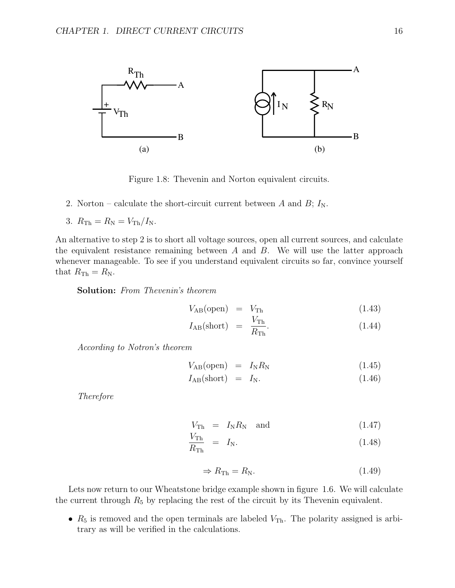

Figure 1.8: Thevenin and Norton equivalent circuits.

2. Norton – calculate the short-circuit current between A and B;  $I_N$ .

$$
3. R_{\text{Th}} = R_{\text{N}} = V_{\text{Th}}/I_{\text{N}}.
$$

An alternative to step 2 is to short all voltage sources, open all current sources, and calculate the equivalent resistance remaining between  $A$  and  $B$ . We will use the latter approach whenever manageable. To see if you understand equivalent circuits so far, convince yourself that  $R_{\text{Th}} = R_{\text{N}}$ .

**Solution:** From Thevenin's theorem

$$
V_{AB}(\text{open}) = V_{\text{Th}} \tag{1.43}
$$

$$
I_{AB}(\text{short}) = \frac{V_{\text{Th}}}{R_{\text{Th}}}.\tag{1.44}
$$

According to Notron's theorem

$$
V_{AB}(\text{open}) = I_N R_N \tag{1.45}
$$

$$
I_{AB}(\text{short}) = I_N. \tag{1.46}
$$

Therefore

$$
V_{\rm Th} = I_{\rm N} R_{\rm N} \quad \text{and} \tag{1.47}
$$

$$
\frac{V_{\text{Th}}}{R_{\text{Th}}} = I_{\text{N}}.\tag{1.48}
$$

$$
\Rightarrow R_{\text{Th}} = R_{\text{N}}.\tag{1.49}
$$

Lets now return to our Wheatstone bridge example shown in figure 1.6. We will calculate the current through  $R_5$  by replacing the rest of the circuit by its Thevenin equivalent.

•  $R_5$  is removed and the open terminals are labeled  $V_{\text{Th}}$ . The polarity assigned is arbitrary as will be verified in the calculations.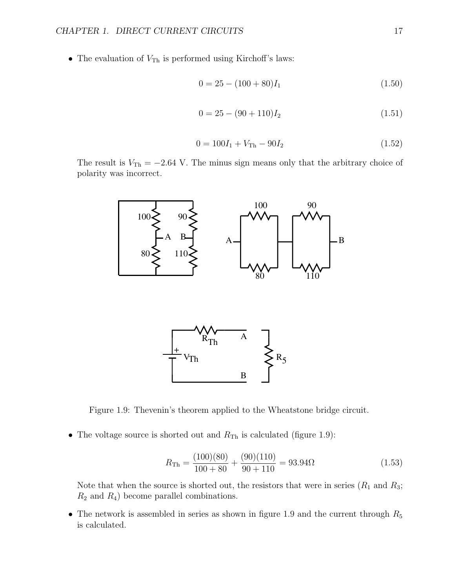• The evaluation of  $V_{\text{Th}}$  is performed using Kirchoff's laws:

$$
0 = 25 - (100 + 80)I1
$$
\n(1.50)

$$
0 = 25 - (90 + 110)I_2 \tag{1.51}
$$

$$
0 = 100I_1 + V_{\text{Th}} - 90I_2 \tag{1.52}
$$

The result is  $V_{\text{Th}} = -2.64$  V. The minus sign means only that the arbitrary choice of polarity was incorrect.



Figure 1.9: Thevenin's theorem applied to the Wheatstone bridge circuit.

• The voltage source is shorted out and  $R_{\text{Th}}$  is calculated (figure 1.9):

$$
R_{\rm Th} = \frac{(100)(80)}{100 + 80} + \frac{(90)(110)}{90 + 110} = 93.94\Omega
$$
\n(1.53)

Note that when the source is shorted out, the resistors that were in series  $(R_1 \text{ and } R_3;$  $R_2$  and  $R_4$ ) become parallel combinations.

• The network is assembled in series as shown in figure 1.9 and the current through  $R_5$ is calculated.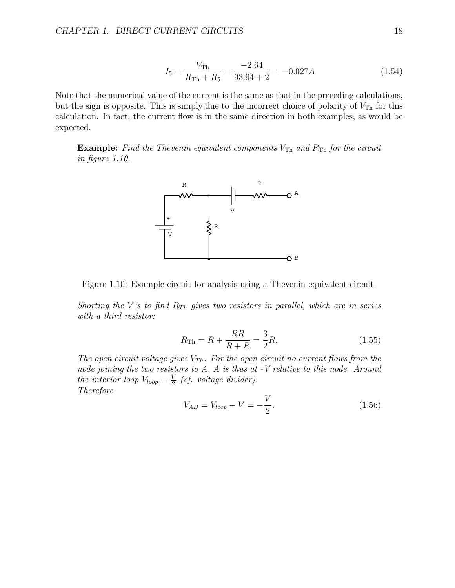$$
I_5 = \frac{V_{\text{Th}}}{R_{\text{Th}} + R_5} = \frac{-2.64}{93.94 + 2} = -0.027A \tag{1.54}
$$

Note that the numerical value of the current is the same as that in the preceding calculations, but the sign is opposite. This is simply due to the incorrect choice of polarity of  $V_{\text{Th}}$  for this calculation. In fact, the current flow is in the same direction in both examples, as would be expected.

**Example:** Find the Thevenin equivalent components  $V_{\text{Th}}$  and  $R_{\text{Th}}$  for the circuit in figure 1.10.



Figure 1.10: Example circuit for analysis using a Thevenin equivalent circuit.

Shorting the V's to find  $R_{Th}$  gives two resistors in parallel, which are in series with a third resistor:

$$
R_{\rm Th} = R + \frac{RR}{R + R} = \frac{3}{2}R.
$$
\n(1.55)

The open circuit voltage gives  $V_{Th}$ . For the open circuit no current flows from the node joining the two resistors to A. A is thus at -V relative to this node. Around the interior loop  $V_{loop} = \frac{V}{2}$  (cf. voltage divider). Therefore

$$
V_{AB} = V_{loop} - V = -\frac{V}{2}.
$$
\n(1.56)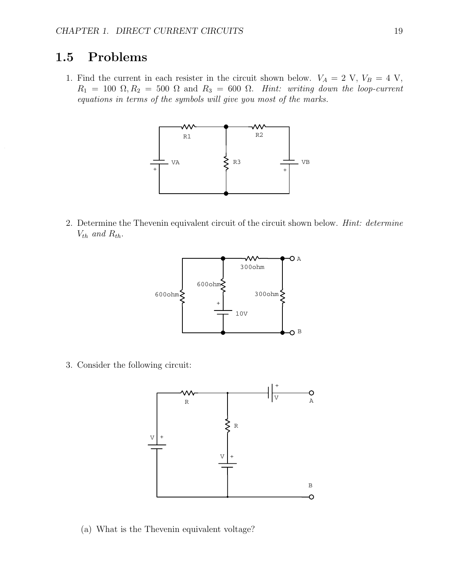# **1.5 Problems**

1. Find the current in each resister in the circuit shown below.  $V_A = 2$  V,  $V_B = 4$  V,  $R_1 = 100 \Omega, R_2 = 500 \Omega$  and  $R_3 = 600 \Omega$ . Hint: writing down the loop-current equations in terms of the symbols will give you most of the marks.



2. Determine the Thevenin equivalent circuit of the circuit shown below. *Hint: determine*  $V_{th}$  and  $R_{th}$ .



3. Consider the following circuit:



(a) What is the Thevenin equivalent voltage?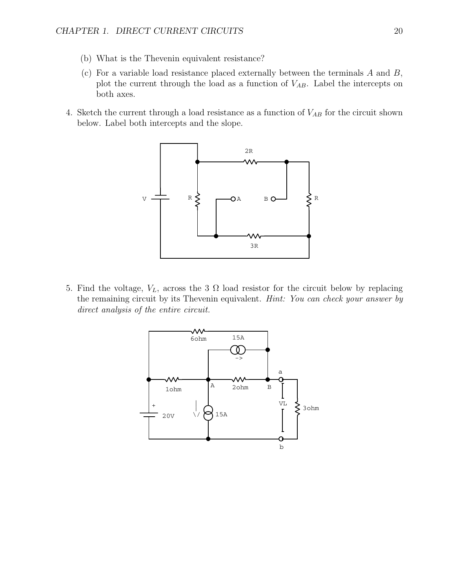- (b) What is the Thevenin equivalent resistance?
- (c) For a variable load resistance placed externally between the terminals A and B, plot the current through the load as a function of  $V_{AB}$ . Label the intercepts on both axes.
- 4. Sketch the current through a load resistance as a function of  $V_{AB}$  for the circuit shown below. Label both intercepts and the slope.



5. Find the voltage,  $V_L$ , across the 3  $\Omega$  load resistor for the circuit below by replacing the remaining circuit by its Thevenin equivalent. Hint: You can check your answer by direct analysis of the entire circuit.

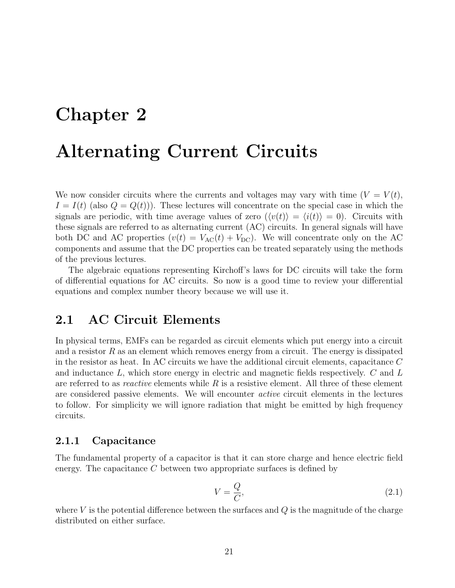# **Chapter 2**

# **Alternating Current Circuits**

We now consider circuits where the currents and voltages may vary with time  $(V = V(t),$  $I = I(t)$  (also  $Q = Q(t)$ )). These lectures will concentrate on the special case in which the signals are periodic, with time average values of zero  $(\langle v(t) \rangle = \langle i(t) \rangle = 0)$ . Circuits with these signals are referred to as alternating current (AC) circuits. In general signals will have both DC and AC properties  $(v(t) = V_{AC}(t) + V_{DC})$ . We will concentrate only on the AC components and assume that the DC properties can be treated separately using the methods of the previous lectures.

The algebraic equations representing Kirchoff's laws for DC circuits will take the form of differential equations for AC circuits. So now is a good time to review your differential equations and complex number theory because we will use it.

## **2.1 AC Circuit Elements**

In physical terms, EMFs can be regarded as circuit elements which put energy into a circuit and a resistor  $R$  as an element which removes energy from a circuit. The energy is dissipated in the resistor as heat. In AC circuits we have the additional circuit elements, capacitance C and inductance  $L$ , which store energy in electric and magnetic fields respectively.  $C$  and  $L$ are referred to as *reactive* elements while  $R$  is a resistive element. All three of these element are considered passive elements. We will encounter active circuit elements in the lectures to follow. For simplicity we will ignore radiation that might be emitted by high frequency circuits.

#### **2.1.1 Capacitance**

The fundamental property of a capacitor is that it can store charge and hence electric field energy. The capacitance  $C$  between two appropriate surfaces is defined by

$$
V = \frac{Q}{C},\tag{2.1}
$$

where  $V$  is the potential difference between the surfaces and  $Q$  is the magnitude of the charge distributed on either surface.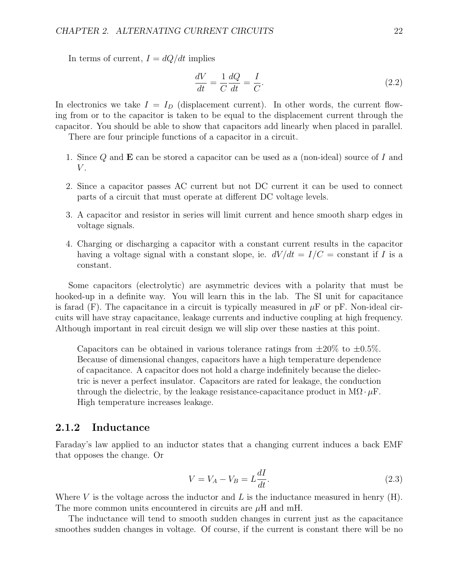In terms of current,  $I = dQ/dt$  implies

$$
\frac{dV}{dt} = \frac{1}{C}\frac{dQ}{dt} = \frac{I}{C}.\tag{2.2}
$$

In electronics we take  $I = I_D$  (displacement current). In other words, the current flowing from or to the capacitor is taken to be equal to the displacement current through the capacitor. You should be able to show that capacitors add linearly when placed in parallel.

There are four principle functions of a capacitor in a circuit.

- 1. Since Q and **E** can be stored a capacitor can be used as a (non-ideal) source of I and  $V$ .
- 2. Since a capacitor passes AC current but not DC current it can be used to connect parts of a circuit that must operate at different DC voltage levels.
- 3. A capacitor and resistor in series will limit current and hence smooth sharp edges in voltage signals.
- 4. Charging or discharging a capacitor with a constant current results in the capacitor having a voltage signal with a constant slope, ie.  $dV/dt = I/C = \text{constant}$  if I is a constant.

Some capacitors (electrolytic) are asymmetric devices with a polarity that must be hooked-up in a definite way. You will learn this in the lab. The SI unit for capacitance is farad (F). The capacitance in a circuit is typically measured in  $\mu$ F or pF. Non-ideal circuits will have stray capacitance, leakage currents and inductive coupling at high frequency. Although important in real circuit design we will slip over these nasties at this point.

Capacitors can be obtained in various tolerance ratings from  $\pm 20\%$  to  $\pm 0.5\%$ . Because of dimensional changes, capacitors have a high temperature dependence of capacitance. A capacitor does not hold a charge indefinitely because the dielectric is never a perfect insulator. Capacitors are rated for leakage, the conduction through the dielectric, by the leakage resistance-capacitance product in  $\text{M}\Omega \cdot \mu\text{F}$ . High temperature increases leakage.

#### **2.1.2 Inductance**

Faraday's law applied to an inductor states that a changing current induces a back EMF that opposes the change. Or

$$
V = V_A - V_B = L\frac{dI}{dt}.\tag{2.3}
$$

Where V is the voltage across the inductor and L is the inductance measured in henry  $(H)$ . The more common units encountered in circuits are  $\mu$ H and mH.

The inductance will tend to smooth sudden changes in current just as the capacitance smoothes sudden changes in voltage. Of course, if the current is constant there will be no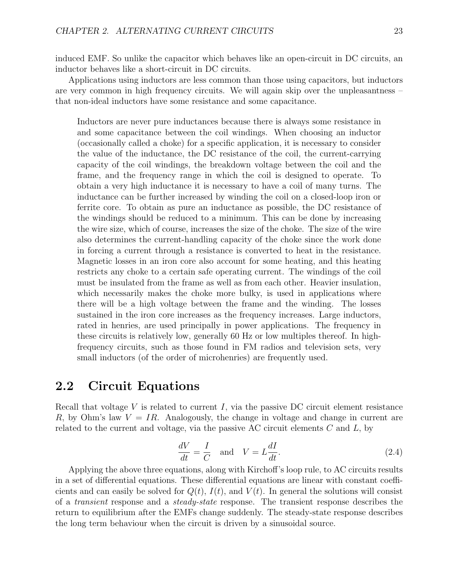induced EMF. So unlike the capacitor which behaves like an open-circuit in DC circuits, an inductor behaves like a short-circuit in DC circuits.

Applications using inductors are less common than those using capacitors, but inductors are very common in high frequency circuits. We will again skip over the unpleasantness – that non-ideal inductors have some resistance and some capacitance.

Inductors are never pure inductances because there is always some resistance in and some capacitance between the coil windings. When choosing an inductor (occasionally called a choke) for a specific application, it is necessary to consider the value of the inductance, the DC resistance of the coil, the current-carrying capacity of the coil windings, the breakdown voltage between the coil and the frame, and the frequency range in which the coil is designed to operate. To obtain a very high inductance it is necessary to have a coil of many turns. The inductance can be further increased by winding the coil on a closed-loop iron or ferrite core. To obtain as pure an inductance as possible, the DC resistance of the windings should be reduced to a minimum. This can be done by increasing the wire size, which of course, increases the size of the choke. The size of the wire also determines the current-handling capacity of the choke since the work done in forcing a current through a resistance is converted to heat in the resistance. Magnetic losses in an iron core also account for some heating, and this heating restricts any choke to a certain safe operating current. The windings of the coil must be insulated from the frame as well as from each other. Heavier insulation, which necessarily makes the choke more bulky, is used in applications where there will be a high voltage between the frame and the winding. The losses sustained in the iron core increases as the frequency increases. Large inductors, rated in henries, are used principally in power applications. The frequency in these circuits is relatively low, generally 60 Hz or low multiples thereof. In highfrequency circuits, such as those found in FM radios and television sets, very small inductors (of the order of microhenries) are frequently used.

# **2.2 Circuit Equations**

Recall that voltage V is related to current I, via the passive DC circuit element resistance R, by Ohm's law  $V = IR$ . Analogously, the change in voltage and change in current are related to the current and voltage, via the passive AC circuit elements  $C$  and  $L$ , by

$$
\frac{dV}{dt} = \frac{I}{C} \quad \text{and} \quad V = L\frac{dI}{dt}.\tag{2.4}
$$

Applying the above three equations, along with Kirchoff's loop rule, to AC circuits results in a set of differential equations. These differential equations are linear with constant coefficients and can easily be solved for  $Q(t)$ ,  $I(t)$ , and  $V(t)$ . In general the solutions will consist of a transient response and a steady-state response. The transient response describes the return to equilibrium after the EMFs change suddenly. The steady-state response describes the long term behaviour when the circuit is driven by a sinusoidal source.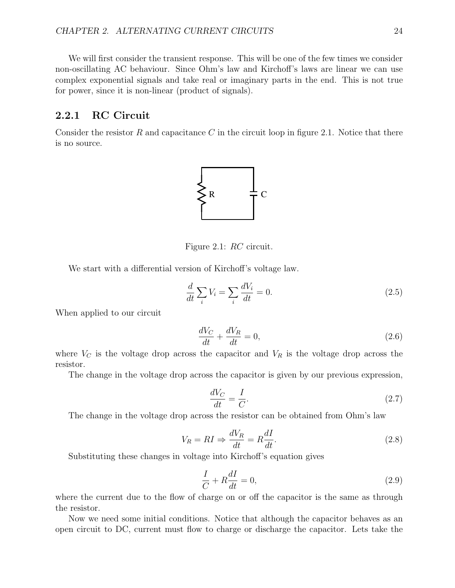We will first consider the transient response. This will be one of the few times we consider non-oscillating AC behaviour. Since Ohm's law and Kirchoff's laws are linear we can use complex exponential signals and take real or imaginary parts in the end. This is not true for power, since it is non-linear (product of signals).

#### **2.2.1 RC Circuit**

Consider the resistor R and capacitance C in the circuit loop in figure 2.1. Notice that there is no source.



Figure 2.1: RC circuit.

We start with a differential version of Kirchoff's voltage law.

$$
\frac{d}{dt}\sum_{i}V_{i} = \sum_{i}\frac{dV_{i}}{dt} = 0.
$$
\n(2.5)

When applied to our circuit

$$
\frac{dV_C}{dt} + \frac{dV_R}{dt} = 0,\t\t(2.6)
$$

where  $V_C$  is the voltage drop across the capacitor and  $V_R$  is the voltage drop across the resistor.

The change in the voltage drop across the capacitor is given by our previous expression,

$$
\frac{dV_C}{dt} = \frac{I}{C}.\tag{2.7}
$$

The change in the voltage drop across the resistor can be obtained from Ohm's law

$$
V_R = RI \Rightarrow \frac{dV_R}{dt} = R\frac{dI}{dt}.\tag{2.8}
$$

Substituting these changes in voltage into Kirchoff's equation gives

$$
\frac{I}{C} + R\frac{dI}{dt} = 0,\t\t(2.9)
$$

where the current due to the flow of charge on or off the capacitor is the same as through the resistor.

Now we need some initial conditions. Notice that although the capacitor behaves as an open circuit to DC, current must flow to charge or discharge the capacitor. Lets take the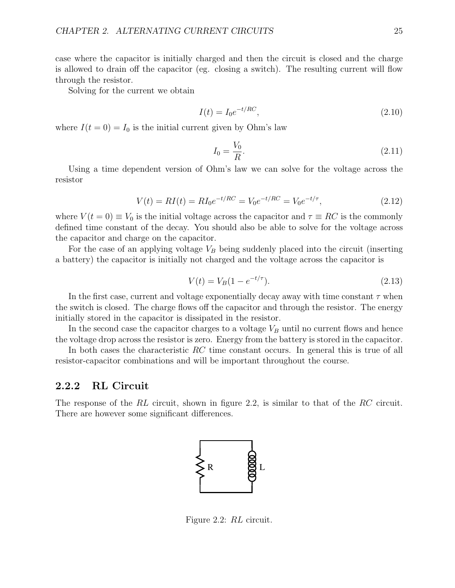case where the capacitor is initially charged and then the circuit is closed and the charge is allowed to drain off the capacitor (eg. closing a switch). The resulting current will flow through the resistor.

Solving for the current we obtain

$$
I(t) = I_0 e^{-t/RC},
$$
\n(2.10)

where  $I(t = 0) = I_0$  is the initial current given by Ohm's law

$$
I_0 = \frac{V_0}{R}.\t(2.11)
$$

Using a time dependent version of Ohm's law we can solve for the voltage across the resistor

$$
V(t) = RI(t) = RI_0 e^{-t/RC} = V_0 e^{-t/RC} = V_0 e^{-t/\tau},
$$
\n(2.12)

where  $V(t = 0) \equiv V_0$  is the initial voltage across the capacitor and  $\tau \equiv RC$  is the commonly defined time constant of the decay. You should also be able to solve for the voltage across the capacitor and charge on the capacitor.

For the case of an applying voltage  $V_B$  being suddenly placed into the circuit (inserting a battery) the capacitor is initially not charged and the voltage across the capacitor is

$$
V(t) = V_B(1 - e^{-t/\tau}).
$$
\n(2.13)

In the first case, current and voltage exponentially decay away with time constant  $\tau$  when the switch is closed. The charge flows off the capacitor and through the resistor. The energy initially stored in the capacitor is dissipated in the resistor.

In the second case the capacitor charges to a voltage  $V_B$  until no current flows and hence the voltage drop across the resistor is zero. Energy from the battery is stored in the capacitor.

In both cases the characteristic RC time constant occurs. In general this is true of all resistor-capacitor combinations and will be important throughout the course.

#### **2.2.2 RL Circuit**

The response of the RL circuit, shown in figure 2.2, is similar to that of the RC circuit. There are however some significant differences.



Figure 2.2: RL circuit.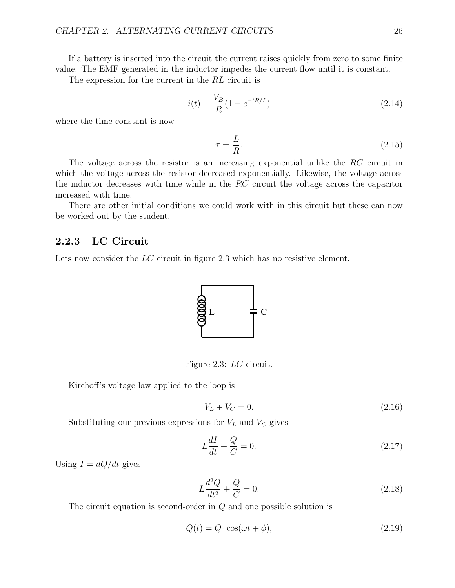If a battery is inserted into the circuit the current raises quickly from zero to some finite value. The EMF generated in the inductor impedes the current flow until it is constant.

The expression for the current in the RL circuit is

$$
i(t) = \frac{V_B}{R}(1 - e^{-tR/L})
$$
\n(2.14)

where the time constant is now

$$
\tau = \frac{L}{R}.\tag{2.15}
$$

The voltage across the resistor is an increasing exponential unlike the RC circuit in which the voltage across the resistor decreased exponentially. Likewise, the voltage across the inductor decreases with time while in the RC circuit the voltage across the capacitor increased with time.

There are other initial conditions we could work with in this circuit but these can now be worked out by the student.

#### **2.2.3 LC Circuit**

Lets now consider the LC circuit in figure 2.3 which has no resistive element.



Figure 2.3: LC circuit.

Kirchoff's voltage law applied to the loop is

$$
V_L + V_C = 0.\t\t(2.16)
$$

Substituting our previous expressions for  $V_L$  and  $V_C$  gives

$$
L\frac{dI}{dt} + \frac{Q}{C} = 0.\t\t(2.17)
$$

Using  $I = dQ/dt$  gives

$$
L\frac{d^2Q}{dt^2} + \frac{Q}{C} = 0.
$$
\n(2.18)

The circuit equation is second-order in  $Q$  and one possible solution is

$$
Q(t) = Q_0 \cos(\omega t + \phi), \tag{2.19}
$$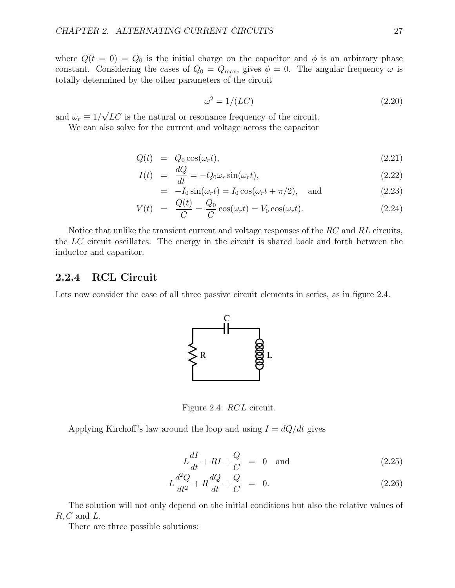where  $Q(t = 0) = Q_0$  is the initial charge on the capacitor and  $\phi$  is an arbitrary phase constant. Considering the cases of  $Q_0 = Q_{\text{max}}$ , gives  $\phi = 0$ . The angular frequency  $\omega$  is totally determined by the other parameters of the circuit

$$
\omega^2 = 1/(LC) \tag{2.20}
$$

and  $\omega_r \equiv 1/$ √ LC is the natural or resonance frequency of the circuit.

We can also solve for the current and voltage across the capacitor

$$
Q(t) = Q_0 \cos(\omega_r t), \qquad (2.21)
$$

$$
I(t) = \frac{dQ}{dt} = -Q_0 \omega_r \sin(\omega_r t), \qquad (2.22)
$$

$$
= -I_0 \sin(\omega_r t) = I_0 \cos(\omega_r t + \pi/2), \text{ and} \qquad (2.23)
$$

$$
V(t) = \frac{Q(t)}{C} = \frac{Q_0}{C} \cos(\omega_r t) = V_0 \cos(\omega_r t). \qquad (2.24)
$$

Notice that unlike the transient current and voltage responses of the  $RC$  and  $RL$  circuits, the LC circuit oscillates. The energy in the circuit is shared back and forth between the inductor and capacitor.

#### **2.2.4 RCL Circuit**

Lets now consider the case of all three passive circuit elements in series, as in figure 2.4.



Figure 2.4: RCL circuit.

Applying Kirchoff's law around the loop and using  $I = dQ/dt$  gives

$$
L\frac{dI}{dt} + RI + \frac{Q}{C} = 0 \quad \text{and} \tag{2.25}
$$

$$
L\frac{d^2Q}{dt^2} + R\frac{dQ}{dt} + \frac{Q}{C} = 0.
$$
 (2.26)

The solution will not only depend on the initial conditions but also the relative values of  $R, C$  and  $L$ .

There are three possible solutions: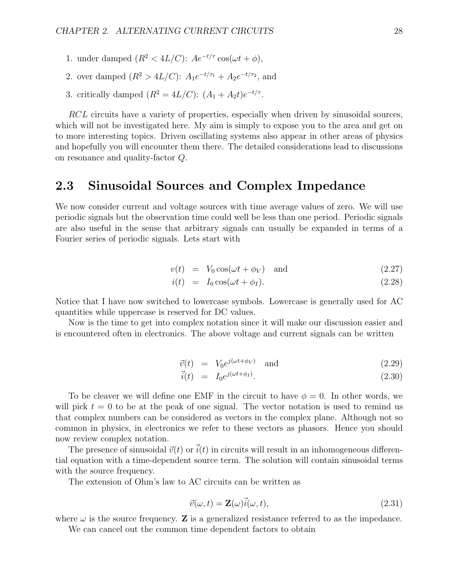- 1. under damped  $(R^2 < 4L/C)$ :  $Ae^{-t/\tau} \cos(\omega t + \phi)$ ,
- 2. over damped  $(R^2 > 4L/C)$ :  $A_1e^{-t/\tau_1} + A_2e^{-t/\tau_2}$ , and
- 3. critically damped  $(R^2 = 4L/C)$ :  $(A_1 + A_2t)e^{-t/\tau}$ .

RCL circuits have a variety of properties, especially when driven by sinusoidal sources, which will not be investigated here. My aim is simply to expose you to the area and get on to more interesting topics. Driven oscillating systems also appear in other areas of physics and hopefully you will encounter them there. The detailed considerations lead to discussions on resonance and quality-factor Q.

## **2.3 Sinusoidal Sources and Complex Impedance**

We now consider current and voltage sources with time average values of zero. We will use periodic signals but the observation time could well be less than one period. Periodic signals are also useful in the sense that arbitrary signals can usually be expanded in terms of a Fourier series of periodic signals. Lets start with

$$
v(t) = V_0 \cos(\omega t + \phi_V) \quad \text{and} \tag{2.27}
$$

$$
i(t) = I_0 \cos(\omega t + \phi_I). \tag{2.28}
$$

Notice that I have now switched to lowercase symbols. Lowercase is generally used for AC quantities while uppercase is reserved for DC values.

Now is the time to get into complex notation since it will make our discussion easier and is encountered often in electronics. The above voltage and current signals can be written

$$
\vec{v}(t) = V_0 e^{j(\omega t + \phi_V)} \quad \text{and} \tag{2.29}
$$

$$
\vec{i}(t) = I_0 e^{j(\omega t + \phi_I)}.\tag{2.30}
$$

To be cleaver we will define one EMF in the circuit to have  $\phi = 0$ . In other words, we will pick  $t = 0$  to be at the peak of one signal. The vector notation is used to remind us that complex numbers can be considered as vectors in the complex plane. Although not so common in physics, in electronics we refer to these vectors as phasors. Hence you should now review complex notation.

The presence of sinusoidal  $\vec{v}(t)$  or  $\vec{i}(t)$  in circuits will result in an inhomogeneous differential equation with a time-dependent source term. The solution will contain sinusoidal terms with the source frequency.

The extension of Ohm's law to AC circuits can be written as

$$
\vec{v}(\omega, t) = \mathbf{Z}(\omega)\vec{i}(\omega, t),\tag{2.31}
$$

where  $\omega$  is the source frequency. **Z** is a generalized resistance referred to as the impedance.

We can cancel out the common time dependent factors to obtain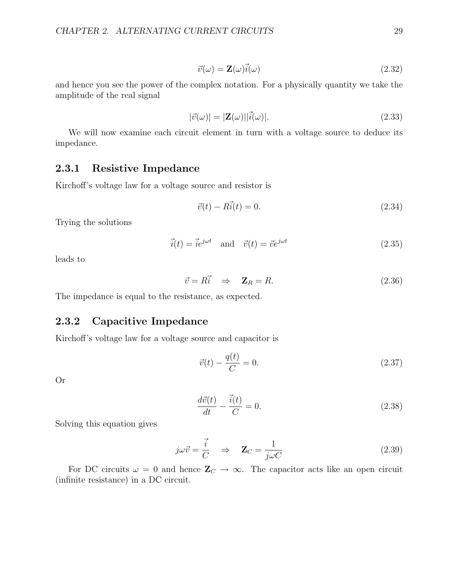$$
\vec{v}(\omega) = \mathbf{Z}(\omega)\vec{i}(\omega) \tag{2.32}
$$

and hence you see the power of the complex notation. For a physically quantity we take the amplitude of the real signal

$$
|\vec{v}(\omega)| = |\mathbf{Z}(\omega)||\vec{i}(\omega)|. \tag{2.33}
$$

We will now examine each circuit element in turn with a voltage source to deduce its impedance.

#### **2.3.1 Resistive Impedance**

Kirchoff's voltage law for a voltage source and resistor is

$$
\vec{v}(t) - R\vec{i}(t) = 0.\tag{2.34}
$$

Trying the solutions

$$
\vec{i}(t) = \vec{i}e^{j\omega t} \quad \text{and} \quad \vec{v}(t) = \vec{v}e^{j\omega t} \tag{2.35}
$$

leads to

$$
\vec{v} = R\vec{i} \quad \Rightarrow \quad \mathbf{Z}_R = R. \tag{2.36}
$$

The impedance is equal to the resistance, as expected.

#### **2.3.2 Capacitive Impedance**

Kirchoff's voltage law for a voltage source and capacitor is

$$
\vec{v}(t) - \frac{q(t)}{C} = 0.
$$
\n(2.37)

Or

$$
\frac{d\vec{v}(t)}{dt} - \frac{\vec{i}(t)}{C} = 0.
$$
\n(2.38)

Solving this equation gives

$$
j\omega \vec{v} = \frac{\vec{i}}{C} \quad \Rightarrow \quad \mathbf{Z}_C = \frac{1}{j\omega C} \tag{2.39}
$$

For DC circuits  $\omega = 0$  and hence  $\mathbb{Z}_C \to \infty$ . The capacitor acts like an open circuit (infinite resistance) in a DC circuit.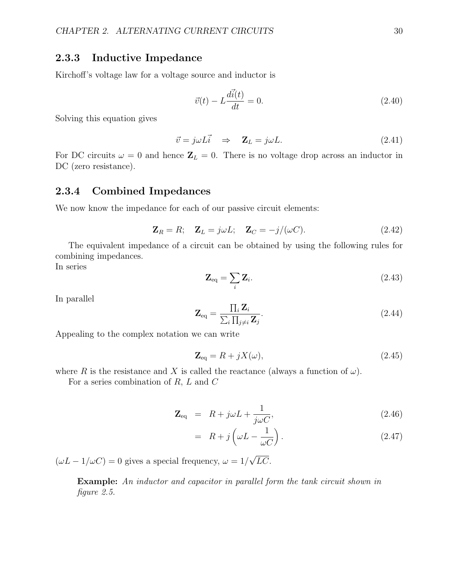#### **2.3.3 Inductive Impedance**

Kirchoff's voltage law for a voltage source and inductor is

$$
\vec{v}(t) - L\frac{d\vec{i}(t)}{dt} = 0.
$$
\n(2.40)

Solving this equation gives

$$
\vec{v} = j\omega L\vec{i} \quad \Rightarrow \quad \mathbf{Z}_L = j\omega L. \tag{2.41}
$$

For DC circuits  $\omega = 0$  and hence  $\mathbf{Z}_L = 0$ . There is no voltage drop across an inductor in DC (zero resistance).

#### **2.3.4 Combined Impedances**

We now know the impedance for each of our passive circuit elements:

$$
\mathbf{Z}_R = R; \quad \mathbf{Z}_L = j\omega L; \quad \mathbf{Z}_C = -j/(\omega C). \tag{2.42}
$$

The equivalent impedance of a circuit can be obtained by using the following rules for combining impedances.

In series

$$
\mathbf{Z}_{\text{eq}} = \sum_{i} \mathbf{Z}_{i}.\tag{2.43}
$$

In parallel

$$
\mathbf{Z}_{\text{eq}} = \frac{\prod_{i} \mathbf{Z}_{i}}{\sum_{i} \prod_{j \neq i} \mathbf{Z}_{j}}.
$$
 (2.44)

Appealing to the complex notation we can write

$$
\mathbf{Z}_{\text{eq}} = R + jX(\omega),\tag{2.45}
$$

where R is the resistance and X is called the reactance (always a function of  $\omega$ ).

For a series combination of  $R$ ,  $L$  and  $C$ 

$$
\mathbf{Z}_{\text{eq}} = R + j\omega L + \frac{1}{j\omega C}, \qquad (2.46)
$$

$$
= R + j\left(\omega L - \frac{1}{\omega C}\right). \tag{2.47}
$$

 $(\omega L - 1/\omega C) = 0$  gives a special frequency,  $\omega = 1/$ √ LC.

**Example:** An inductor and capacitor in parallel form the tank circuit shown in figure 2.5.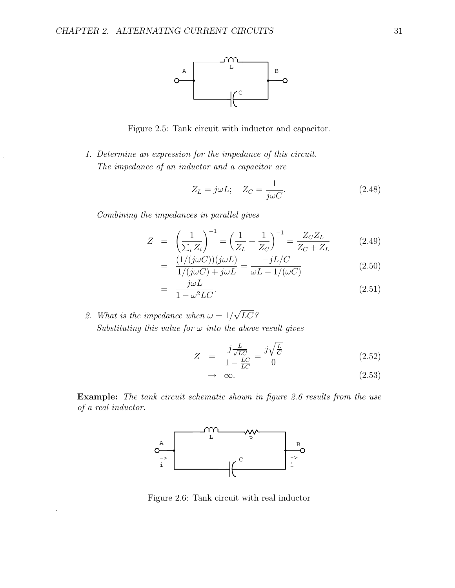

Figure 2.5: Tank circuit with inductor and capacitor.

1. Determine an expression for the impedance of this circuit. The impedance of an inductor and a capacitor are

$$
Z_L = j\omega L; \quad Z_C = \frac{1}{j\omega C}.
$$
\n(2.48)

Combining the impedances in parallel gives

$$
Z = \left(\frac{1}{\sum_{i} Z_{i}}\right)^{-1} = \left(\frac{1}{Z_{L}} + \frac{1}{Z_{C}}\right)^{-1} = \frac{Z_{C}Z_{L}}{Z_{C} + Z_{L}}
$$
(2.49)

$$
= \frac{(1/(j\omega C))(j\omega L)}{1/(j\omega C) + j\omega L} = \frac{-jL/C}{\omega L - 1/(\omega C)}
$$
(2.50)

$$
= \frac{j\omega L}{1 - \omega^2 LC}.\tag{2.51}
$$

2. What is the impedance when  $\omega = 1/$ √  $LC$ ? Substituting this value for  $\omega$  into the above result gives

$$
Z = \frac{j\frac{L}{\sqrt{LC}}}{1 - \frac{LC}{LC}} = \frac{j\sqrt{\frac{L}{C}}}{0}
$$
\n(2.52)

$$
\rightarrow \infty. \tag{2.53}
$$

**Example:** The tank circuit schematic shown in figure 2.6 results from the use of a real inductor.



Figure 2.6: Tank circuit with real inductor

.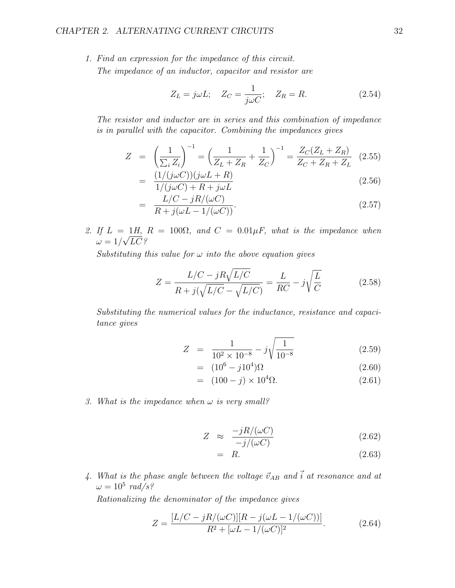1. Find an expression for the impedance of this circuit. The impedance of an inductor, capacitor and resistor are

$$
Z_L = j\omega L; \quad Z_C = \frac{1}{j\omega C}; \quad Z_R = R. \tag{2.54}
$$

The resistor and inductor are in series and this combination of impedance is in parallel with the capacitor. Combining the impedances gives

$$
Z = \left(\frac{1}{\sum_{i} Z_{i}}\right)^{-1} = \left(\frac{1}{Z_{L} + Z_{R}} + \frac{1}{Z_{C}}\right)^{-1} = \frac{Z_{C}(Z_{L} + Z_{R})}{Z_{C} + Z_{R} + Z_{L}}
$$
(2.55)

$$
= \frac{(1/(j\omega C))(j\omega L + R)}{1/(j\omega C) + R + j\omega L} \tag{2.56}
$$

$$
= \frac{L/C - jR/(\omega C)}{R + j(\omega L - 1/(\omega C))}.
$$
\n(2.57)

2. If  $L = 1H, R = 100\Omega$ , and  $C = 0.01\mu F$ , what is the impedance when  $\omega=1/\sqrt{LC\,}$  ?

Substituting this value for  $\omega$  into the above equation gives

$$
Z = \frac{L/C - jR\sqrt{L/C}}{R + j(\sqrt{L/C} - \sqrt{L/C})} = \frac{L}{RC} - j\sqrt{\frac{L}{C}}
$$
(2.58)

Substituting the numerical values for the inductance, resistance and capacitance gives

$$
Z = \frac{1}{10^2 \times 10^{-8}} - j\sqrt{\frac{1}{10^{-8}}} \tag{2.59}
$$

$$
= (10^6 - j10^4)\Omega \tag{2.60}
$$

$$
= (100 - j) \times 10^4 \Omega. \tag{2.61}
$$

3. What is the impedance when  $\omega$  is very small?

$$
Z \approx \frac{-jR/(\omega C)}{-j/(\omega C)} \tag{2.62}
$$

$$
= R. \tag{2.63}
$$

4. What is the phase angle between the voltage  $\vec{v}_{AB}$  and  $\vec{i}$  at resonance and at  $\omega = 10^5 \text{ rad/s}$ ?

Rationalizing the denominator of the impedance gives

$$
Z = \frac{[L/C - jR/(\omega C)][R - j(\omega L - 1/(\omega C))]}{R^2 + [\omega L - 1/(\omega C)]^2}.
$$
 (2.64)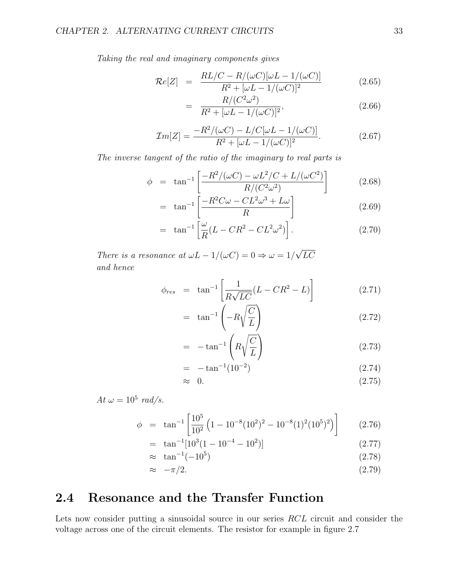Taking the real and imaginary components gives

$$
\mathcal{R}e[Z] = \frac{RL/C - R/(\omega C)[\omega L - 1/(\omega C)]}{R^2 + [\omega L - 1/(\omega C)]^2}
$$
(2.65)

$$
= \frac{R/(C^2\omega^2)}{R^2 + [\omega L - 1/(\omega C)]^2},\tag{2.66}
$$

$$
\mathcal{I}m[Z] = \frac{-R^2/(\omega C) - L/C[\omega L - 1/(\omega C)]}{R^2 + [\omega L - 1/(\omega C)]^2}.
$$
 (2.67)

The inverse tangent of the ratio of the imaginary to real parts is

$$
\phi = \tan^{-1} \left[ \frac{-R^2/(\omega C) - \omega L^2/C + L/(\omega C^2)}{R/(C^2 \omega^2)} \right] \tag{2.68}
$$

$$
= \tan^{-1}\left[\frac{-R^2C\omega - CL^2\omega^3 + L\omega}{R}\right] \tag{2.69}
$$

$$
= \tan^{-1}\left[\frac{\omega}{R}(L - CR^2 - CL^2\omega^2)\right].
$$
 (2.70)

There is a resonance at  $\omega L - 1/(\omega C) = 0 \Rightarrow \omega = 1/$ √ LC and hence

$$
\phi_{res} = \tan^{-1} \left[ \frac{1}{R\sqrt{LC}} (L - CR^2 - L) \right] \tag{2.71}
$$

$$
= \tan^{-1}\left(-R\sqrt{\frac{C}{L}}\right) \tag{2.72}
$$

$$
= -\tan^{-1}\left(R\sqrt{\frac{C}{L}}\right) \tag{2.73}
$$

$$
= -\tan^{-1}(10^{-2})
$$
 (2.74)

$$
\approx \quad 0. \tag{2.75}
$$

At  $\omega = 10^5$  rad/s.

$$
\phi = \tan^{-1} \left[ \frac{10^5}{10^2} \left( 1 - 10^{-8} (10^2)^2 - 10^{-8} (1)^2 (10^5)^2 \right) \right] \tag{2.76}
$$

$$
= \tan^{-1}[10^3(1 - 10^{-4} - 10^2)] \tag{2.77}
$$

$$
\approx \tan^{-1}(-10^5) \tag{2.78}
$$

$$
\approx -\pi/2. \tag{2.79}
$$

# **2.4 Resonance and the Transfer Function**

Lets now consider putting a sinusoidal source in our series RCL circuit and consider the voltage across one of the circuit elements. The resistor for example in figure 2.7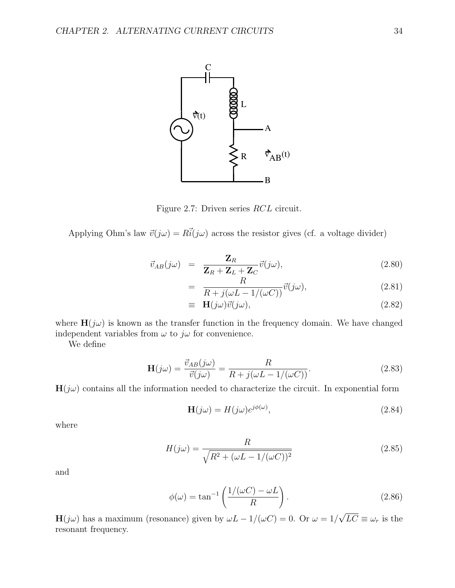

Figure 2.7: Driven series RCL circuit.

Applying Ohm's law  $\vec{v}(j\omega) = R\vec{i}(j\omega)$  across the resistor gives (cf. a voltage divider)

$$
\vec{v}_{AB}(j\omega) = \frac{\mathbf{Z}_R}{\mathbf{Z}_R + \mathbf{Z}_L + \mathbf{Z}_C} \vec{v}(j\omega), \qquad (2.80)
$$

$$
= \frac{R}{R + j(\omega L - 1/(\omega C))} \vec{v}(j\omega), \qquad (2.81)
$$

$$
\equiv \mathbf{H}(j\omega)\vec{v}(j\omega),\tag{2.82}
$$

where  $H(j\omega)$  is known as the transfer function in the frequency domain. We have changed independent variables from  $\omega$  to  $j\omega$  for convenience.

We define

$$
\mathbf{H}(j\omega) = \frac{\vec{v}_{AB}(j\omega)}{\vec{v}(j\omega)} = \frac{R}{R + j(\omega L - 1/(\omega C))}.
$$
\n(2.83)

 $H(j\omega)$  contains all the information needed to characterize the circuit. In exponential form

$$
\mathbf{H}(j\omega) = H(j\omega)e^{j\phi(\omega)},\tag{2.84}
$$

where

$$
H(j\omega) = \frac{R}{\sqrt{R^2 + (\omega L - 1/(\omega C))^2}}
$$
(2.85)

and

$$
\phi(\omega) = \tan^{-1}\left(\frac{1/(\omega C) - \omega L}{R}\right).
$$
\n(2.86)

 $\mathbf{H}(j\omega)$  has a maximum (resonance) given by  $\omega L - 1/(\omega C) = 0$ . Or  $\omega = 1/$  $LC \equiv \omega_r$  is the resonant frequency.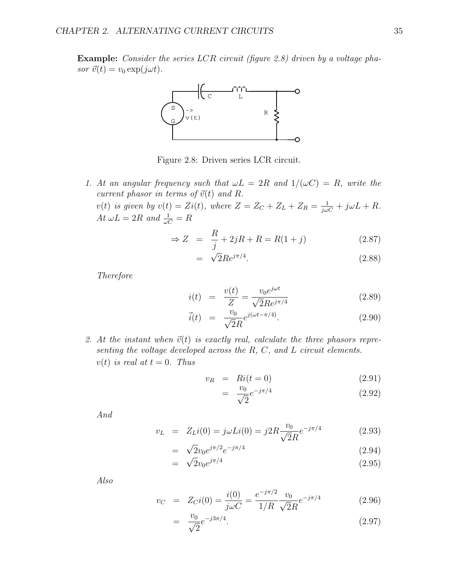**Example:** Consider the series LCR circuit (figure 2.8) driven by a voltage phasor  $\vec{v}(t) = v_0 \exp(j\omega t)$ .



Figure 2.8: Driven series LCR circuit.

1. At an angular frequency such that  $\omega L = 2R$  and  $1/(\omega C) = R$ , write the current phasor in terms of  $\vec{v}(t)$  and R.

 $v(t)$  is given by  $v(t) = Zi(t)$ , where  $Z = Z_C + Z_L + Z_R = \frac{1}{j\omega C} + j\omega L + R$ .  $At \omega L = 2R \text{ and } \frac{1}{\omega C} = R$ 

$$
\Rightarrow Z = \frac{R}{j} + 2jR + R = R(1+j)
$$
\n(2.87)

$$
= \sqrt{2}Re^{j\pi/4}.
$$
\n(2.88)

Therefore

$$
i(t) = \frac{v(t)}{Z} = \frac{v_0 e^{j\omega t}}{\sqrt{2} Re^{j\pi/4}}
$$
 (2.89)

$$
\vec{i}(t) = \frac{v_0}{\sqrt{2}R}e^{j(\omega t - \pi/4)}.
$$
\n(2.90)

- 2. At the instant when  $\vec{v}(t)$  is exactly real, calculate the three phasors representing the voltage developed across the R, C, and L circuit elements.
	- $v(t)$  is real at  $t = 0$ . Thus

$$
v_R = Ri(t=0) \tag{2.91}
$$

$$
= \frac{v_0}{\sqrt{2}} e^{-j\pi/4} \tag{2.92}
$$

And

$$
v_L = Z_L i(0) = j\omega Li(0) = j2R \frac{v_0}{\sqrt{2}R} e^{-j\pi/4}
$$
 (2.93)

$$
= \sqrt{2}v_0e^{j\pi/2}e^{-j\pi/4}
$$
 (2.94)

$$
= \sqrt{2}v_0e^{j\pi/4}
$$
 (2.95)

Also

$$
v_C = Z_C i(0) = \frac{i(0)}{j\omega C} = \frac{e^{-j\pi/2}}{1/R} \frac{v_0}{\sqrt{2}R} e^{-j\pi/4}
$$
(2.96)

$$
= \frac{v_0}{\sqrt{2}} e^{-j3\pi/4}.
$$
 (2.97)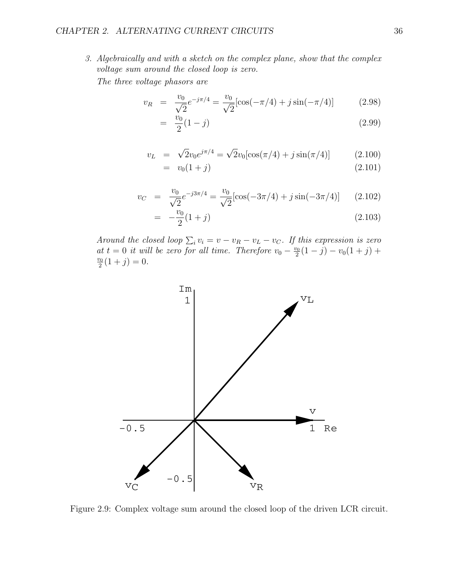3. Algebraically and with a sketch on the complex plane, show that the complex voltage sum around the closed loop is zero. The three voltage phasors are

$$
v_R = \frac{v_0}{\sqrt{2}} e^{-j\pi/4} = \frac{v_0}{\sqrt{2}} [\cos(-\pi/4) + j\sin(-\pi/4)] \tag{2.98}
$$

$$
= \frac{v_0}{2}(1-j) \tag{2.99}
$$

$$
v_L = \sqrt{2}v_0 e^{j\pi/4} = \sqrt{2}v_0[\cos(\pi/4) + j\sin(\pi/4)] \tag{2.100}
$$

$$
= v_0(1+j) \tag{2.101}
$$

$$
v_C = \frac{v_0}{\sqrt{2}} e^{-j3\pi/4} = \frac{v_0}{\sqrt{2}} [\cos(-3\pi/4) + j\sin(-3\pi/4)] \qquad (2.102)
$$

$$
= -\frac{v_0}{2}(1+j)
$$
 (2.103)

Around the closed loop  $\sum_i v_i = v - v_R - v_L - v_C$ . If this expression is zero at  $t = 0$  it will be zero for all time. Therefore  $v_0 - \frac{v_0}{2}(1 - j) - v_0(1 + j) + \frac{v_0}{1 + j} - 0$  $\frac{v_0}{2}(1+j)=0.$ 



Figure 2.9: Complex voltage sum around the closed loop of the driven LCR circuit.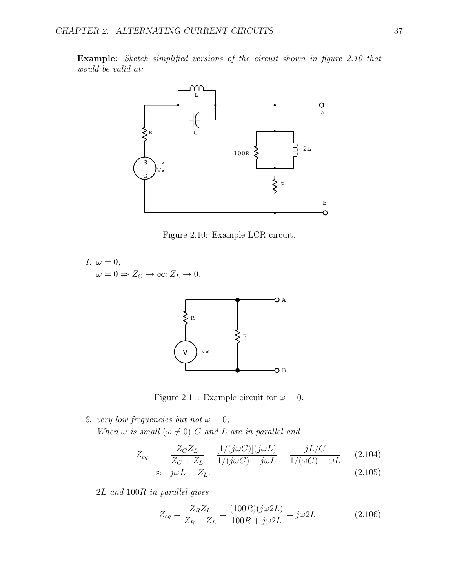**Example:** Sketch simplified versions of the circuit shown in figure 2.10 that would be valid at:



Figure 2.10: Example LCR circuit.

1. 
$$
\omega = 0;
$$
  
\n $\omega = 0 \Rightarrow Z_C \to \infty; Z_L \to 0.$ 



Figure 2.11: Example circuit for  $\omega = 0$ .

2. very low frequencies but not  $\omega = 0$ ; When  $\omega$  is small  $(\omega \neq 0)$  C and L are in parallel and

$$
Z_{eq} = \frac{Z_C Z_L}{Z_C + Z_L} = \frac{[1/(j\omega C)](j\omega L)}{1/(j\omega C) + j\omega L} = \frac{jL/C}{1/(\omega C) - \omega L}
$$
(2.104)

$$
\approx j\omega L = Z_L. \tag{2.105}
$$

2L and 100R in parallel gives

$$
Z_{eq} = \frac{Z_R Z_L}{Z_R + Z_L} = \frac{(100R)(j\omega 2L)}{100R + j\omega 2L} = j\omega 2L.
$$
 (2.106)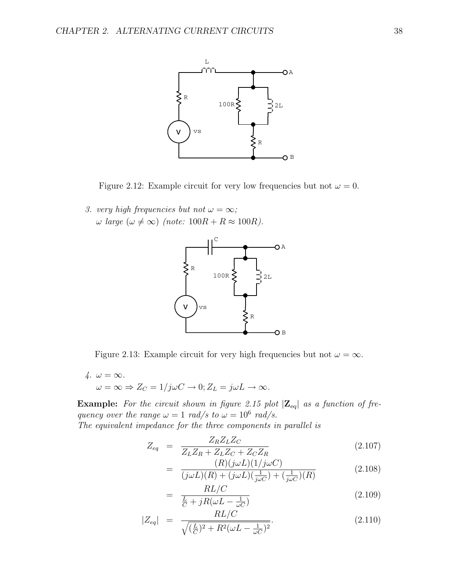

Figure 2.12: Example circuit for very low frequencies but not  $\omega = 0$ .

3. very high frequencies but not  $\omega = \infty$ ;  $\omega$  large  $(\omega \neq \infty)$  (note:  $100R + R \approx 100R$ ).



Figure 2.13: Example circuit for very high frequencies but not  $\omega = \infty$ .

 $4. \omega = \infty.$  $\omega = \infty \Rightarrow Z_C = 1/j\omega C \rightarrow 0; Z_L = j\omega L \rightarrow \infty.$ 

**Example:** For the circuit shown in figure 2.15 plot  $|\mathbf{Z}_{eq}|$  as a function of frequency over the range  $\omega = 1$  rad/s to  $\omega = 10^6$  rad/s.

The equivalent impedance for the three components in parallel is

$$
Z_{eq} = \frac{Z_R Z_L Z_C}{Z_L Z_R + Z_L Z_C + Z_C Z_R}
$$
(2.107)

$$
= \frac{(R)(j\omega L)(1/j\omega C)}{(j\omega L)(R) + (j\omega L)(\frac{1}{j\omega C}) + (\frac{1}{j\omega C})(R)} \tag{2.108}
$$

$$
= \frac{RL/C}{\frac{L}{C} + jR(\omega L - \frac{1}{\omega C})}
$$
\n(2.109)

$$
|Z_{eq}| = \frac{RL/C}{\sqrt{(\frac{L}{C})^2 + R^2(\omega L - \frac{1}{\omega C})^2}}.
$$
\n(2.110)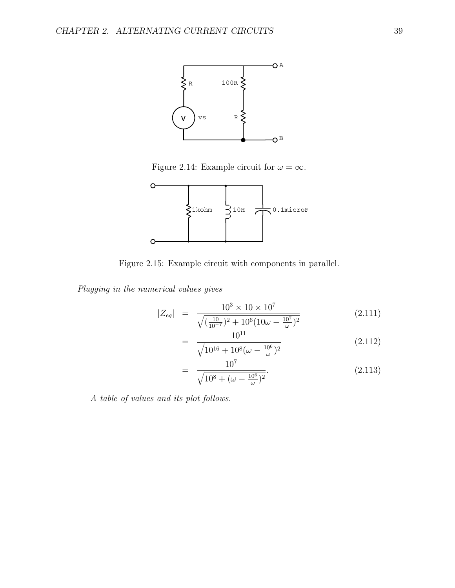

Figure 2.14: Example circuit for  $\omega = \infty$ .



Figure 2.15: Example circuit with components in parallel.

Plugging in the numerical values gives

$$
|Z_{eq}| = \frac{10^3 \times 10 \times 10^7}{\sqrt{(\frac{10}{10^{-7}})^2 + 10^6 (10\omega - \frac{10^7}{\omega})^2}}
$$
(2.111)

$$
= \frac{10^{11}}{\sqrt{10^{16} + 10^8 (\omega - \frac{10^6}{\omega})^2}}
$$
(2.112)

$$
= \frac{10^7}{\sqrt{10^8 + (\omega - \frac{10^6}{\omega})^2}}.\t(2.113)
$$

A table of values and its plot follows.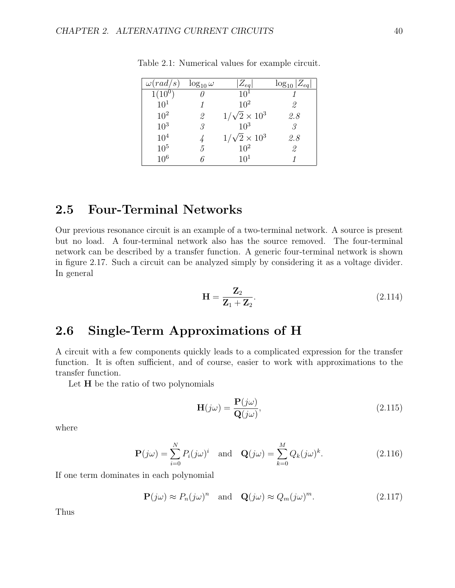| $\omega(rad/s)$ | $\log_{10} \omega$ | $\mathcal{L}_{eq}$       | $log_{10}$<br>$\mathcal{L}_{ea}$ |
|-----------------|--------------------|--------------------------|----------------------------------|
| $1(10^{0})$     |                    | $10^{1}$                 |                                  |
| $10^{1}$        |                    | $10^{2}$                 | 2                                |
| $10^{2}$        | 2                  | $1/\sqrt{2} \times 10^3$ | 2.8                              |
| $10^{3}$        | 3,                 | $10^{3}$                 | 3                                |
| $10^{4}$        |                    | $1/\sqrt{2} \times 10^3$ | 2.8                              |
| $10^{5}$        | 5                  | $10^{2}$                 | 2                                |
| $10^{6}$        |                    | $10^{1}$                 |                                  |

Table 2.1: Numerical values for example circuit.

# **2.5 Four-Terminal Networks**

Our previous resonance circuit is an example of a two-terminal network. A source is present but no load. A four-terminal network also has the source removed. The four-terminal network can be described by a transfer function. A generic four-terminal network is shown in figure 2.17. Such a circuit can be analyzed simply by considering it as a voltage divider. In general

$$
\mathbf{H} = \frac{\mathbf{Z}_2}{\mathbf{Z}_1 + \mathbf{Z}_2}.\tag{2.114}
$$

# **2.6 Single-Term Approximations of H**

A circuit with a few components quickly leads to a complicated expression for the transfer function. It is often sufficient, and of course, easier to work with approximations to the transfer function.

Let **H** be the ratio of two polynomials

$$
\mathbf{H}(j\omega) = \frac{\mathbf{P}(j\omega)}{\mathbf{Q}(j\omega)},
$$
\n(2.115)

where

$$
\mathbf{P}(j\omega) = \sum_{i=0}^{N} P_i(j\omega)^i \quad \text{and} \quad \mathbf{Q}(j\omega) = \sum_{k=0}^{M} Q_k(j\omega)^k.
$$
 (2.116)

If one term dominates in each polynomial

$$
\mathbf{P}(j\omega) \approx P_n(j\omega)^n \quad \text{and} \quad \mathbf{Q}(j\omega) \approx Q_m(j\omega)^m. \tag{2.117}
$$

Thus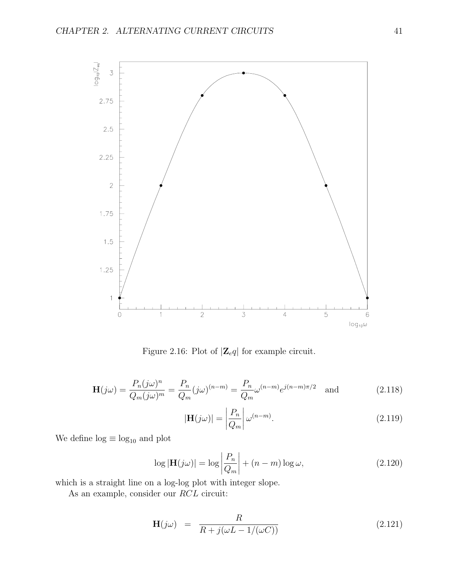

Figure 2.16: Plot of  $|\mathbf{Z}_e q|$  for example circuit.

$$
\mathbf{H}(j\omega) = \frac{P_n(j\omega)^n}{Q_m(j\omega)^m} = \frac{P_n}{Q_m}(j\omega)^{(n-m)} = \frac{P_n}{Q_m}\omega^{(n-m)}e^{j(n-m)\pi/2} \text{ and } (2.118)
$$

$$
|\mathbf{H}(j\omega)| = \left|\frac{P_n}{Q_m}\right|\omega^{(n-m)}.
$$
\n(2.119)

We define  $\log \equiv \log_{10}$  and plot

$$
\log |\mathbf{H}(j\omega)| = \log \left| \frac{P_n}{Q_m} \right| + (n - m) \log \omega, \tag{2.120}
$$

which is a straight line on a log-log plot with integer slope.

As an example, consider our RCL circuit:

$$
\mathbf{H}(j\omega) = \frac{R}{R + j(\omega L - 1/(\omega C))}
$$
(2.121)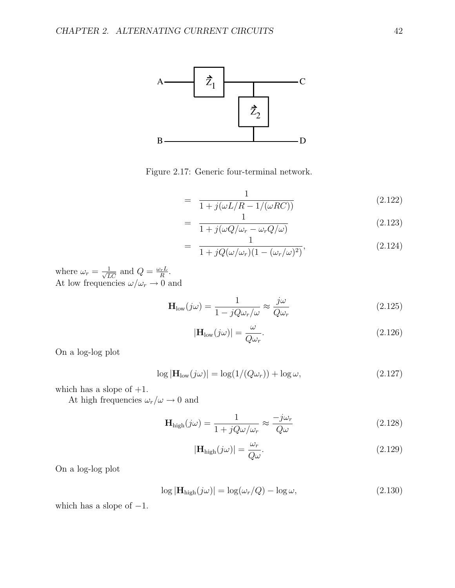

Figure 2.17: Generic four-terminal network.

$$
= \frac{1}{1 + j(\omega L/R - 1/(\omega RC))}
$$
 (2.122)

$$
= \frac{1}{1 + j(\omega Q/\omega_r - \omega_r Q/\omega)}\tag{2.123}
$$

$$
= \frac{1}{1 + jQ(\omega/\omega_r)(1 - (\omega_r/\omega)^2)},
$$
\n(2.124)

where  $\omega_r = \frac{1}{\sqrt{LC}}$  and  $Q = \frac{\omega_r L}{R}$ . At low frequencies  $\omega/\omega_r \to 0$  and

$$
\mathbf{H}_{\text{low}}(j\omega) = \frac{1}{1 - jQ\omega_r/\omega} \approx \frac{j\omega}{Q\omega_r}
$$
\n(2.125)

$$
|\mathbf{H}_{\text{low}}(j\omega)| = \frac{\omega}{Q\omega_r}.\tag{2.126}
$$

On a log-log plot

$$
\log|\mathbf{H}_{\text{low}}(j\omega)| = \log(1/(Q\omega_r)) + \log \omega,
$$
\n(2.127)

which has a slope of  $+1$ .

At high frequencies  $\omega_r/\omega \to 0$  and

$$
\mathbf{H}_{\text{high}}(j\omega) = \frac{1}{1 + jQ\omega/\omega_r} \approx \frac{-j\omega_r}{Q\omega}
$$
\n(2.128)

$$
|\mathbf{H}_{\text{high}}(j\omega)| = \frac{\omega_r}{Q\omega}.
$$
\n(2.129)

On a log-log plot

$$
\log|\mathbf{H}_{\text{high}}(j\omega)| = \log(\omega_r/Q) - \log \omega,\tag{2.130}
$$

which has a slope of  $-1$ .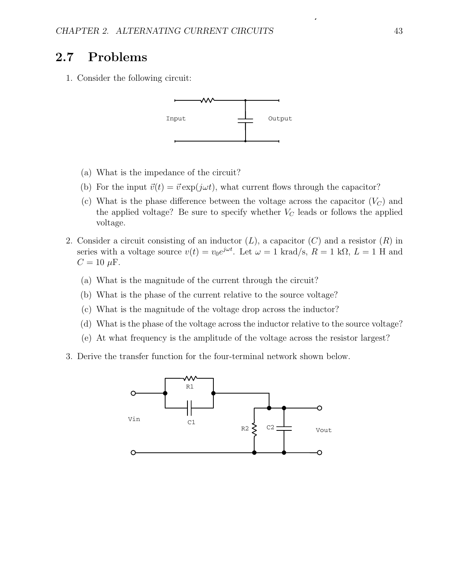# **2.7 Problems**

1. Consider the following circuit:



- (a) What is the impedance of the circuit?
- (b) For the input  $\vec{v}(t) = \vec{v} \exp(j\omega t)$ , what current flows through the capacitor?
- (c) What is the phase difference between the voltage across the capacitor  $(V_C)$  and the applied voltage? Be sure to specify whether  $V_C$  leads or follows the applied voltage.
- 2. Consider a circuit consisting of an inductor  $(L)$ , a capacitor  $(C)$  and a resistor  $(R)$  in series with a voltage source  $v(t) = v_0 e^{j\omega t}$ . Let  $\omega = 1$  krad/s,  $R = 1$  kΩ,  $L = 1$  H and  $C = 10 \mu F$ .
	- (a) What is the magnitude of the current through the circuit?
	- (b) What is the phase of the current relative to the source voltage?
	- (c) What is the magnitude of the voltage drop across the inductor?
	- (d) What is the phase of the voltage across the inductor relative to the source voltage?
	- (e) At what frequency is the amplitude of the voltage across the resistor largest?
- 3. Derive the transfer function for the four-terminal network shown below.

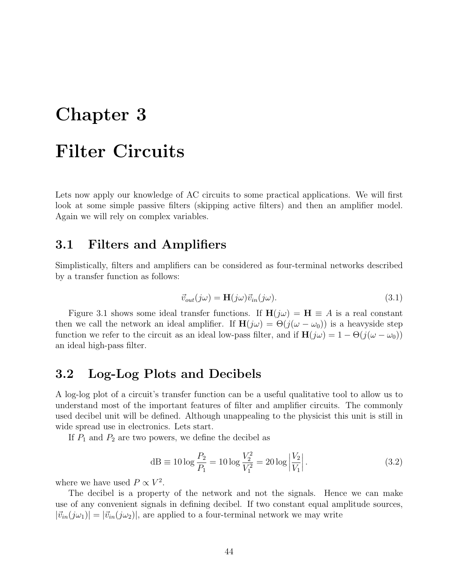# **Chapter 3**

# **Filter Circuits**

Lets now apply our knowledge of AC circuits to some practical applications. We will first look at some simple passive filters (skipping active filters) and then an amplifier model. Again we will rely on complex variables.

#### **3.1 Filters and Amplifiers**

Simplistically, filters and amplifiers can be considered as four-terminal networks described by a transfer function as follows:

$$
\vec{v}_{out}(j\omega) = \mathbf{H}(j\omega)\vec{v}_{in}(j\omega). \tag{3.1}
$$

Figure 3.1 shows some ideal transfer functions. If  $\mathbf{H}(j\omega) = \mathbf{H} \equiv A$  is a real constant then we call the network an ideal amplifier. If  $\mathbf{H}(j\omega) = \Theta(j(\omega - \omega_0))$  is a heavyside step function we refer to the circuit as an ideal low-pass filter, and if  $\mathbf{H}(j\omega)=1 - \Theta(j(\omega - \omega_0))$ an ideal high-pass filter.

# **3.2 Log-Log Plots and Decibels**

A log-log plot of a circuit's transfer function can be a useful qualitative tool to allow us to understand most of the important features of filter and amplifier circuits. The commonly used decibel unit will be defined. Although unappealing to the physicist this unit is still in wide spread use in electronics. Lets start.

If  $P_1$  and  $P_2$  are two powers, we define the decibel as

$$
dB \equiv 10 \log \frac{P_2}{P_1} = 10 \log \frac{V_2^2}{V_1^2} = 20 \log \left| \frac{V_2}{V_1} \right|.
$$
 (3.2)

where we have used  $P \propto V^2$ .

The decibel is a property of the network and not the signals. Hence we can make use of any convenient signals in defining decibel. If two constant equal amplitude sources,  $|\vec{v}_{in}(j\omega_1)| = |\vec{v}_{in}(j\omega_2)|$ , are applied to a four-terminal network we may write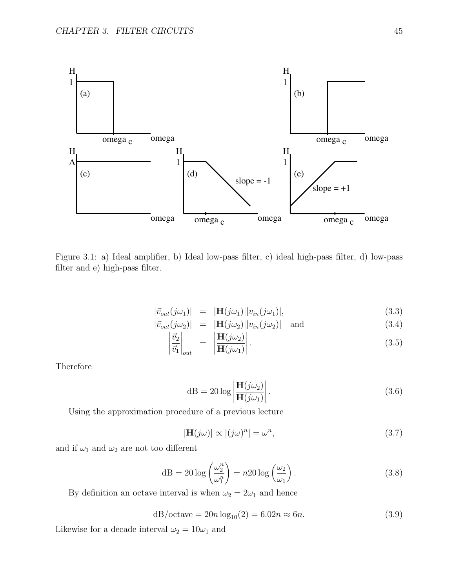

Figure 3.1: a) Ideal amplifier, b) Ideal low-pass filter, c) ideal high-pass filter, d) low-pass filter and e) high-pass filter.

$$
|\vec{v}_{out}(j\omega_1)| = |\mathbf{H}(j\omega_1)||v_{in}(j\omega_1)|,
$$
\n(3.3)

$$
|\vec{v}_{out}(j\omega_2)| = |\mathbf{H}(j\omega_2)||v_{in}(j\omega_2)| \text{ and } (3.4)
$$

$$
\left| \frac{\vec{v}_2}{\vec{v}_1} \right|_{out} = \left| \frac{\mathbf{H}(j\omega_2)}{\mathbf{H}(j\omega_1)} \right|.
$$
\n(3.5)

Therefore

$$
dB = 20 \log \left| \frac{\mathbf{H}(j\omega_2)}{\mathbf{H}(j\omega_1)} \right|.
$$
 (3.6)

Using the approximation procedure of a previous lecture

$$
|\mathbf{H}(j\omega)| \propto |(j\omega)^n| = \omega^n,
$$
\n(3.7)

and if  $\omega_1$  and  $\omega_2$  are not too different

$$
dB = 20 \log \left(\frac{\omega_2^n}{\omega_1^n}\right) = n20 \log \left(\frac{\omega_2}{\omega_1}\right). \tag{3.8}
$$

By definition an octave interval is when  $\omega_2 = 2\omega_1$  and hence

$$
dB/octave = 20n \log_{10}(2) = 6.02n \approx 6n.
$$
 (3.9)

Likewise for a decade interval  $\omega_2 = 10\omega_1$  and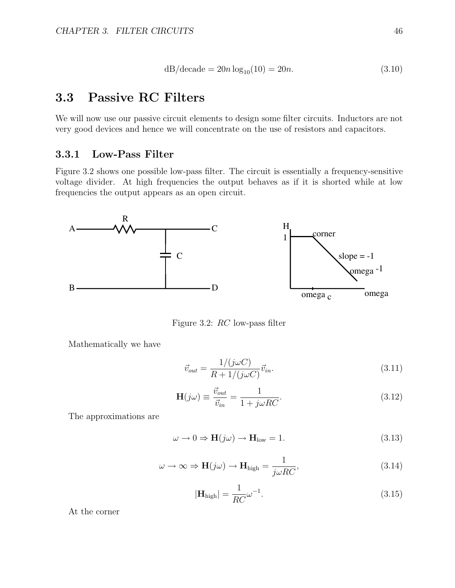$$
dB/decade = 20n \log_{10}(10) = 20n. \tag{3.10}
$$

# **3.3 Passive RC Filters**

We will now use our passive circuit elements to design some filter circuits. Inductors are not very good devices and hence we will concentrate on the use of resistors and capacitors.

#### **3.3.1 Low-Pass Filter**

Figure 3.2 shows one possible low-pass filter. The circuit is essentially a frequency-sensitive voltage divider. At high frequencies the output behaves as if it is shorted while at low frequencies the output appears as an open circuit.



Figure 3.2: RC low-pass filter

Mathematically we have

$$
\vec{v}_{out} = \frac{1/(j\omega C)}{R + 1/(j\omega C)} \vec{v}_{in}.
$$
\n(3.11)

$$
\mathbf{H}(j\omega) \equiv \frac{\vec{v}_{out}}{\vec{v}_{in}} = \frac{1}{1 + j\omega RC}.
$$
\n(3.12)

The approximations are

$$
\omega \to 0 \Rightarrow \mathbf{H}(j\omega) \to \mathbf{H}_{\text{low}} = 1. \tag{3.13}
$$

$$
\omega \to \infty \Rightarrow \mathbf{H}(j\omega) \to \mathbf{H}_{\text{high}} = \frac{1}{j\omega RC},\tag{3.14}
$$

$$
|\mathbf{H}_{\text{high}}| = \frac{1}{RC}\omega^{-1}.
$$
\n(3.15)

At the corner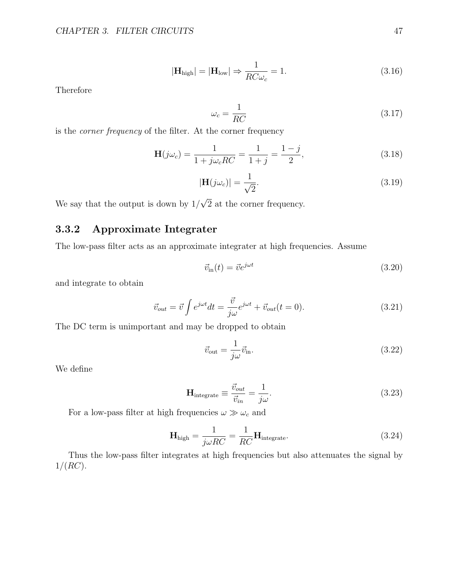$$
|\mathbf{H}_{\text{high}}| = |\mathbf{H}_{\text{low}}| \Rightarrow \frac{1}{RC\omega_c} = 1.
$$
\n(3.16)

Therefore

$$
\omega_c = \frac{1}{RC} \tag{3.17}
$$

is the corner frequency of the filter. At the corner frequency

$$
\mathbf{H}(j\omega_c) = \frac{1}{1 + j\omega_c RC} = \frac{1}{1 + j} = \frac{1 - j}{2},\tag{3.18}
$$

$$
|\mathbf{H}(j\omega_c)| = \frac{1}{\sqrt{2}}.\tag{3.19}
$$

We say that the output is down by  $1/\sqrt{2}$  at the corner frequency.

#### **3.3.2 Approximate Integrater**

The low-pass filter acts as an approximate integrater at high frequencies. Assume

$$
\vec{v}_{\text{in}}(t) = \vec{v}e^{j\omega t} \tag{3.20}
$$

and integrate to obtain

$$
\vec{v}_{out} = \vec{v} \int e^{j\omega t} dt = \frac{\vec{v}}{j\omega} e^{j\omega t} + \vec{v}_{out}(t=0).
$$
\n(3.21)

The DC term is unimportant and may be dropped to obtain

$$
\vec{v}_{\text{out}} = \frac{1}{j\omega}\vec{v}_{\text{in}}.\tag{3.22}
$$

We define

$$
\mathbf{H}_{\text{integrate}} \equiv \frac{\vec{v}_{out}}{\vec{v}_{in}} = \frac{1}{j\omega}.
$$
\n(3.23)

For a low-pass filter at high frequencies  $\omega \gg \omega_c$  and

$$
\mathbf{H}_{\text{high}} = \frac{1}{j\omega RC} = \frac{1}{RC} \mathbf{H}_{\text{integrate}}.
$$
\n(3.24)

Thus the low-pass filter integrates at high frequencies but also attenuates the signal by  $1/(RC)$ .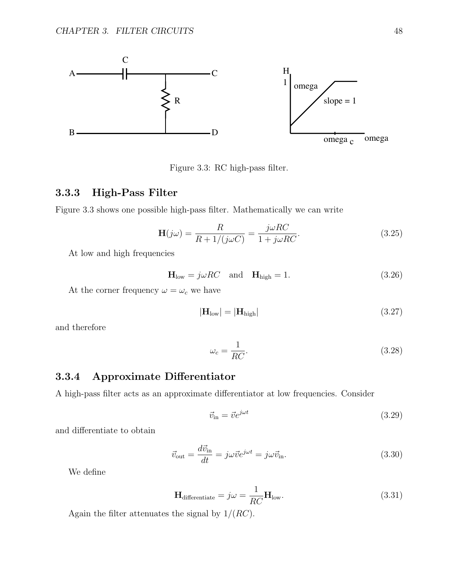

Figure 3.3: RC high-pass filter.

#### **3.3.3 High-Pass Filter**

Figure 3.3 shows one possible high-pass filter. Mathematically we can write

$$
\mathbf{H}(j\omega) = \frac{R}{R + 1/(j\omega C)} = \frac{j\omega RC}{1 + j\omega RC}.
$$
\n(3.25)

At low and high frequencies

$$
\mathbf{H}_{\text{low}} = j\omega RC \quad \text{and} \quad \mathbf{H}_{\text{high}} = 1. \tag{3.26}
$$

At the corner frequency  $\omega=\omega_c$  we have

$$
|\mathbf{H}_{\text{low}}| = |\mathbf{H}_{\text{high}}| \tag{3.27}
$$

and therefore

$$
\omega_c = \frac{1}{RC}.\tag{3.28}
$$

#### **3.3.4 Approximate Differentiator**

A high-pass filter acts as an approximate differentiator at low frequencies. Consider

$$
\vec{v}_{\text{in}} = \vec{v}e^{j\omega t} \tag{3.29}
$$

and differentiate to obtain

$$
\vec{v}_{\text{out}} = \frac{d\vec{v}_{\text{in}}}{dt} = j\omega \vec{v} e^{j\omega t} = j\omega \vec{v}_{\text{in}}.
$$
\n(3.30)

We define

$$
\mathbf{H}_{\text{differentiate}} = j\omega = \frac{1}{RC} \mathbf{H}_{\text{low}}.\tag{3.31}
$$

Again the filter attenuates the signal by  $1/(RC)$ .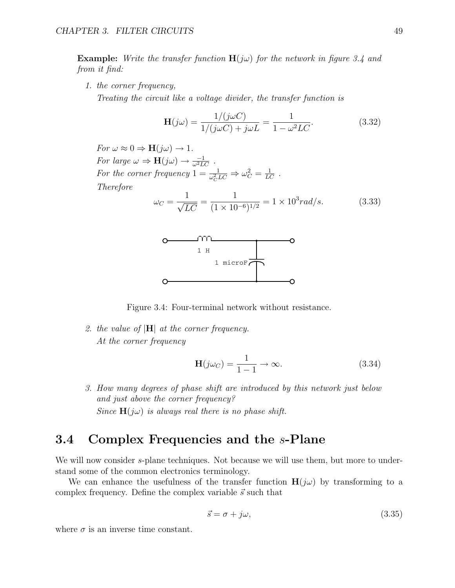**Example:** Write the transfer function  $\mathbf{H}(i\omega)$  for the network in figure 3.4 and from it find:

1. the corner frequency,

Treating the circuit like a voltage divider, the transfer function is

$$
\mathbf{H}(j\omega) = \frac{1/(j\omega C)}{1/(j\omega C) + j\omega L} = \frac{1}{1 - \omega^2 LC}.
$$
\n(3.32)

For  $\omega \approx 0 \Rightarrow \mathbf{H}(j\omega) \rightarrow 1$ . For large  $\omega \Rightarrow \mathbf{H}(j\omega) \rightarrow \frac{-1}{\omega^2 LC}$ . For the corner frequency  $1 = \frac{1}{\omega_C^2 LC} \Rightarrow \omega_C^2 = \frac{1}{LC}$ . Therefore

$$
\omega_C = \frac{1}{\sqrt{LC}} = \frac{1}{(1 \times 10^{-6})^{1/2}} = 1 \times 10^3 rad/s.
$$
 (3.33)



Figure 3.4: Four-terminal network without resistance.

2. the value of |**H**| at the corner frequency. At the corner frequency

$$
\mathbf{H}(j\omega_C) = \frac{1}{1-1} \to \infty.
$$
 (3.34)

3. How many degrees of phase shift are introduced by this network just below and just above the corner frequency? Since  $H(j\omega)$  is always real there is no phase shift.

# **3.4 Complex Frequencies and the** s**-Plane**

We will now consider s-plane techniques. Not because we will use them, but more to understand some of the common electronics terminology.

We can enhance the usefulness of the transfer function  $H(j\omega)$  by transforming to a complex frequency. Define the complex variable  $\vec{s}$  such that

$$
\vec{s} = \sigma + j\omega,\tag{3.35}
$$

where  $\sigma$  is an inverse time constant.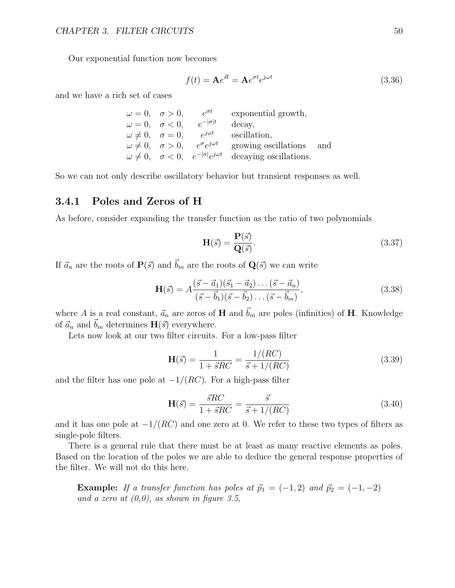Our exponential function now becomes

$$
f(t) = \mathbf{A}e^{\vec{s}t} = \mathbf{A}e^{\sigma t}e^{j\omega t}
$$
\n(3.36)

and we have a rich set of cases

| $\omega = 0, \quad \sigma > 0,$    | $e^{\sigma t}$               | exponential growth,      |  |
|------------------------------------|------------------------------|--------------------------|--|
| $\omega = 0, \quad \sigma < 0,$    | $e^{- \sigma t}$             | decay,                   |  |
| $\omega \neq 0, \quad \sigma = 0,$ | $e^{j\omega t}$              | oscillation,             |  |
| $\omega \neq 0, \quad \sigma > 0,$ | $e^{\sigma}e^{j\omega t}$    | growing oscillations and |  |
| $\omega \neq 0, \quad \sigma < 0,$ | $e^{- \sigma }e^{j\omega t}$ | decaying oscillations.   |  |

So we can not only describe oscillatory behavior but transient responses as well.

#### **3.4.1 Poles and Zeros of H**

As before, consider expanding the transfer function as the ratio of two polynomials

$$
\mathbf{H}(\vec{s}) = \frac{\mathbf{P}(\vec{s})}{\mathbf{Q}(\vec{s})}.
$$
\n(3.37)

If  $\vec{a}_n$  are the roots of  $\mathbf{P}(\vec{s})$  and  $\vec{b}_m$  are the roots of  $\mathbf{Q}(\vec{s})$  we can write

$$
\mathbf{H}(\vec{s}) = A \frac{(\vec{s} - \vec{a}_1)(\vec{s}_1 - \vec{a}_2) \dots (\vec{s} - \vec{a}_n)}{(\vec{s} - \vec{b}_1)(\vec{s} - \vec{b}_2) \dots (\vec{s} - \vec{b}_m)},
$$
(3.38)

where A is a real constant,  $\vec{a}_n$  are zeros of **H** and  $\vec{b}_m$  are poles (infinities) of **H**. Knowledge of  $\vec{a}_n$  and  $\vec{b}_m$  determines  $\mathbf{H}(\vec{s})$  everywhere.

Lets now look at our two filter circuits. For a low-pass filter

$$
\mathbf{H}(\vec{s}) = \frac{1}{1 + \vec{s}RC} = \frac{1/(RC)}{\vec{s} + 1/(RC)}
$$
(3.39)

and the filter has one pole at  $-1/(RC)$ . For a high-pass filter

$$
\mathbf{H}(\vec{s}) = \frac{\vec{s}RC}{1 + \vec{s}RC} = \frac{\vec{s}}{\vec{s} + 1/(RC)}
$$
\n(3.40)

and it has one pole at  $-1/(RC)$  and one zero at 0. We refer to these two types of filters as single-pole filters.

There is a general rule that there must be at least as many reactive elements as poles. Based on the location of the poles we are able to deduce the general response properties of the filter. We will not do this here.

**Example:** If a transfer function has poles at  $\vec{p}_1 = (-1, 2)$  and  $\vec{p}_2 = (-1, -2)$ and a zero at  $(0,0)$ , as shown in figure 3.5,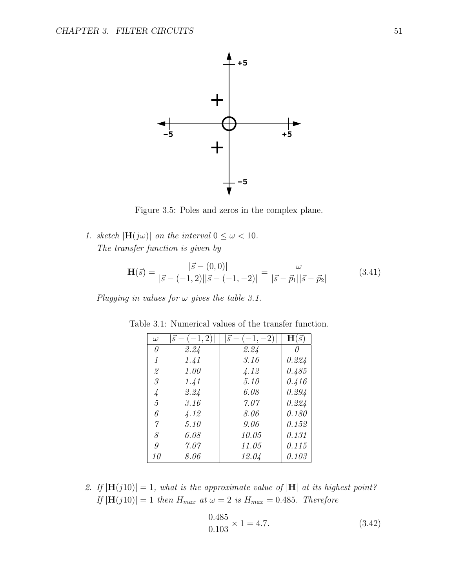

Figure 3.5: Poles and zeros in the complex plane.

1. sketch  $|\mathbf{H}(j\omega)|$  on the interval  $0 \leq \omega < 10$ . The transfer function is given by

$$
\mathbf{H}(\vec{s}) = \frac{|\vec{s} - (0,0)|}{|\vec{s} - (-1,2)||\vec{s} - (-1,-2)|} = \frac{\omega}{|\vec{s} - \vec{p}_1||\vec{s} - \vec{p}_2|}
$$
(3.41)

Plugging in values for  $\omega$  gives the table 3.1.

| $\omega$       | $\vec{s}$ –<br>$(-1, 2)$ | $\vec{s}$ —<br>$(-1,-2)$ | $H(\vec{s})$ |
|----------------|--------------------------|--------------------------|--------------|
| 0              | 2.24                     | 2.24                     |              |
| 1              | 1.41                     | 3.16                     | 0.224        |
| $\mathcal{Q}$  | 1.00                     | 4.12                     | 0.485        |
| $\mathcal{S}$  | 1.41                     | 5.10                     | 0.416        |
| $\overline{4}$ | 2.24                     | 6.08                     | 0.294        |
| 5              | 3.16                     | 7.07                     | 0.224        |
| 6              | 4.12                     | 8.06                     | 0.180        |
| 7              | 5.10                     | 9.06                     | 0.152        |
| 8              | 6.08                     | 10.05                    | 0.131        |
| 9              | 7.07                     | 11.05                    | 0.115        |
| 10             | 8.06                     | 12.04                    | 0.103        |

Table 3.1: Numerical values of the transfer function.

2. If  $|\mathbf{H}(j10)| = 1$ , what is the approximate value of  $|\mathbf{H}|$  at its highest point? If  $|\mathbf{H}(j10)| = 1$  then  $H_{max}$  at  $\omega = 2$  is  $H_{max} = 0.485$ . Therefore

$$
\frac{0.485}{0.103} \times 1 = 4.7. \tag{3.42}
$$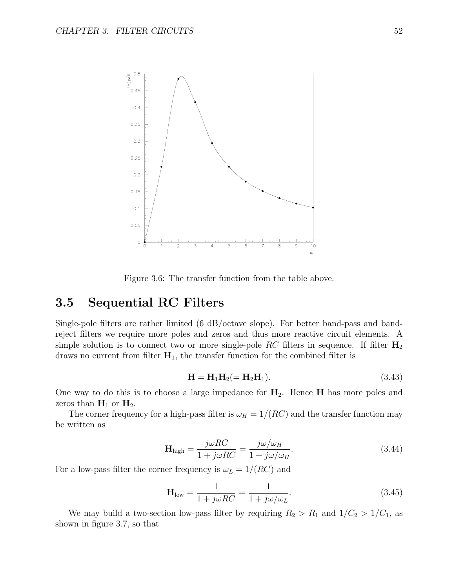

Figure 3.6: The transfer function from the table above.

# **3.5 Sequential RC Filters**

Single-pole filters are rather limited (6 dB/octave slope). For better band-pass and bandreject filters we require more poles and zeros and thus more reactive circuit elements. A simple solution is to connect two or more single-pole RC filters in sequence. If filter  $\mathbf{H}_{2}$ draws no current from filter  $H_1$ , the transfer function for the combined filter is

$$
\mathbf{H} = \mathbf{H}_1 \mathbf{H}_2 (= \mathbf{H}_2 \mathbf{H}_1). \tag{3.43}
$$

One way to do this is to choose a large impedance for  $H_2$ . Hence  $H$  has more poles and zeros than  $H_1$  or  $H_2$ .

The corner frequency for a high-pass filter is  $\omega_H = 1/(RC)$  and the transfer function may be written as

$$
\mathbf{H}_{\text{high}} = \frac{j\omega RC}{1 + j\omega RC} = \frac{j\omega/\omega_H}{1 + j\omega/\omega_H}.\tag{3.44}
$$

For a low-pass filter the corner frequency is  $\omega_L = 1/(RC)$  and

$$
\mathbf{H}_{\text{low}} = \frac{1}{1 + j\omega RC} = \frac{1}{1 + j\omega/\omega_L}.\tag{3.45}
$$

We may build a two-section low-pass filter by requiring  $R_2 > R_1$  and  $1/C_2 > 1/C_1$ , as shown in figure 3.7, so that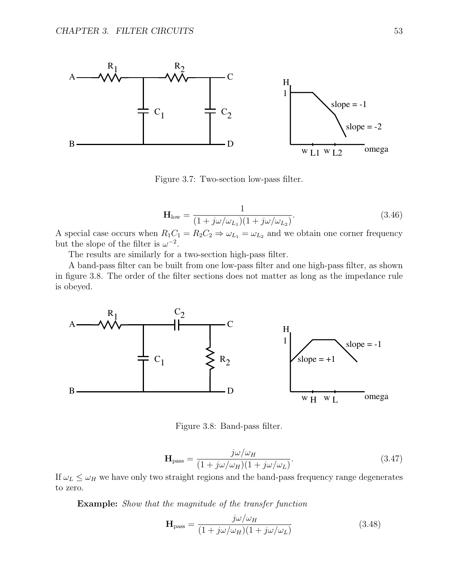

Figure 3.7: Two-section low-pass filter.

$$
\mathbf{H}_{\text{low}} = \frac{1}{(1 + j\omega/\omega_{L_1})(1 + j\omega/\omega_{L_2})}.
$$
 (3.46)

A special case occurs when  $R_1C_1 = R_2C_2 \Rightarrow \omega_{L_1} = \omega_{L_2}$  and we obtain one corner frequency but the slope of the filter is  $\omega^{-2}$ .

The results are similarly for a two-section high-pass filter.

A band-pass filter can be built from one low-pass filter and one high-pass filter, as shown in figure 3.8. The order of the filter sections does not matter as long as the impedance rule is obeyed.



Figure 3.8: Band-pass filter.

$$
\mathbf{H}_{\text{pass}} = \frac{j\omega/\omega_H}{(1 + j\omega/\omega_H)(1 + j\omega/\omega_L)}.\tag{3.47}
$$

If  $\omega_L \leq \omega_H$  we have only two straight regions and the band-pass frequency range degenerates to zero.

**Example:** Show that the magnitude of the transfer function

$$
\mathbf{H}_{\text{pass}} = \frac{j\omega/\omega_H}{(1 + j\omega/\omega_H)(1 + j\omega/\omega_L)}\tag{3.48}
$$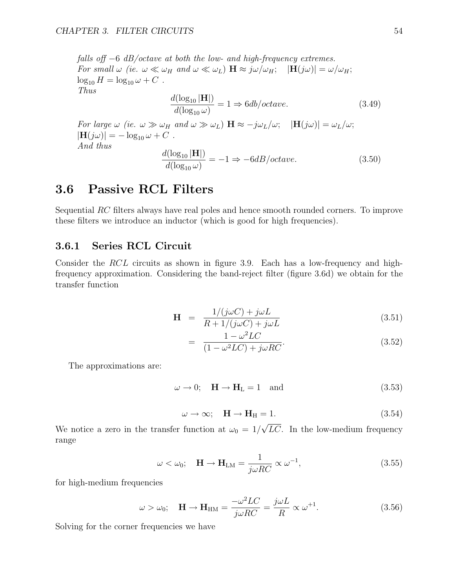falls of  $-6$  dB/octave at both the low- and high-frequency extremes. For small  $\omega$  (ie.  $\omega \ll \omega_H$  and  $\omega \ll \omega_L$ )  $\mathbf{H} \approx j\omega/\omega_H$ ;  $|\mathbf{H}(j\omega)| = \omega/\omega_H$ ;  $\log_{10} H = \log_{10} \omega + C$ . Thus  $d(\log_{10}|\mathbf{H}|)$  $\frac{d(\log_{10} 4.49)}{d(\log_{10} \omega)} = 1 \Rightarrow 6db/cctave.$  (3.49) For large  $\omega$  (ie.  $\omega \gg \omega_H$  and  $\omega \gg \omega_L$ )  $\mathbf{H} \approx -j\omega_L/\omega$ ;  $|\mathbf{H}(j\omega)| = \omega_L/\omega$ ;  $|\mathbf{H}(j\omega)| = -\log_{10} \omega + C$ . And thus  $d(\log_{10}|\mathbf{H}|)$  $\frac{d(\log_{10} 12)}{d(\log_{10} \omega)} = -1 \Rightarrow -6dB/cctave.$  (3.50)

# **3.6 Passive RCL Filters**

Sequential RC filters always have real poles and hence smooth rounded corners. To improve these filters we introduce an inductor (which is good for high frequencies).

#### **3.6.1 Series RCL Circuit**

Consider the RCL circuits as shown in figure 3.9. Each has a low-frequency and highfrequency approximation. Considering the band-reject filter (figure 3.6d) we obtain for the transfer function

$$
\mathbf{H} = \frac{1/(j\omega C) + j\omega L}{R + 1/(j\omega C) + j\omega L}
$$
(3.51)

$$
= \frac{1 - \omega^2 LC}{(1 - \omega^2 LC) + j\omega RC}.
$$
\n(3.52)

The approximations are:

$$
\omega \to 0; \quad \mathbf{H} \to \mathbf{H}_{\mathrm{L}} = 1 \quad \text{and} \tag{3.53}
$$

$$
\omega \to \infty; \quad \mathbf{H} \to \mathbf{H}_{\mathbf{H}} = 1. \tag{3.54}
$$

We notice a zero in the transfer function at  $\omega_0 = 1/$ √ LC. In the low-medium frequency range

$$
\omega < \omega_0; \quad \mathbf{H} \to \mathbf{H}_{\mathrm{LM}} = \frac{1}{j\omega RC} \propto \omega^{-1},\tag{3.55}
$$

for high-medium frequencies

$$
\omega > \omega_0;
$$
  $\mathbf{H} \to \mathbf{H}_{HM} = \frac{-\omega^2 LC}{j \omega RC} = \frac{j \omega L}{R} \propto \omega^{+1}.$  (3.56)

Solving for the corner frequencies we have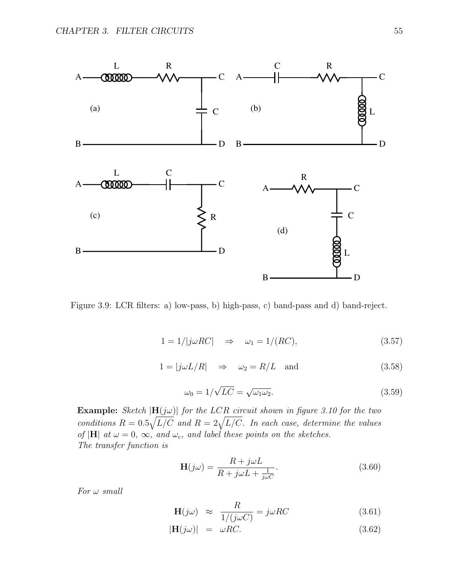

Figure 3.9: LCR filters: a) low-pass, b) high-pass, c) band-pass and d) band-reject.

$$
1 = 1/|j\omega RC| \Rightarrow \omega_1 = 1/(RC), \tag{3.57}
$$

$$
1 = |j\omega L/R| \Rightarrow \omega_2 = R/L \text{ and } (3.58)
$$

$$
\omega_0 = 1/\sqrt{LC} = \sqrt{\omega_1 \omega_2}.\tag{3.59}
$$

**Example:** Sketch  $|\mathbf{H}(j\omega)|$  for the LCR circuit shown in figure 3.10 for the two conditions  $R = 0.5\sqrt{L/C}$  and  $R = 2\sqrt{L/C}$ . In each case, determine the values of  $|\mathbf{H}|$  at  $\omega = 0$ ,  $\infty$ , and  $\omega_c$ , and label these points on the sketches. The transfer function is

$$
\mathbf{H}(j\omega) = \frac{R + j\omega L}{R + j\omega L + \frac{1}{j\omega C}}.\tag{3.60}
$$

For  $\omega$  small

$$
\mathbf{H}(j\omega) \approx \frac{R}{1/(j\omega C)} = j\omega RC \tag{3.61}
$$

$$
|\mathbf{H}(j\omega)| = \omega RC. \tag{3.62}
$$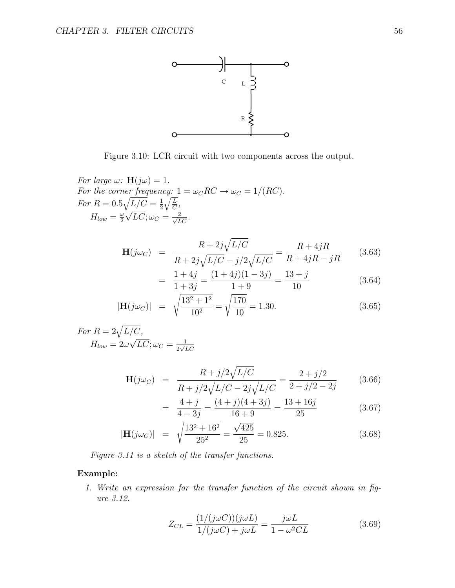

Figure 3.10: LCR circuit with two components across the output.

For large  $\omega$ :  $\mathbf{H}(j\omega)=1$ . For the corner frequency:  $1 = \omega_C RC \rightarrow \omega_C = 1/(RC)$ . *For*  $R = 0.5 \sqrt{L/C} = \frac{1}{2}$  $\sqrt{\frac{L}{C}},$  $H_{low} = \frac{\omega}{2}$ ∨'  $\overline{LC}; \omega_C = \frac{2}{\sqrt{LC}}.$ 

$$
\mathbf{H}(j\omega_C) = \frac{R + 2j\sqrt{L/C}}{R + 2j\sqrt{L/C} - j/2\sqrt{L/C}} = \frac{R + 4jR}{R + 4jR - jR}
$$
(3.63)

$$
= \frac{1+4j}{1+3j} = \frac{(1+4j)(1-3j)}{1+9} = \frac{13+j}{10}
$$
 (3.64)

$$
|\mathbf{H}(j\omega_C)| = \sqrt{\frac{13^2 + 1^2}{10^2}} = \sqrt{\frac{170}{10}} = 1.30.
$$
 (3.65)

For  $R = 2\sqrt{L/C}$ ,  $H_{low} = 2\omega$ √  $\overline{LC}; \omega_C = \frac{1}{2\sqrt{LC}}$ 

$$
\mathbf{H}(j\omega_C) = \frac{R + j/2\sqrt{L/C}}{R + j/2\sqrt{L/C} - 2j\sqrt{L/C}} = \frac{2 + j/2}{2 + j/2 - 2j} \tag{3.66}
$$

$$
= \frac{4+j}{4-3j} = \frac{(4+j)(4+3j)}{16+9} = \frac{13+16j}{25}
$$
(3.67)

$$
|\mathbf{H}(j\omega_C)| = \sqrt{\frac{13^2 + 16^2}{25^2}} = \frac{\sqrt{425}}{25} = 0.825.
$$
 (3.68)

Figure 3.11 is a sketch of the transfer functions.

#### **Example:**

1. Write an expression for the transfer function of the circuit shown in figure 3.12.

$$
Z_{CL} = \frac{(1/(j\omega C))(j\omega L)}{1/(j\omega C) + j\omega L} = \frac{j\omega L}{1 - \omega^2 CL}
$$
(3.69)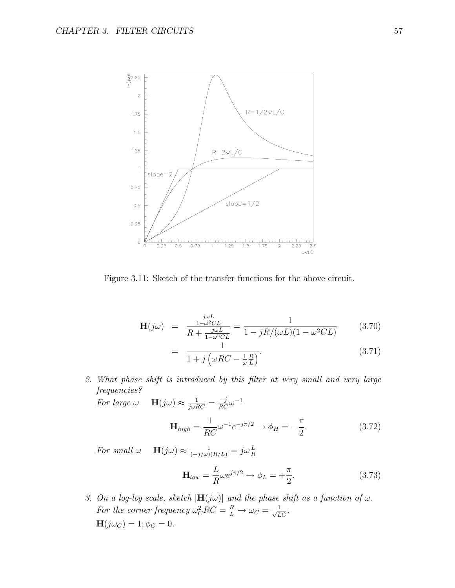

Figure 3.11: Sketch of the transfer functions for the above circuit.

$$
\mathbf{H}(j\omega) = \frac{\frac{j\omega L}{1 - \omega^2 CL}}{R + \frac{j\omega L}{1 - \omega^2 CL}} = \frac{1}{1 - jR/(\omega L)(1 - \omega^2 CL)}
$$
(3.70)

$$
= \frac{1}{1+j\left(\omega RC - \frac{1}{\omega}\frac{R}{L}\right)}.\tag{3.71}
$$

2. What phase shift is introduced by this filter at very small and very large frequencies?

For large  $\omega$  **H**(j $\omega$ )  $\approx \frac{1}{j\omega RC} = \frac{-j}{RC}\omega^{-1}$ 

$$
\mathbf{H}_{high} = \frac{1}{RC} \omega^{-1} e^{-j\pi/2} \to \phi_H = -\frac{\pi}{2}.
$$
 (3.72)

For small  $\omega$  **H**(j $\omega$ )  $\approx \frac{1}{(-j/\omega)(R/L)} = j\omega \frac{L}{R}$ 

$$
\mathbf{H}_{low} = \frac{L}{R} \omega e^{j\pi/2} \to \phi_L = +\frac{\pi}{2}.
$$
 (3.73)

3. On a log-log scale, sketch  $|\mathbf{H}(j\omega)|$  and the phase shift as a function of  $\omega$ . For the corner frequency  $\omega_C^2 RC = \frac{R}{L} \rightarrow \omega_C = \frac{1}{\sqrt{LC}}$ .  $\mathbf{H}(j\omega_C) = 1; \phi_C = 0.$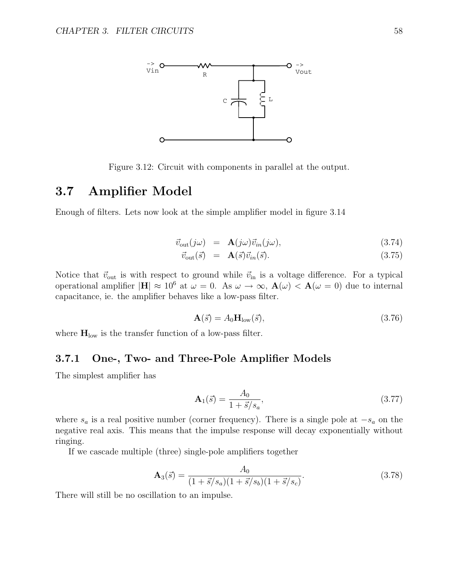

Figure 3.12: Circuit with components in parallel at the output.

## **3.7 Amplifier Model**

Enough of filters. Lets now look at the simple amplifier model in figure 3.14

$$
\vec{v}_{\text{out}}(j\omega) = \mathbf{A}(j\omega)\vec{v}_{in}(j\omega), \qquad (3.74)
$$

$$
\vec{v}_{\text{out}}(\vec{s}) = \mathbf{A}(\vec{s}) \vec{v}_{in}(\vec{s}). \tag{3.75}
$$

Notice that  $\vec{v}_{\text{out}}$  is with respect to ground while  $\vec{v}_{\text{in}}$  is a voltage difference. For a typical operational amplifier  $|\mathbf{H}| \approx 10^6$  at  $\omega = 0$ . As  $\omega \to \infty$ ,  $\mathbf{A}(\omega) < \mathbf{A}(\omega = 0)$  due to internal capacitance, ie. the amplifier behaves like a low-pass filter.

$$
\mathbf{A}(\vec{s}) = A_0 \mathbf{H}_{\text{low}}(\vec{s}),\tag{3.76}
$$

where  $\mathbf{H}_{\text{low}}$  is the transfer function of a low-pass filter.

#### **3.7.1 One-, Two- and Three-Pole Amplifier Models**

The simplest amplifier has

$$
\mathbf{A}_1(\vec{s}) = \frac{A_0}{1 + \vec{s}/s_a},\tag{3.77}
$$

where  $s_a$  is a real positive number (corner frequency). There is a single pole at  $-s_a$  on the negative real axis. This means that the impulse response will decay exponentially without ringing.

If we cascade multiple (three) single-pole amplifiers together

$$
\mathbf{A}_3(\vec{s}) = \frac{A_0}{(1 + \vec{s}/s_a)(1 + \vec{s}/s_b)(1 + \vec{s}/s_c)}.\tag{3.78}
$$

There will still be no oscillation to an impulse.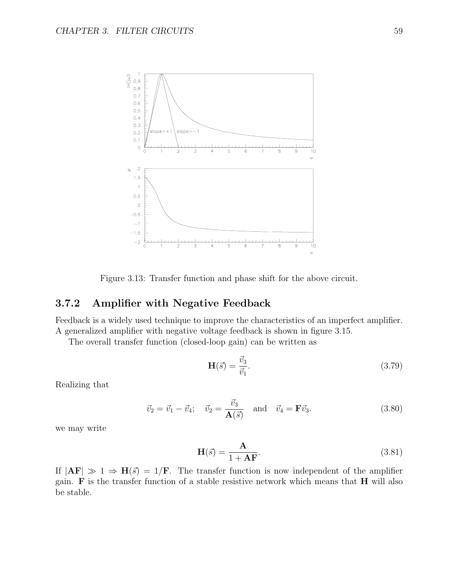

Figure 3.13: Transfer function and phase shift for the above circuit.

## **3.7.2 Amplifier with Negative Feedback**

Feedback is a widely used technique to improve the characteristics of an imperfect amplifier. A generalized amplifier with negative voltage feedback is shown in figure 3.15.

The overall transfer function (closed-loop gain) can be written as

$$
\mathbf{H}(\vec{s}) = \frac{\vec{v}_3}{\vec{v}_1}.\tag{3.79}
$$

Realizing that

$$
\vec{v}_2 = \vec{v}_1 - \vec{v}_4; \quad \vec{v}_2 = \frac{\vec{v}_3}{\mathbf{A}(\vec{s})} \text{ and } \vec{v}_4 = \mathbf{F}\vec{v}_3.
$$
\n(3.80)

we may write

$$
\mathbf{H}(\vec{s}) = \frac{\mathbf{A}}{1 + \mathbf{A}\mathbf{F}}.\tag{3.81}
$$

If  $|\mathbf{AF}| \gg 1 \Rightarrow \mathbf{H}(\vec{s})=1/\mathbf{F}$ . The transfer function is now independent of the amplifier gain. **F** is the transfer function of a stable resistive network which means that **H** will also be stable.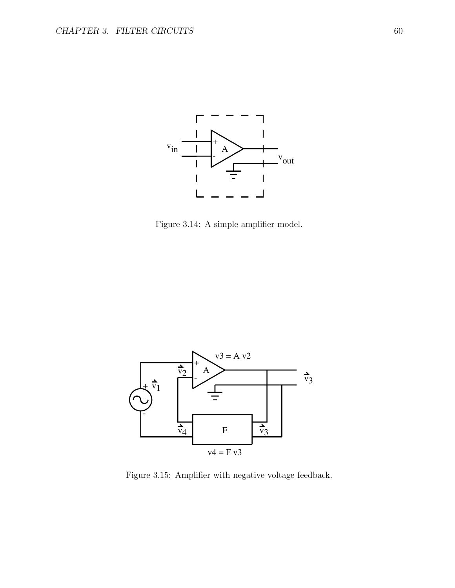

Figure 3.14: A simple amplifier model.



Figure 3.15: Amplifier with negative voltage feedback.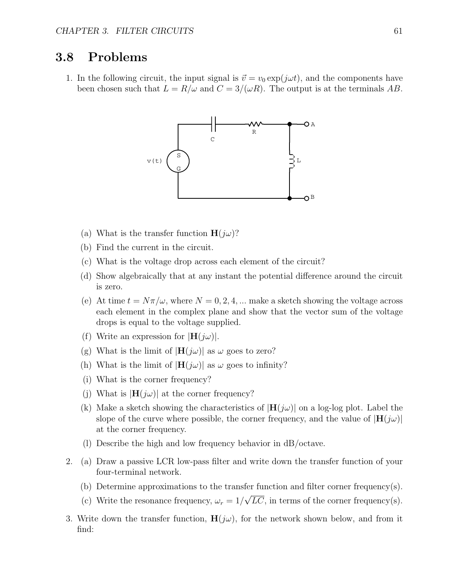# **3.8 Problems**

1. In the following circuit, the input signal is  $\vec{v} = v_0 \exp(j\omega t)$ , and the components have been chosen such that  $L = R/\omega$  and  $C = 3/(\omega R)$ . The output is at the terminals AB.



- (a) What is the transfer function  $H(j\omega)$ ?
- (b) Find the current in the circuit.
- (c) What is the voltage drop across each element of the circuit?
- (d) Show algebraically that at any instant the potential difference around the circuit is zero.
- (e) At time  $t = N\pi/\omega$ , where  $N = 0, 2, 4, ...$  make a sketch showing the voltage across each element in the complex plane and show that the vector sum of the voltage drops is equal to the voltage supplied.
- (f) Write an expression for  $|\mathbf{H}(j\omega)|$ .
- (g) What is the limit of  $|\mathbf{H}(j\omega)|$  as  $\omega$  goes to zero?
- (h) What is the limit of  $|\mathbf{H}(j\omega)|$  as  $\omega$  goes to infinity?
- (i) What is the corner frequency?
- (j) What is  $|\mathbf{H}(j\omega)|$  at the corner frequency?
- (k) Make a sketch showing the characteristics of  $|\mathbf{H}(j\omega)|$  on a log-log plot. Label the slope of the curve where possible, the corner frequency, and the value of  $|\mathbf{H}(j\omega)|$ at the corner frequency.
- (l) Describe the high and low frequency behavior in dB/octave.
- 2. (a) Draw a passive LCR low-pass filter and write down the transfer function of your four-terminal network.
	- (b) Determine approximations to the transfer function and filter corner frequency(s). √
	- (c) Write the resonance frequency,  $\omega_r = 1/$  $LC$ , in terms of the corner frequency(s).
- 3. Write down the transfer function,  $H(j\omega)$ , for the network shown below, and from it find: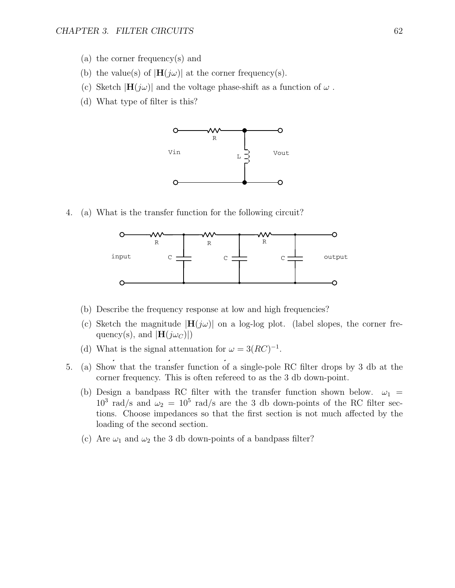- (a) the corner frequency(s) and
- (b) the value(s) of  $|\mathbf{H}(j\omega)|$  at the corner frequency(s).
- (c) Sketch  $|\mathbf{H}(j\omega)|$  and the voltage phase-shift as a function of  $\omega$ .
- (d) What type of filter is this?



4. (a) What is the transfer function for the following circuit?



- (b) Describe the frequency response at low and high frequencies?
- (c) Sketch the magnitude  $|\mathbf{H}(j\omega)|$  on a log-log plot. (label slopes, the corner frequency(s), and  $|\mathbf{H}(j\omega_C)|$
- (d) What is the signal attenuation for  $\omega = 3(RC)^{-1}$ .
- 5. (a) Show that the transfer function of a single-pole RC filter drops by 3 db at the corner frequency. This is often refereed to as the 3 db down-point.
	- (b) Design a bandpass RC filter with the transfer function shown below.  $\omega_1$  =  $10^3$  rad/s and  $\omega_2 = 10^5$  rad/s are the 3 db down-points of the RC filter sections. Choose impedances so that the first section is not much affected by the loading of the second section.
	- (c) Are  $\omega_1$  and  $\omega_2$  the 3 db down-points of a bandpass filter?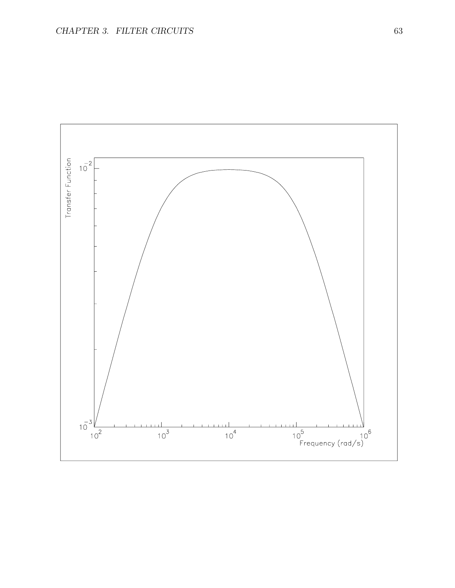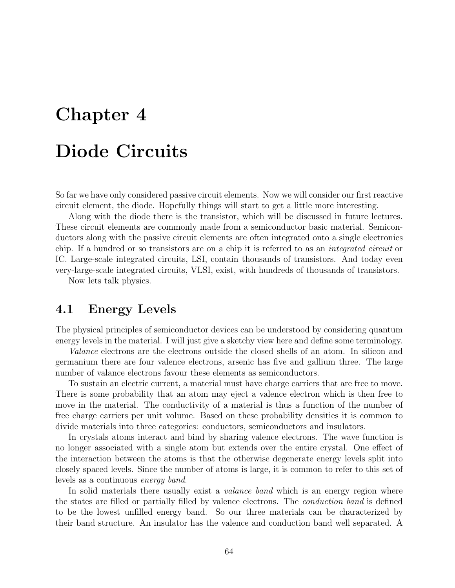# **Chapter 4 Diode Circuits**

So far we have only considered passive circuit elements. Now we will consider our first reactive circuit element, the diode. Hopefully things will start to get a little more interesting.

Along with the diode there is the transistor, which will be discussed in future lectures. These circuit elements are commonly made from a semiconductor basic material. Semiconductors along with the passive circuit elements are often integrated onto a single electronics chip. If a hundred or so transistors are on a chip it is referred to as an integrated circuit or IC. Large-scale integrated circuits, LSI, contain thousands of transistors. And today even very-large-scale integrated circuits, VLSI, exist, with hundreds of thousands of transistors.

Now lets talk physics.

# **4.1 Energy Levels**

The physical principles of semiconductor devices can be understood by considering quantum energy levels in the material. I will just give a sketchy view here and define some terminology.

Valance electrons are the electrons outside the closed shells of an atom. In silicon and germanium there are four valence electrons, arsenic has five and gallium three. The large number of valance electrons favour these elements as semiconductors.

To sustain an electric current, a material must have charge carriers that are free to move. There is some probability that an atom may eject a valence electron which is then free to move in the material. The conductivity of a material is thus a function of the number of free charge carriers per unit volume. Based on these probability densities it is common to divide materials into three categories: conductors, semiconductors and insulators.

In crystals atoms interact and bind by sharing valence electrons. The wave function is no longer associated with a single atom but extends over the entire crystal. One effect of the interaction between the atoms is that the otherwise degenerate energy levels split into closely spaced levels. Since the number of atoms is large, it is common to refer to this set of levels as a continuous energy band.

In solid materials there usually exist a *valance band* which is an energy region where the states are filled or partially filled by valence electrons. The conduction band is defined to be the lowest unfilled energy band. So our three materials can be characterized by their band structure. An insulator has the valence and conduction band well separated. A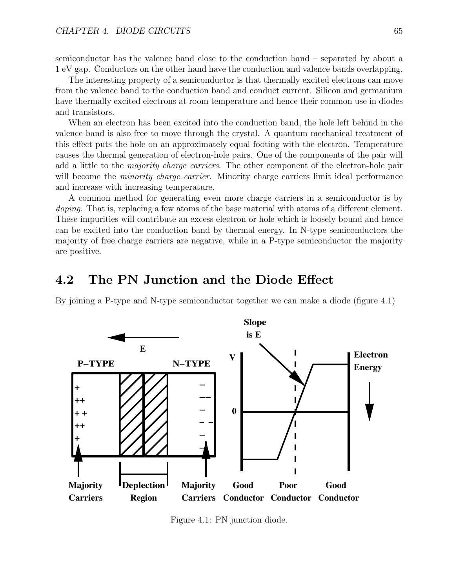semiconductor has the valence band close to the conduction band – separated by about a 1 eV gap. Conductors on the other hand have the conduction and valence bands overlapping.

The interesting property of a semiconductor is that thermally excited electrons can move from the valence band to the conduction band and conduct current. Silicon and germanium have thermally excited electrons at room temperature and hence their common use in diodes and transistors.

When an electron has been excited into the conduction band, the hole left behind in the valence band is also free to move through the crystal. A quantum mechanical treatment of this effect puts the hole on an approximately equal footing with the electron. Temperature causes the thermal generation of electron-hole pairs. One of the components of the pair will add a little to the majority charge carriers. The other component of the electron-hole pair will become the *minority charge carrier*. Minority charge carriers limit ideal performance and increase with increasing temperature.

A common method for generating even more charge carriers in a semiconductor is by doping. That is, replacing a few atoms of the base material with atoms of a different element. These impurities will contribute an excess electron or hole which is loosely bound and hence can be excited into the conduction band by thermal energy. In N-type semiconductors the majority of free charge carriers are negative, while in a P-type semiconductor the majority are positive.

# **4.2 The PN Junction and the Diode Effect**

By joining a P-type and N-type semiconductor together we can make a diode (figure 4.1)



Figure 4.1: PN junction diode.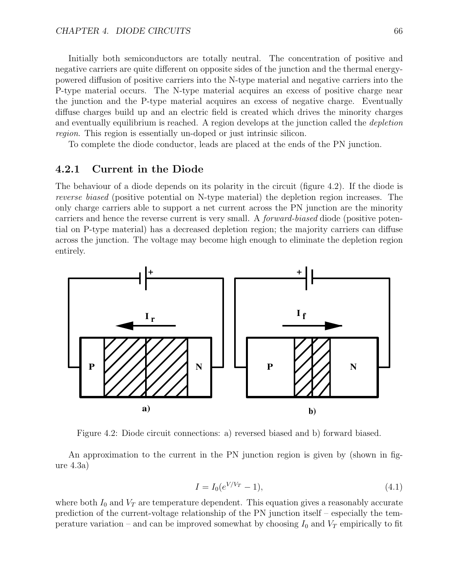Initially both semiconductors are totally neutral. The concentration of positive and negative carriers are quite different on opposite sides of the junction and the thermal energypowered diffusion of positive carriers into the N-type material and negative carriers into the P-type material occurs. The N-type material acquires an excess of positive charge near the junction and the P-type material acquires an excess of negative charge. Eventually diffuse charges build up and an electric field is created which drives the minority charges and eventually equilibrium is reached. A region develops at the junction called the depletion region. This region is essentially un-doped or just intrinsic silicon.

To complete the diode conductor, leads are placed at the ends of the PN junction.

#### **4.2.1 Current in the Diode**

The behaviour of a diode depends on its polarity in the circuit (figure 4.2). If the diode is reverse biased (positive potential on N-type material) the depletion region increases. The only charge carriers able to support a net current across the PN junction are the minority carriers and hence the reverse current is very small. A forward-biased diode (positive potential on P-type material) has a decreased depletion region; the majority carriers can diffuse across the junction. The voltage may become high enough to eliminate the depletion region entirely.



Figure 4.2: Diode circuit connections: a) reversed biased and b) forward biased.

An approximation to the current in the PN junction region is given by (shown in figure 4.3a)

$$
I = I_0(e^{V/V_T} - 1), \tag{4.1}
$$

where both  $I_0$  and  $V_T$  are temperature dependent. This equation gives a reasonably accurate prediction of the current-voltage relationship of the PN junction itself – especially the temperature variation – and can be improved somewhat by choosing  $I_0$  and  $V_T$  empirically to fit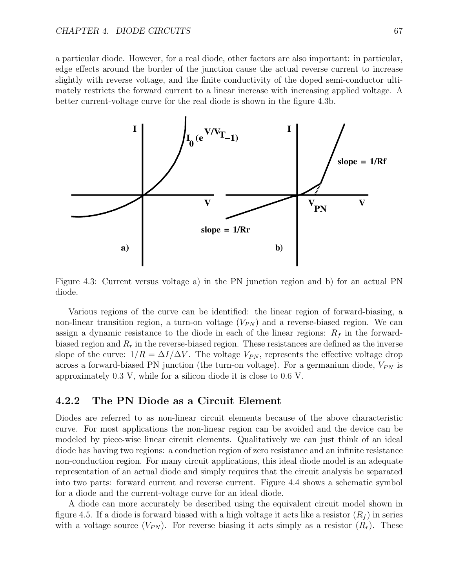a particular diode. However, for a real diode, other factors are also important: in particular, edge effects around the border of the junction cause the actual reverse current to increase slightly with reverse voltage, and the finite conductivity of the doped semi-conductor ultimately restricts the forward current to a linear increase with increasing applied voltage. A better current-voltage curve for the real diode is shown in the figure 4.3b.



Figure 4.3: Current versus voltage a) in the PN junction region and b) for an actual PN diode.

Various regions of the curve can be identified: the linear region of forward-biasing, a non-linear transition region, a turn-on voltage  $(V_{PN})$  and a reverse-biased region. We can assign a dynamic resistance to the diode in each of the linear regions:  $R_f$  in the forwardbiased region and  $R_r$  in the reverse-biased region. These resistances are defined as the inverse slope of the curve:  $1/R = \Delta I/\Delta V$ . The voltage  $V_{PN}$ , represents the effective voltage drop across a forward-biased PN junction (the turn-on voltage). For a germanium diode,  $V_{PN}$  is approximately 0.3 V, while for a silicon diode it is close to 0.6 V.

#### **4.2.2 The PN Diode as a Circuit Element**

Diodes are referred to as non-linear circuit elements because of the above characteristic curve. For most applications the non-linear region can be avoided and the device can be modeled by piece-wise linear circuit elements. Qualitatively we can just think of an ideal diode has having two regions: a conduction region of zero resistance and an infinite resistance non-conduction region. For many circuit applications, this ideal diode model is an adequate representation of an actual diode and simply requires that the circuit analysis be separated into two parts: forward current and reverse current. Figure 4.4 shows a schematic symbol for a diode and the current-voltage curve for an ideal diode.

A diode can more accurately be described using the equivalent circuit model shown in figure 4.5. If a diode is forward biased with a high voltage it acts like a resistor  $(R_f)$  in series with a voltage source  $(V_{PN})$ . For reverse biasing it acts simply as a resistor  $(R_r)$ . These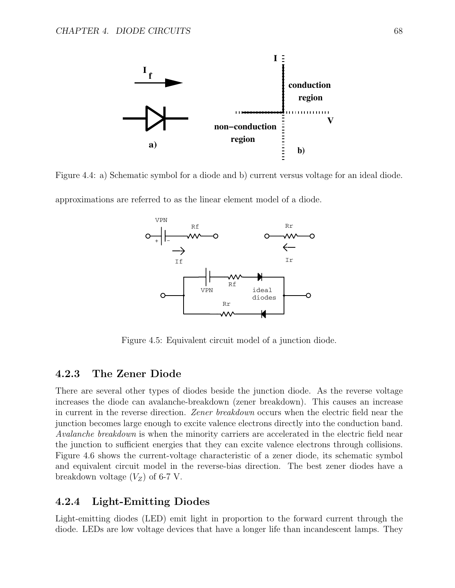

Figure 4.4: a) Schematic symbol for a diode and b) current versus voltage for an ideal diode.

approximations are referred to as the linear element model of a diode.



Figure 4.5: Equivalent circuit model of a junction diode.

#### **4.2.3 The Zener Diode**

There are several other types of diodes beside the junction diode. As the reverse voltage increases the diode can avalanche-breakdown (zener breakdown). This causes an increase in current in the reverse direction. Zener breakdown occurs when the electric field near the junction becomes large enough to excite valence electrons directly into the conduction band. Avalanche breakdown is when the minority carriers are accelerated in the electric field near the junction to sufficient energies that they can excite valence electrons through collisions. Figure 4.6 shows the current-voltage characteristic of a zener diode, its schematic symbol and equivalent circuit model in the reverse-bias direction. The best zener diodes have a breakdown voltage  $(V_Z)$  of 6-7 V.

## **4.2.4 Light-Emitting Diodes**

Light-emitting diodes (LED) emit light in proportion to the forward current through the diode. LEDs are low voltage devices that have a longer life than incandescent lamps. They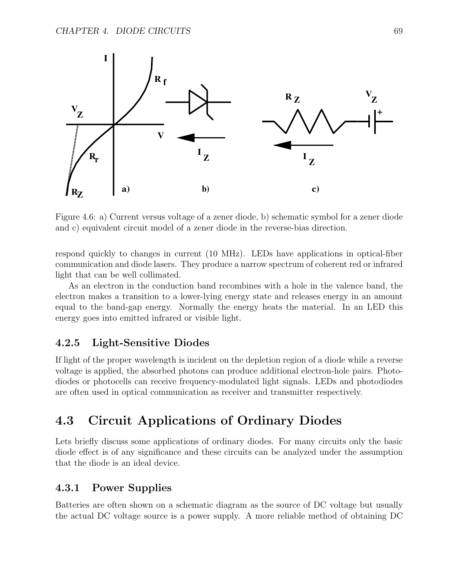

Figure 4.6: a) Current versus voltage of a zener diode, b) schematic symbol for a zener diode and c) equivalent circuit model of a zener diode in the reverse-bias direction.

respond quickly to changes in current (10 MHz). LEDs have applications in optical-fiber communication and diode lasers. They produce a narrow spectrum of coherent red or infrared light that can be well collimated.

As an electron in the conduction band recombines with a hole in the valence band, the electron makes a transition to a lower-lying energy state and releases energy in an amount equal to the band-gap energy. Normally the energy heats the material. In an LED this energy goes into emitted infrared or visible light.

#### **4.2.5 Light-Sensitive Diodes**

If light of the proper wavelength is incident on the depletion region of a diode while a reverse voltage is applied, the absorbed photons can produce additional electron-hole pairs. Photodiodes or photocells can receive frequency-modulated light signals. LEDs and photodiodes are often used in optical communication as receiver and transmitter respectively.

# **4.3 Circuit Applications of Ordinary Diodes**

Lets briefly discuss some applications of ordinary diodes. For many circuits only the basic diode effect is of any significance and these circuits can be analyzed under the assumption that the diode is an ideal device.

#### **4.3.1 Power Supplies**

Batteries are often shown on a schematic diagram as the source of DC voltage but usually the actual DC voltage source is a power supply. A more reliable method of obtaining DC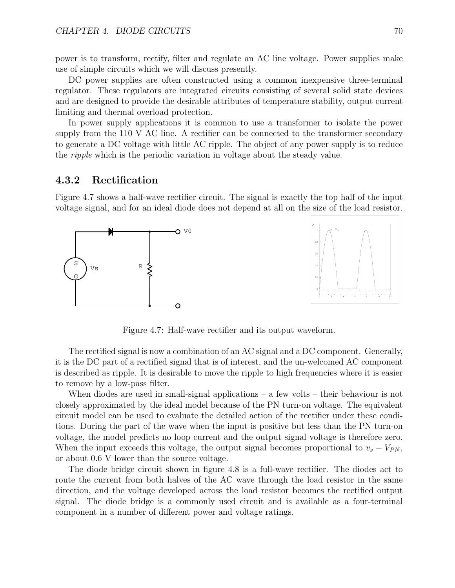power is to transform, rectify, filter and regulate an AC line voltage. Power supplies make use of simple circuits which we will discuss presently.

DC power supplies are often constructed using a common inexpensive three-terminal regulator. These regulators are integrated circuits consisting of several solid state devices and are designed to provide the desirable attributes of temperature stability, output current limiting and thermal overload protection.

In power supply applications it is common to use a transformer to isolate the power supply from the 110 V AC line. A rectifier can be connected to the transformer secondary to generate a DC voltage with little AC ripple. The object of any power supply is to reduce the ripple which is the periodic variation in voltage about the steady value.

#### **4.3.2 Rectification**

Figure 4.7 shows a half-wave rectifier circuit. The signal is exactly the top half of the input voltage signal, and for an ideal diode does not depend at all on the size of the load resistor.



Figure 4.7: Half-wave rectifier and its output waveform.

The rectified signal is now a combination of an AC signal and a DC component. Generally, it is the DC part of a rectified signal that is of interest, and the un-welcomed AC component is described as ripple. It is desirable to move the ripple to high frequencies where it is easier to remove by a low-pass filter.

When diodes are used in small-signal applications  $-$  a few volts  $-$  their behaviour is not closely approximated by the ideal model because of the PN turn-on voltage. The equivalent circuit model can be used to evaluate the detailed action of the rectifier under these conditions. During the part of the wave when the input is positive but less than the PN turn-on voltage, the model predicts no loop current and the output signal voltage is therefore zero. When the input exceeds this voltage, the output signal becomes proportional to  $v_s - V_{PN}$ , or about 0.6 V lower than the source voltage.

The diode bridge circuit shown in figure 4.8 is a full-wave rectifier. The diodes act to route the current from both halves of the AC wave through the load resistor in the same direction, and the voltage developed across the load resistor becomes the rectified output signal. The diode bridge is a commonly used circuit and is available as a four-terminal component in a number of different power and voltage ratings.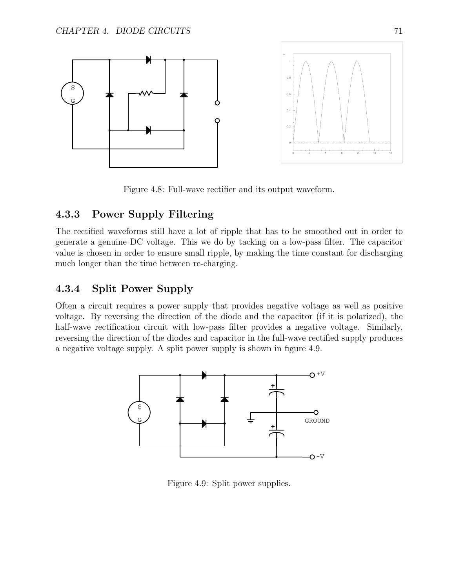

Figure 4.8: Full-wave rectifier and its output waveform.

### **4.3.3 Power Supply Filtering**

The rectified waveforms still have a lot of ripple that has to be smoothed out in order to generate a genuine DC voltage. This we do by tacking on a low-pass filter. The capacitor value is chosen in order to ensure small ripple, by making the time constant for discharging much longer than the time between re-charging.

### **4.3.4 Split Power Supply**

Often a circuit requires a power supply that provides negative voltage as well as positive voltage. By reversing the direction of the diode and the capacitor (if it is polarized), the half-wave rectification circuit with low-pass filter provides a negative voltage. Similarly, reversing the direction of the diodes and capacitor in the full-wave rectified supply produces a negative voltage supply. A split power supply is shown in figure 4.9.



Figure 4.9: Split power supplies.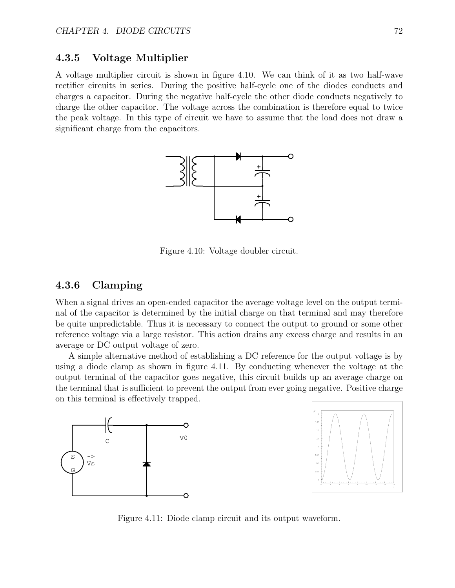#### **4.3.5 Voltage Multiplier**

A voltage multiplier circuit is shown in figure 4.10. We can think of it as two half-wave rectifier circuits in series. During the positive half-cycle one of the diodes conducts and charges a capacitor. During the negative half-cycle the other diode conducts negatively to charge the other capacitor. The voltage across the combination is therefore equal to twice the peak voltage. In this type of circuit we have to assume that the load does not draw a significant charge from the capacitors.



Figure 4.10: Voltage doubler circuit.

#### **4.3.6 Clamping**

When a signal drives an open-ended capacitor the average voltage level on the output terminal of the capacitor is determined by the initial charge on that terminal and may therefore be quite unpredictable. Thus it is necessary to connect the output to ground or some other reference voltage via a large resistor. This action drains any excess charge and results in an average or DC output voltage of zero.

A simple alternative method of establishing a DC reference for the output voltage is by using a diode clamp as shown in figure 4.11. By conducting whenever the voltage at the output terminal of the capacitor goes negative, this circuit builds up an average charge on the terminal that is sufficient to prevent the output from ever going negative. Positive charge on this terminal is effectively trapped.





Figure 4.11: Diode clamp circuit and its output waveform.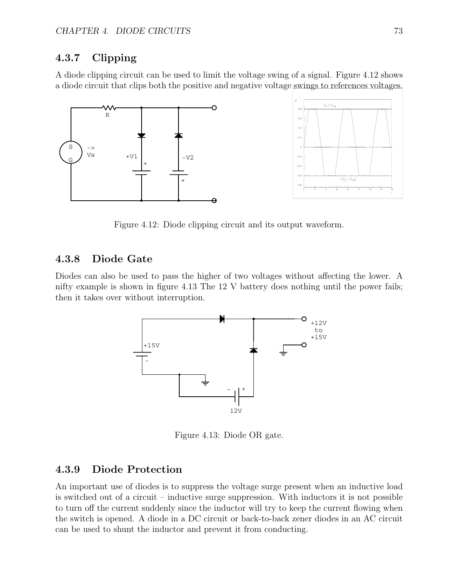### **4.3.7 Clipping**

A diode clipping circuit can be used to limit the voltage swing of a signal. Figure 4.12 shows a diode circuit that clips both the positive and negative voltage swings to references voltages.



Figure 4.12: Diode clipping circuit and its output waveform.

#### **4.3.8 Diode Gate**

Diodes can also be used to pass the higher of two voltages without affecting the lower. A nifty example is shown in figure 4.13 The 12 V battery does nothing until the power fails; then it takes over without interruption.



Figure 4.13: Diode OR gate.

#### **4.3.9 Diode Protection**

An important use of diodes is to suppress the voltage surge present when an inductive load is switched out of a circuit – inductive surge suppression. With inductors it is not possible to turn off the current suddenly since the inductor will try to keep the current flowing when the switch is opened. A diode in a DC circuit or back-to-back zener diodes in an AC circuit can be used to shunt the inductor and prevent it from conducting.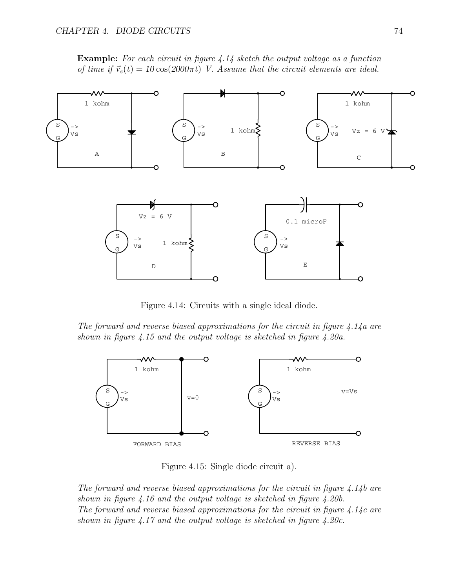**Example:** For each circuit in figure 4.14 sketch the output voltage as a function of time if  $\vec{v}_s(t) = 10 \cos(2000\pi t)$  V. Assume that the circuit elements are ideal.



Figure 4.14: Circuits with a single ideal diode.

The forward and reverse biased approximations for the circuit in figure 4.14a are shown in figure  $4.15$  and the output voltage is sketched in figure  $4.20a$ .



Figure 4.15: Single diode circuit a).

The forward and reverse biased approximations for the circuit in figure 4.14b are shown in figure  $\angle 4.16$  and the output voltage is sketched in figure  $\angle 4.20b$ . The forward and reverse biased approximations for the circuit in figure 4.14c are shown in figure  $4.17$  and the output voltage is sketched in figure  $4.20c$ .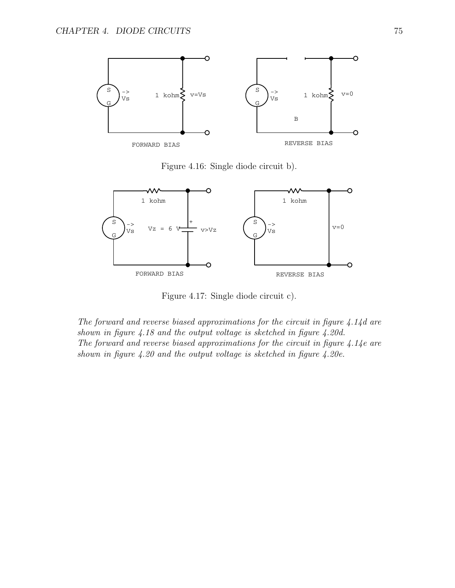

Figure 4.16: Single diode circuit b).



Figure 4.17: Single diode circuit c).

The forward and reverse biased approximations for the circuit in figure 4.14d are shown in figure 4.18 and the output voltage is sketched in figure 4.20d. The forward and reverse biased approximations for the circuit in figure 4.14e are shown in figure 4.20 and the output voltage is sketched in figure 4.20e.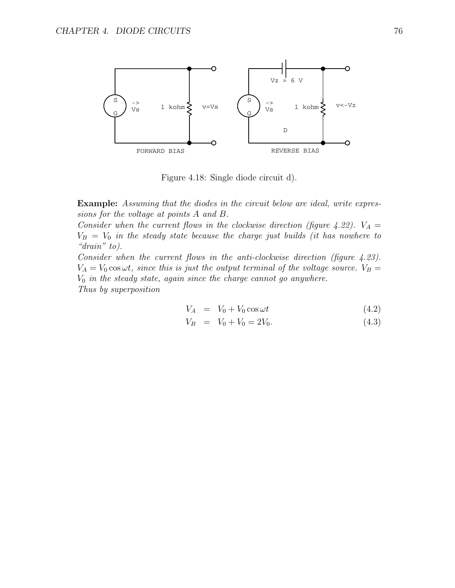

Figure 4.18: Single diode circuit d).

**Example:** Assuming that the diodes in the circuit below are ideal, write expressions for the voltage at points A and B.

Consider when the current flows in the clockwise direction (figure 4.22).  $V_A =$  $V_B = V_0$  in the steady state because the charge just builds (it has nowhere to "drain" to).

Consider when the current flows in the anti-clockwise direction (figure 4.23).  $V_A = V_0 \cos \omega t$ , since this is just the output terminal of the voltage source.  $V_B =$  $V_0$  in the steady state, again since the charge cannot go anywhere. Thus by superposition

$$
V_A = V_0 + V_0 \cos \omega t \tag{4.2}
$$

$$
V_B = V_0 + V_0 = 2V_0. \tag{4.3}
$$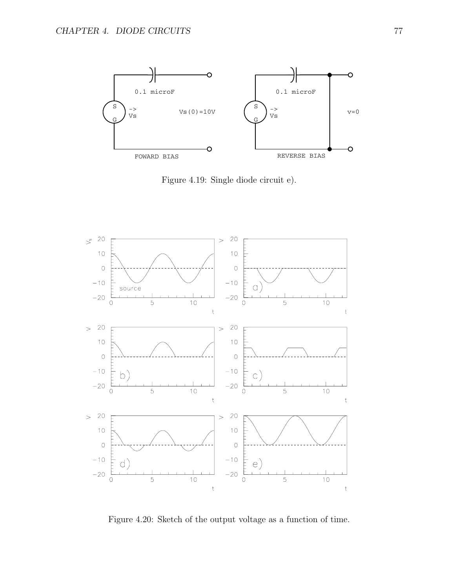

Figure 4.19: Single diode circuit e).



Figure 4.20: Sketch of the output voltage as a function of time.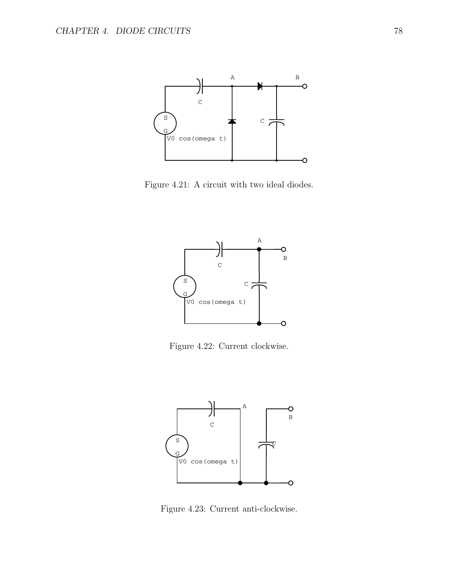

Figure 4.21: A circuit with two ideal diodes.



Figure 4.22: Current clockwise.



Figure 4.23: Current anti-clockwise.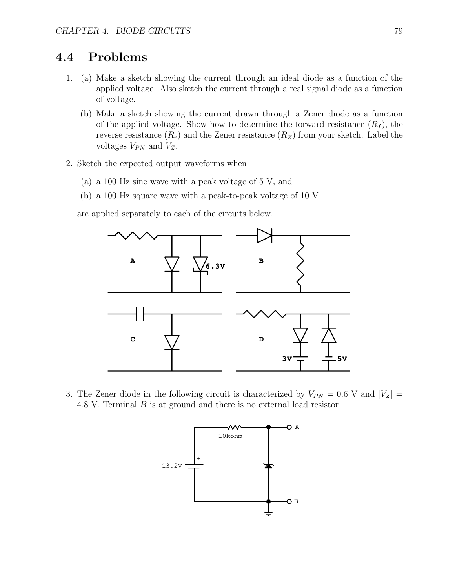# **4.4 Problems**

- 1. (a) Make a sketch showing the current through an ideal diode as a function of the applied voltage. Also sketch the current through a real signal diode as a function of voltage.
	- (b) Make a sketch showing the current drawn through a Zener diode as a function of the applied voltage. Show how to determine the forward resistance  $(R_f)$ , the reverse resistance  $(R_r)$  and the Zener resistance  $(R_Z)$  from your sketch. Label the voltages  $V_{PN}$  and  $V_Z$ .
- 2. Sketch the expected output waveforms when
	- (a) a 100 Hz sine wave with a peak voltage of 5 V, and
	- (b) a 100 Hz square wave with a peak-to-peak voltage of 10 V

are applied separately to each of the circuits below.



3. The Zener diode in the following circuit is characterized by  $V_{PN} = 0.6$  V and  $|V_Z| =$ 4.8 V. Terminal B is at ground and there is no external load resistor.

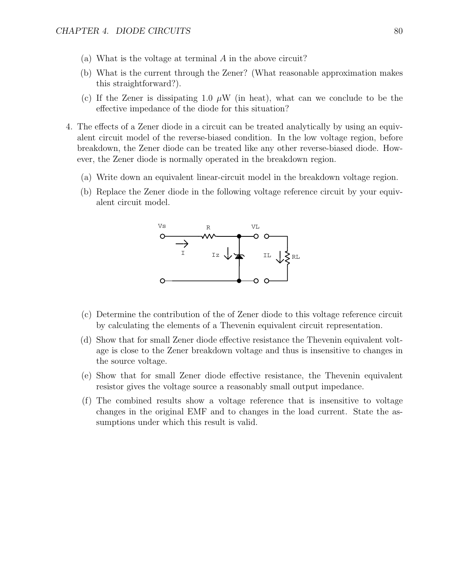- (a) What is the voltage at terminal A in the above circuit?
- (b) What is the current through the Zener? (What reasonable approximation makes this straightforward?).
- (c) If the Zener is dissipating 1.0  $\mu$ W (in heat), what can we conclude to be the effective impedance of the diode for this situation?
- 4. The effects of a Zener diode in a circuit can be treated analytically by using an equivalent circuit model of the reverse-biased condition. In the low voltage region, before breakdown, the Zener diode can be treated like any other reverse-biased diode. However, the Zener diode is normally operated in the breakdown region.
	- (a) Write down an equivalent linear-circuit model in the breakdown voltage region.
	- (b) Replace the Zener diode in the following voltage reference circuit by your equivalent circuit model.



- (c) Determine the contribution of the of Zener diode to this voltage reference circuit by calculating the elements of a Thevenin equivalent circuit representation.
- (d) Show that for small Zener diode effective resistance the Thevenin equivalent voltage is close to the Zener breakdown voltage and thus is insensitive to changes in the source voltage.
- (e) Show that for small Zener diode effective resistance, the Thevenin equivalent resistor gives the voltage source a reasonably small output impedance.
- (f) The combined results show a voltage reference that is insensitive to voltage changes in the original EMF and to changes in the load current. State the assumptions under which this result is valid.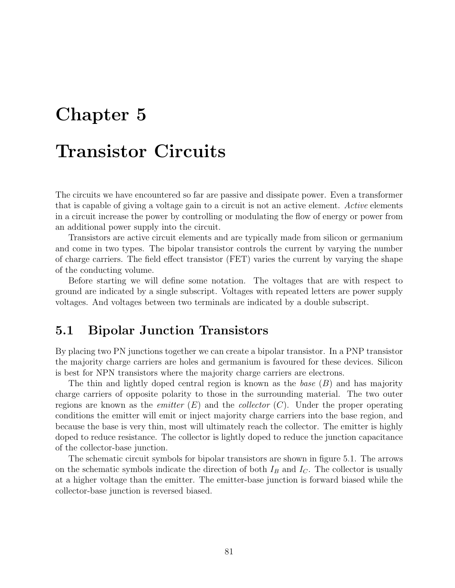# **Chapter 5**

# **Transistor Circuits**

The circuits we have encountered so far are passive and dissipate power. Even a transformer that is capable of giving a voltage gain to a circuit is not an active element. Active elements in a circuit increase the power by controlling or modulating the flow of energy or power from an additional power supply into the circuit.

Transistors are active circuit elements and are typically made from silicon or germanium and come in two types. The bipolar transistor controls the current by varying the number of charge carriers. The field effect transistor (FET) varies the current by varying the shape of the conducting volume.

Before starting we will define some notation. The voltages that are with respect to ground are indicated by a single subscript. Voltages with repeated letters are power supply voltages. And voltages between two terminals are indicated by a double subscript.

### **5.1 Bipolar Junction Transistors**

By placing two PN junctions together we can create a bipolar transistor. In a PNP transistor the majority charge carriers are holes and germanium is favoured for these devices. Silicon is best for NPN transistors where the majority charge carriers are electrons.

The thin and lightly doped central region is known as the *base*  $(B)$  and has majority charge carriers of opposite polarity to those in the surrounding material. The two outer regions are known as the *emitter*  $(E)$  and the *collector*  $(C)$ . Under the proper operating conditions the emitter will emit or inject majority charge carriers into the base region, and because the base is very thin, most will ultimately reach the collector. The emitter is highly doped to reduce resistance. The collector is lightly doped to reduce the junction capacitance of the collector-base junction.

The schematic circuit symbols for bipolar transistors are shown in figure 5.1. The arrows on the schematic symbols indicate the direction of both  $I_B$  and  $I_C$ . The collector is usually at a higher voltage than the emitter. The emitter-base junction is forward biased while the collector-base junction is reversed biased.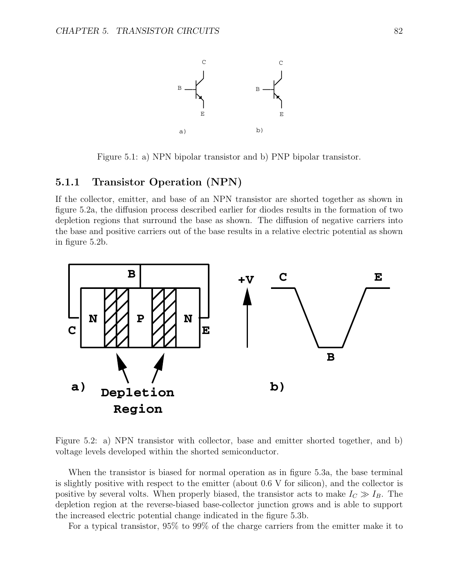

Figure 5.1: a) NPN bipolar transistor and b) PNP bipolar transistor.

#### **5.1.1 Transistor Operation (NPN)**

If the collector, emitter, and base of an NPN transistor are shorted together as shown in figure 5.2a, the diffusion process described earlier for diodes results in the formation of two depletion regions that surround the base as shown. The diffusion of negative carriers into the base and positive carriers out of the base results in a relative electric potential as shown in figure 5.2b.



Figure 5.2: a) NPN transistor with collector, base and emitter shorted together, and b) voltage levels developed within the shorted semiconductor.

When the transistor is biased for normal operation as in figure 5.3a, the base terminal is slightly positive with respect to the emitter (about 0.6 V for silicon), and the collector is positive by several volts. When properly biased, the transistor acts to make  $I_C \gg I_B$ . The depletion region at the reverse-biased base-collector junction grows and is able to support the increased electric potential change indicated in the figure 5.3b.

For a typical transistor, 95% to 99% of the charge carriers from the emitter make it to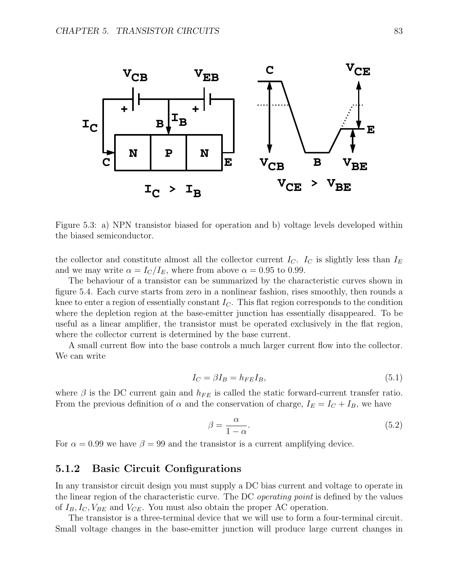

Figure 5.3: a) NPN transistor biased for operation and b) voltage levels developed within the biased semiconductor.

the collector and constitute almost all the collector current  $I_C$ .  $I_C$  is slightly less than  $I_E$ and we may write  $\alpha = I_C/I_E$ , where from above  $\alpha = 0.95$  to 0.99.

The behaviour of a transistor can be summarized by the characteristic curves shown in figure 5.4. Each curve starts from zero in a nonlinear fashion, rises smoothly, then rounds a knee to enter a region of essentially constant  $I<sub>C</sub>$ . This flat region corresponds to the condition where the depletion region at the base-emitter junction has essentially disappeared. To be useful as a linear amplifier, the transistor must be operated exclusively in the flat region, where the collector current is determined by the base current.

A small current flow into the base controls a much larger current flow into the collector. We can write

$$
I_C = \beta I_B = h_{FE} I_B,\tag{5.1}
$$

where  $\beta$  is the DC current gain and  $h_{FE}$  is called the static forward-current transfer ratio. From the previous definition of  $\alpha$  and the conservation of charge,  $I_E = I_C + I_B$ , we have

$$
\beta = \frac{\alpha}{1 - \alpha}.\tag{5.2}
$$

For  $\alpha = 0.99$  we have  $\beta = 99$  and the transistor is a current amplifying device.

#### **5.1.2 Basic Circuit Configurations**

In any transistor circuit design you must supply a DC bias current and voltage to operate in the linear region of the characteristic curve. The DC operating point is defined by the values of  $I_B$ ,  $I_C$ ,  $V_{BE}$  and  $V_{CE}$ . You must also obtain the proper AC operation.

The transistor is a three-terminal device that we will use to form a four-terminal circuit. Small voltage changes in the base-emitter junction will produce large current changes in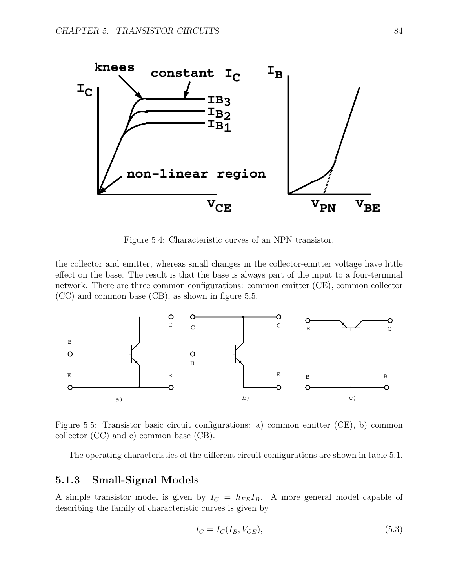

Figure 5.4: Characteristic curves of an NPN transistor.

the collector and emitter, whereas small changes in the collector-emitter voltage have little effect on the base. The result is that the base is always part of the input to a four-terminal network. There are three common configurations: common emitter (CE), common collector (CC) and common base (CB), as shown in figure 5.5.



Figure 5.5: Transistor basic circuit configurations: a) common emitter (CE), b) common collector (CC) and c) common base (CB).

The operating characteristics of the different circuit configurations are shown in table 5.1.

#### **5.1.3 Small-Signal Models**

A simple transistor model is given by  $I_C = h_{FE}I_B$ . A more general model capable of describing the family of characteristic curves is given by

$$
I_C = I_C(I_B, V_{CE}),\tag{5.3}
$$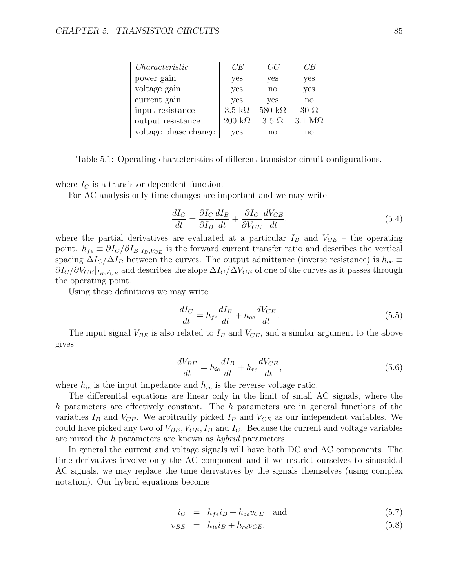| Characteristic       | CЕ                        | CC                    |                       |
|----------------------|---------------------------|-----------------------|-----------------------|
| power gain           | yes                       | yes                   | yes                   |
| voltage gain         | yes                       | $\mathbf{n}$          | yes                   |
| current gain         | yes                       | yes                   | $\mathbf{n}$          |
| input resistance     | $3.5 \; \mathrm{k}\Omega$ | $580 \text{ k}\Omega$ | $30\ \Omega$          |
| output resistance    | $200~\text{k}\Omega$      | $35\Omega$            | $3.1 \text{ M}\Omega$ |
| voltage phase change | yes                       | no                    | no                    |

Table 5.1: Operating characteristics of different transistor circuit configurations.

where  $I_C$  is a transistor-dependent function.

For AC analysis only time changes are important and we may write

$$
\frac{dI_C}{dt} = \frac{\partial I_C}{\partial I_B} \frac{dI_B}{dt} + \frac{\partial I_C}{\partial V_{CE}} \frac{dV_{CE}}{dt},\tag{5.4}
$$

where the partial derivatives are evaluated at a particular  $I_B$  and  $V_{CE}$  – the operating point.  $h_{fe} \equiv \partial I_C/\partial I_B|_{I_B, V_{CE}}$  is the forward current transfer ratio and describes the vertical spacing  $\Delta I_C/\Delta I_B$  between the curves. The output admittance (inverse resistance) is  $h_{oe} \equiv$  $\partial I_C/\partial V_{CE}|_{I_B,V_{CE}}$  and describes the slope  $\Delta I_C/\Delta V_{CE}$  of one of the curves as it passes through the operating point.

Using these definitions we may write

$$
\frac{dI_C}{dt} = h_{fe}\frac{dI_B}{dt} + h_{oe}\frac{dV_{CE}}{dt}.\tag{5.5}
$$

The input signal  $V_{BE}$  is also related to  $I_B$  and  $V_{CE}$ , and a similar argument to the above gives

$$
\frac{dV_{BE}}{dt} = h_{ie}\frac{dI_B}{dt} + h_{re}\frac{dV_{CE}}{dt},\tag{5.6}
$$

where  $h_{ie}$  is the input impedance and  $h_{re}$  is the reverse voltage ratio.

The differential equations are linear only in the limit of small AC signals, where the h parameters are effectively constant. The h parameters are in general functions of the variables  $I_B$  and  $V_{CE}$ . We arbitrarily picked  $I_B$  and  $V_{CE}$  as our independent variables. We could have picked any two of  $V_{BE}$ ,  $V_{CE}$ ,  $I_B$  and  $I_C$ . Because the current and voltage variables are mixed the h parameters are known as hybrid parameters.

In general the current and voltage signals will have both DC and AC components. The time derivatives involve only the AC component and if we restrict ourselves to sinusoidal AC signals, we may replace the time derivatives by the signals themselves (using complex notation). Our hybrid equations become

$$
i_C = h_{fe}i_B + h_{oe}v_{CE} \quad \text{and} \tag{5.7}
$$

$$
v_{BE} = h_{ie}i_B + h_{re}v_{CE}.\t\t(5.8)
$$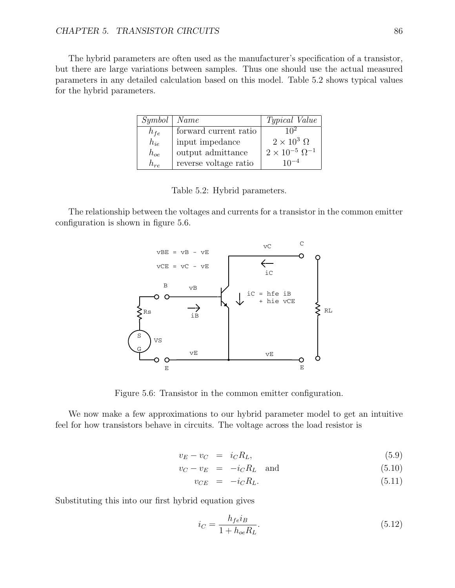The hybrid parameters are often used as the manufacturer's specification of a transistor, but there are large variations between samples. Thus one should use the actual measured parameters in any detailed calculation based on this model. Table 5.2 shows typical values for the hybrid parameters.

| $Symbol \mid Name$ |                       | <i>Typical Value</i>           |
|--------------------|-----------------------|--------------------------------|
| $h_{fe}$           | forward current ratio |                                |
| $h_{ie}$           | input impedance       | $2 \times 10^3 \Omega$         |
| $h_{oe}$           | output admittance     | $2 \times 10^{-5} \Omega^{-1}$ |
| $h_{re}$           | reverse voltage ratio | $10^{-4}$                      |

Table 5.2: Hybrid parameters.

The relationship between the voltages and currents for a transistor in the common emitter configuration is shown in figure 5.6.



Figure 5.6: Transistor in the common emitter configuration.

We now make a few approximations to our hybrid parameter model to get an intuitive feel for how transistors behave in circuits. The voltage across the load resistor is

$$
v_E - v_C = i_C R_L, \tag{5.9}
$$

$$
v_C - v_E = -i_C R_L \quad \text{and} \tag{5.10}
$$

$$
v_{CE} = -i_C R_L. \tag{5.11}
$$

Substituting this into our first hybrid equation gives

$$
i_C = \frac{h_{fe}i_B}{1 + h_{oe}R_L}.\tag{5.12}
$$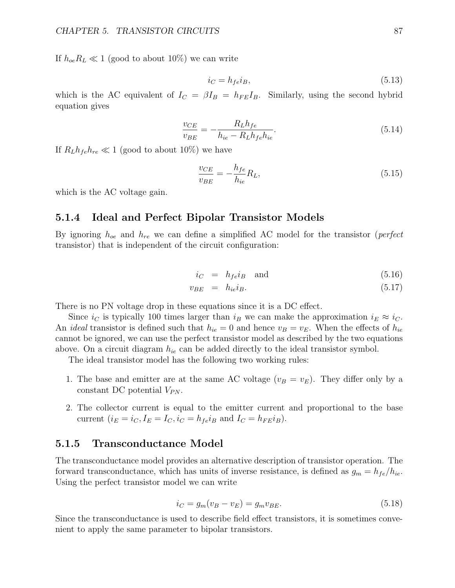If  $h_{oe}R_L \ll 1$  (good to about 10%) we can write

$$
i_C = h_{fe} i_B,\tag{5.13}
$$

which is the AC equivalent of  $I_C = \beta I_B = h_{FE}I_B$ . Similarly, using the second hybrid equation gives

$$
\frac{v_{CE}}{v_{BE}} = -\frac{R_L h_{fe}}{h_{ie} - R_L h_{fe} h_{ie}}.\tag{5.14}
$$

If  $R_L h_{fe} h_{re} \ll 1$  (good to about 10%) we have

$$
\frac{v_{CE}}{v_{BE}} = -\frac{h_{fe}}{h_{ie}}R_L,\tag{5.15}
$$

which is the AC voltage gain.

#### **5.1.4 Ideal and Perfect Bipolar Transistor Models**

By ignoring  $h_{oe}$  and  $h_{re}$  we can define a simplified AC model for the transistor (*perfect* transistor) that is independent of the circuit configuration:

$$
i_C = h_{fe} i_B \quad \text{and} \tag{5.16}
$$

$$
v_{BE} = h_{ie}i_B. \t\t(5.17)
$$

There is no PN voltage drop in these equations since it is a DC effect.

Since  $i<sub>C</sub>$  is typically 100 times larger than  $i<sub>B</sub>$  we can make the approximation  $i<sub>E</sub> \approx i<sub>C</sub>$ . An *ideal* transistor is defined such that  $h_{ie} = 0$  and hence  $v_B = v_E$ . When the effects of  $h_{ie}$ cannot be ignored, we can use the perfect transistor model as described by the two equations above. On a circuit diagram  $h_{ie}$  can be added directly to the ideal transistor symbol.

The ideal transistor model has the following two working rules:

- 1. The base and emitter are at the same AC voltage  $(v_B = v_E)$ . They differ only by a constant DC potential  $V_{PN}$ .
- 2. The collector current is equal to the emitter current and proportional to the base current  $(i_E = i_C, I_E = I_C, i_C = h_{fe} i_B$  and  $I_C = h_{FE} i_B$ ).

#### **5.1.5 Transconductance Model**

The transconductance model provides an alternative description of transistor operation. The forward transconductance, which has units of inverse resistance, is defined as  $g_m = h_{fe}/h_{ie}$ . Using the perfect transistor model we can write

$$
i_C = g_m(v_B - v_E) = g_m v_{BE}.
$$
\n(5.18)

Since the transconductance is used to describe field effect transistors, it is sometimes convenient to apply the same parameter to bipolar transistors.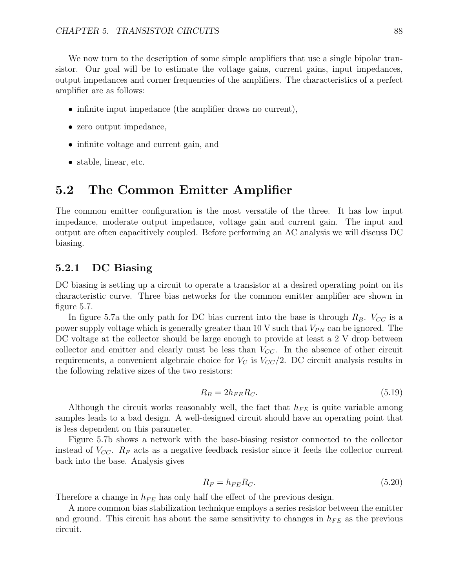We now turn to the description of some simple amplifiers that use a single bipolar transistor. Our goal will be to estimate the voltage gains, current gains, input impedances, output impedances and corner frequencies of the amplifiers. The characteristics of a perfect amplifier are as follows:

- infinite input impedance (the amplifier draws no current),
- zero output impedance,
- infinite voltage and current gain, and
- stable, linear, etc.

# **5.2 The Common Emitter Amplifier**

The common emitter configuration is the most versatile of the three. It has low input impedance, moderate output impedance, voltage gain and current gain. The input and output are often capacitively coupled. Before performing an AC analysis we will discuss DC biasing.

#### **5.2.1 DC Biasing**

DC biasing is setting up a circuit to operate a transistor at a desired operating point on its characteristic curve. Three bias networks for the common emitter amplifier are shown in figure 5.7.

In figure 5.7a the only path for DC bias current into the base is through  $R_B$ .  $V_{CC}$  is a power supply voltage which is generally greater than 10 V such that  $V_{PN}$  can be ignored. The DC voltage at the collector should be large enough to provide at least a 2 V drop between collector and emitter and clearly must be less than  $V_{CC}$ . In the absence of other circuit requirements, a convenient algebraic choice for  $V_C$  is  $V_{CC}/2$ . DC circuit analysis results in the following relative sizes of the two resistors:

$$
R_B = 2h_{FE}R_C.\t\t(5.19)
$$

Although the circuit works reasonably well, the fact that  $h_{FE}$  is quite variable among samples leads to a bad design. A well-designed circuit should have an operating point that is less dependent on this parameter.

Figure 5.7b shows a network with the base-biasing resistor connected to the collector instead of  $V_{CC}$ .  $R_F$  acts as a negative feedback resistor since it feeds the collector current back into the base. Analysis gives

$$
R_F = h_{FE} R_C. \t\t(5.20)
$$

Therefore a change in  $h_{FE}$  has only half the effect of the previous design.

A more common bias stabilization technique employs a series resistor between the emitter and ground. This circuit has about the same sensitivity to changes in  $h_{FE}$  as the previous circuit.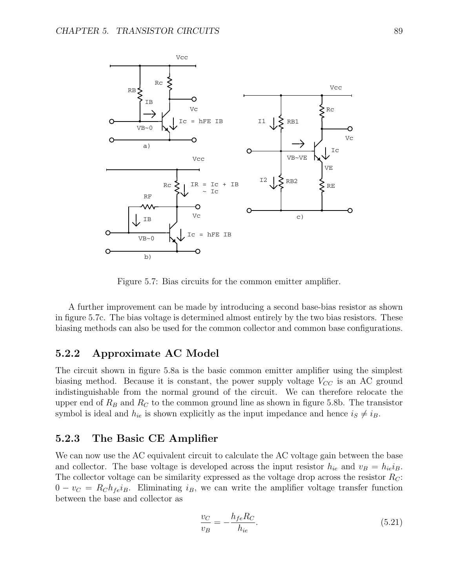

Figure 5.7: Bias circuits for the common emitter amplifier.

A further improvement can be made by introducing a second base-bias resistor as shown in figure 5.7c. The bias voltage is determined almost entirely by the two bias resistors. These biasing methods can also be used for the common collector and common base configurations.

#### **5.2.2 Approximate AC Model**

The circuit shown in figure 5.8a is the basic common emitter amplifier using the simplest biasing method. Because it is constant, the power supply voltage  $V_{CC}$  is an AC ground indistinguishable from the normal ground of the circuit. We can therefore relocate the upper end of  $R_B$  and  $R_C$  to the common ground line as shown in figure 5.8b. The transistor symbol is ideal and  $h_{ie}$  is shown explicitly as the input impedance and hence  $i_S \neq i_B$ .

#### **5.2.3 The Basic CE Amplifier**

We can now use the AC equivalent circuit to calculate the AC voltage gain between the base and collector. The base voltage is developed across the input resistor  $h_{ie}$  and  $v_B = h_{ie}i_B$ . The collector voltage can be similarity expressed as the voltage drop across the resistor  $R_C$ :  $0 - v_C = R_C h_{fe} i_B$ . Eliminating  $i_B$ , we can write the amplifier voltage transfer function between the base and collector as

$$
\frac{v_C}{v_B} = -\frac{h_{fe}R_C}{h_{ie}}.\tag{5.21}
$$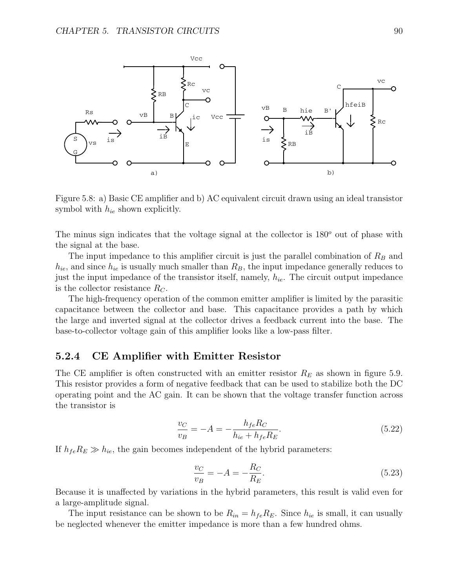

Figure 5.8: a) Basic CE amplifier and b) AC equivalent circuit drawn using an ideal transistor symbol with  $h_{ie}$  shown explicitly.

The minus sign indicates that the voltage signal at the collector is  $180<sup>o</sup>$  out of phase with the signal at the base.

The input impedance to this amplifier circuit is just the parallel combination of  $R_B$  and  $h_{ie}$ , and since  $h_{ie}$  is usually much smaller than  $R_B$ , the input impedance generally reduces to just the input impedance of the transistor itself, namely,  $h_{ie}$ . The circuit output impedance is the collector resistance  $R_C$ .

The high-frequency operation of the common emitter amplifier is limited by the parasitic capacitance between the collector and base. This capacitance provides a path by which the large and inverted signal at the collector drives a feedback current into the base. The base-to-collector voltage gain of this amplifier looks like a low-pass filter.

#### **5.2.4 CE Amplifier with Emitter Resistor**

The CE amplifier is often constructed with an emitter resistor  $R_E$  as shown in figure 5.9. This resistor provides a form of negative feedback that can be used to stabilize both the DC operating point and the AC gain. It can be shown that the voltage transfer function across the transistor is

$$
\frac{v_C}{v_B} = -A = -\frac{h_{fe}R_C}{h_{ie} + h_{fe}R_E}.\tag{5.22}
$$

If  $h_{fe}R_E \gg h_{ie}$ , the gain becomes independent of the hybrid parameters:

$$
\frac{v_C}{v_B} = -A = -\frac{R_C}{R_E}.\tag{5.23}
$$

Because it is unaffected by variations in the hybrid parameters, this result is valid even for a large-amplitude signal.

The input resistance can be shown to be  $R_{in} = h_{fe}R_{E}$ . Since  $h_{ie}$  is small, it can usually be neglected whenever the emitter impedance is more than a few hundred ohms.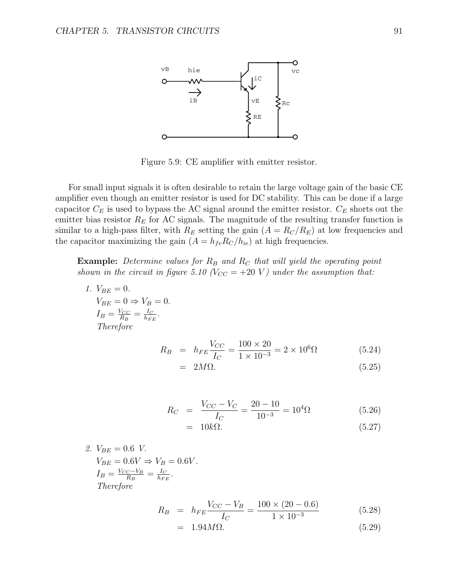

Figure 5.9: CE amplifier with emitter resistor.

For small input signals it is often desirable to retain the large voltage gain of the basic CE amplifier even though an emitter resistor is used for DC stability. This can be done if a large capacitor  $C_E$  is used to bypass the AC signal around the emitter resistor.  $C_E$  shorts out the emitter bias resistor  $R_E$  for AC signals. The magnitude of the resulting transfer function is similar to a high-pass filter, with  $R_E$  setting the gain  $(A = R_C/R_E)$  at low frequencies and the capacitor maximizing the gain  $(A = h_{fe}R_C/h_{ie})$  at high frequencies.

**Example:** Determine values for  $R_B$  and  $R_C$  that will yield the operating point shown in the circuit in figure 5.10 ( $V_{CC}$  = +20 V) under the assumption that:

1.  $V_{BE} = 0$ .  $V_{BE} = 0 \Rightarrow V_B = 0.$  $I_B = \frac{V_{CC}}{R_B} = \frac{I_C}{h_{FE}}$ . Therefore

$$
R_B = h_{FE} \frac{V_{CC}}{I_C} = \frac{100 \times 20}{1 \times 10^{-3}} = 2 \times 10^6 \Omega \tag{5.24}
$$

$$
= 2M\Omega. \tag{5.25}
$$

$$
R_C = \frac{V_{CC} - V_C}{I_C} = \frac{20 - 10}{10^{-3}} = 10^4 \Omega \tag{5.26}
$$

$$
= 10k\Omega. \tag{5.27}
$$

2.  $V_{BE} = 0.6$  V.  $V_{BE} = 0.6V \Rightarrow V_B = 0.6V.$  $I_B = \frac{V_{CC} - V_B}{R_B} = \frac{I_C}{h_{FE}}$ . Therefore

$$
R_B = h_{FE} \frac{V_{CC} - V_B}{I_C} = \frac{100 \times (20 - 0.6)}{1 \times 10^{-3}} \tag{5.28}
$$

$$
= 1.94M\Omega. \tag{5.29}
$$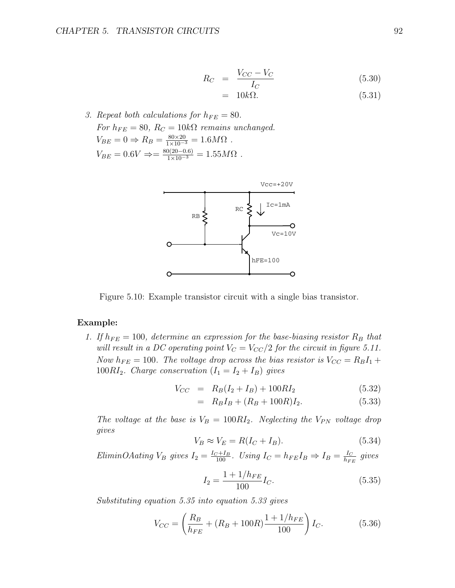$$
R_C = \frac{V_{CC} - V_C}{I_C} \tag{5.30}
$$

$$
= 10k\Omega. \tag{5.31}
$$

3. Repeat both calculations for  $h_{FE} = 80$ . For  $h_{FE} = 80$ ,  $R_C = 10k\Omega$  remains unchanged.  $V_{BE} = 0 \Rightarrow R_B = \frac{80 \times 20}{1 \times 10^{-3}} = 1.6 M\Omega$ .  $V_{BE} = 0.6V \Rightarrow = \frac{80(20 - 0.6)}{1 \times 10^{-3}} = 1.55M\Omega$ .



Figure 5.10: Example transistor circuit with a single bias transistor.

#### **Example:**

1. If  $h_{FE} = 100$ , determine an expression for the base-biasing resistor  $R_B$  that will result in a DC operating point  $V_C = V_{CC}/2$  for the circuit in figure 5.11. Now  $h_{FE} = 100$ . The voltage drop across the bias resistor is  $V_{CC} = R_B I_1 +$ 100 $RI_2$ . Charge conservation  $(I_1 = I_2 + I_B)$  gives

$$
V_{CC} = R_B(I_2 + I_B) + 100RI_2 \tag{5.32}
$$

$$
= R_B I_B + (R_B + 100R)I_2. \tag{5.33}
$$

The voltage at the base is  $V_B = 100RI_2$ . Neglecting the  $V_{PN}$  voltage drop gives

$$
V_B \approx V_E = R(I_C + I_B). \tag{5.34}
$$

EliminOAating  $V_B$  gives  $I_2 = \frac{I_C + I_B}{100}$ . Using  $I_C = h_{FE}I_B \Rightarrow I_B = \frac{I_C}{h_{FE}}$  gives  $I_2 = \frac{1+1/h_{FE}}{100}$  $(5.35)$ 

Substituting equation 5.35 into equation 5.33 gives

$$
V_{CC} = \left(\frac{R_B}{h_{FE}} + (R_B + 100R)\frac{1 + 1/h_{FE}}{100}\right)I_C.
$$
 (5.36)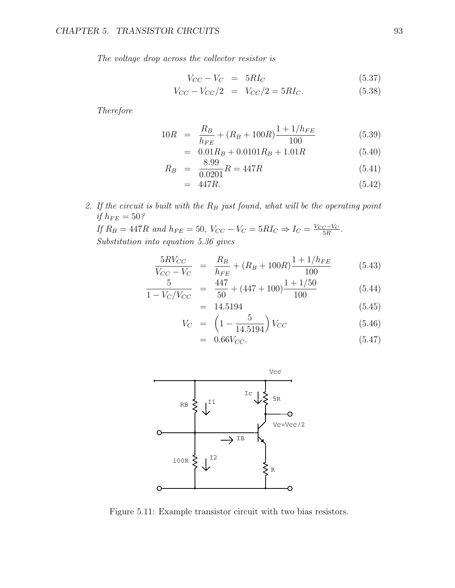The voltage drop across the collector resistor is

$$
V_{CC} - V_C = 5R I_C \tag{5.37}
$$

$$
V_{CC} - V_{CC}/2 = V_{CC}/2 = 5R I_C.
$$
 (5.38)

Therefore

$$
10R = \frac{R_B}{h_{FE}} + (R_B + 100R) \frac{1 + 1/h_{FE}}{100}
$$
\n(5.39)

$$
= 0.01R_B + 0.0101R_B + 1.01R \tag{5.40}
$$

$$
R_B = \frac{8.99}{0.0201}R = 447R \tag{5.41}
$$

$$
= 447R. \t(5.42)
$$

2. If the circuit is built with the  $R_B$  just found, what will be the operating point if  $h_{FE}=50\,\%$ 

If  $R_B = 447R$  and  $h_{FE} = 50$ ,  $V_{CC} - V_C = 5R I_C \Rightarrow I_C = \frac{V_{CC} - V_C}{5R}$ . Substitution into equation 5.36 gives

$$
\frac{5RV_{CC}}{V_{CC} - V_C} = \frac{R_B}{h_{FE}} + (R_B + 100R) \frac{1 + 1/h_{FE}}{100}
$$
(5.43)

$$
\frac{5}{1 - V_C/V_{CC}} = \frac{447}{50} + (447 + 100)\frac{1 + 1/50}{100}
$$
(5.44)

$$
= 14.5194 \tag{5.45}
$$

$$
V_C = \left(1 - \frac{5}{14.5194}\right) V_{CC}
$$
 (5.46)

$$
= 0.66 V_{CC}.
$$
 (5.47)



Figure 5.11: Example transistor circuit with two bias resistors.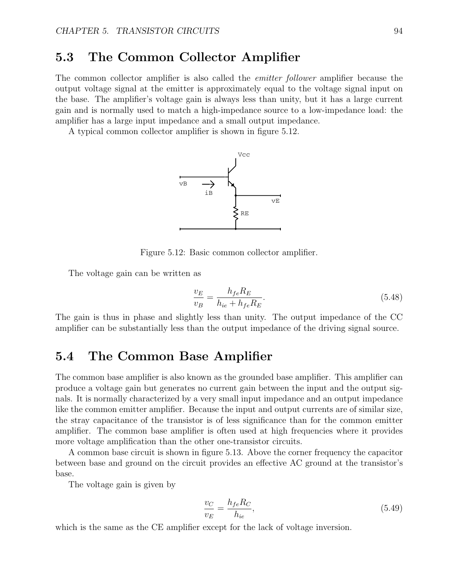## **5.3 The Common Collector Amplifier**

The common collector amplifier is also called the emitter follower amplifier because the output voltage signal at the emitter is approximately equal to the voltage signal input on the base. The amplifier's voltage gain is always less than unity, but it has a large current gain and is normally used to match a high-impedance source to a low-impedance load: the amplifier has a large input impedance and a small output impedance.

A typical common collector amplifier is shown in figure 5.12.



Figure 5.12: Basic common collector amplifier.

The voltage gain can be written as

$$
\frac{v_E}{v_B} = \frac{h_{fe} R_E}{h_{ie} + h_{fe} R_E}.\tag{5.48}
$$

The gain is thus in phase and slightly less than unity. The output impedance of the CC amplifier can be substantially less than the output impedance of the driving signal source.

## **5.4 The Common Base Amplifier**

The common base amplifier is also known as the grounded base amplifier. This amplifier can produce a voltage gain but generates no current gain between the input and the output signals. It is normally characterized by a very small input impedance and an output impedance like the common emitter amplifier. Because the input and output currents are of similar size, the stray capacitance of the transistor is of less significance than for the common emitter amplifier. The common base amplifier is often used at high frequencies where it provides more voltage amplification than the other one-transistor circuits.

A common base circuit is shown in figure 5.13. Above the corner frequency the capacitor between base and ground on the circuit provides an effective AC ground at the transistor's base.

The voltage gain is given by

$$
\frac{v_C}{v_E} = \frac{h_{fe}R_C}{h_{ie}},\tag{5.49}
$$

which is the same as the CE amplifier except for the lack of voltage inversion.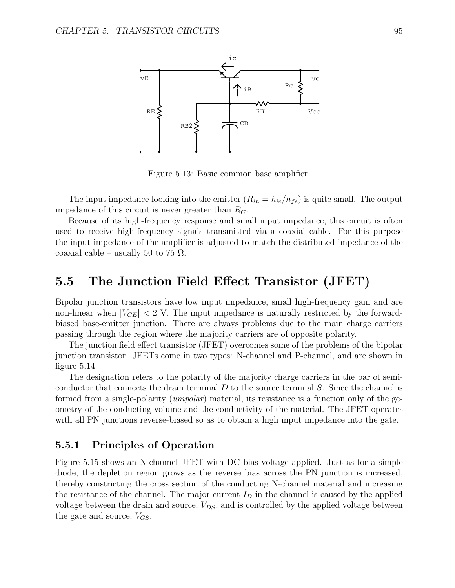

Figure 5.13: Basic common base amplifier.

The input impedance looking into the emitter  $(R_{in} = h_{ie}/h_{fe})$  is quite small. The output impedance of this circuit is never greater than  $R_C$ .

Because of its high-frequency response and small input impedance, this circuit is often used to receive high-frequency signals transmitted via a coaxial cable. For this purpose the input impedance of the amplifier is adjusted to match the distributed impedance of the coaxial cable – usually 50 to 75  $\Omega$ .

## **5.5 The Junction Field Effect Transistor (JFET)**

Bipolar junction transistors have low input impedance, small high-frequency gain and are non-linear when  $|V_{CE}| < 2$  V. The input impedance is naturally restricted by the forwardbiased base-emitter junction. There are always problems due to the main charge carriers passing through the region where the majority carriers are of opposite polarity.

The junction field effect transistor (JFET) overcomes some of the problems of the bipolar junction transistor. JFETs come in two types: N-channel and P-channel, and are shown in figure 5.14.

The designation refers to the polarity of the majority charge carriers in the bar of semiconductor that connects the drain terminal  $D$  to the source terminal  $S$ . Since the channel is formed from a single-polarity (unipolar) material, its resistance is a function only of the geometry of the conducting volume and the conductivity of the material. The JFET operates with all PN junctions reverse-biased so as to obtain a high input impedance into the gate.

#### **5.5.1 Principles of Operation**

Figure 5.15 shows an N-channel JFET with DC bias voltage applied. Just as for a simple diode, the depletion region grows as the reverse bias across the PN junction is increased, thereby constricting the cross section of the conducting N-channel material and increasing the resistance of the channel. The major current  $I<sub>D</sub>$  in the channel is caused by the applied voltage between the drain and source,  $V_{DS}$ , and is controlled by the applied voltage between the gate and source,  $V_{GS}$ .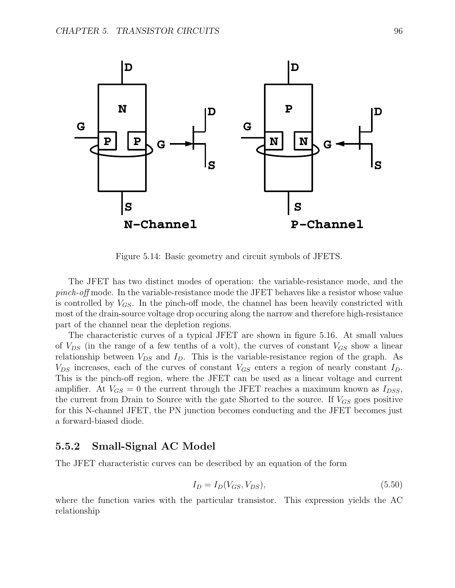

Figure 5.14: Basic geometry and circuit symbols of JFETS.

The JFET has two distinct modes of operation: the variable-resistance mode, and the pinch-off mode. In the variable-resistance mode the JFET behaves like a resistor whose value is controlled by  $V_{GS}$ . In the pinch-off mode, the channel has been heavily constricted with most of the drain-source voltage drop occuring along the narrow and therefore high-resistance part of the channel near the depletion regions.

The characteristic curves of a typical JFET are shown in figure 5.16. At small values of  $V_{DS}$  (in the range of a few tenths of a volt), the curves of constant  $V_{GS}$  show a linear relationship between  $V_{DS}$  and  $I_D$ . This is the variable-resistance region of the graph. As  $V_{DS}$  increases, each of the curves of constant  $V_{GS}$  enters a region of nearly constant  $I_{D}$ . This is the pinch-off region, where the JFET can be used as a linear voltage and current amplifier. At  $V_{GS} = 0$  the current through the JFET reaches a maximum known as  $I_{DSS}$ , the current from Drain to Source with the gate Shorted to the source. If  $V_{GS}$  goes positive for this N-channel JFET, the PN junction becomes conducting and the JFET becomes just a forward-biased diode.

#### **5.5.2 Small-Signal AC Model**

The JFET characteristic curves can be described by an equation of the form

$$
I_D = I_D(V_{GS}, V_{DS}),\tag{5.50}
$$

where the function varies with the particular transistor. This expression yields the AC relationship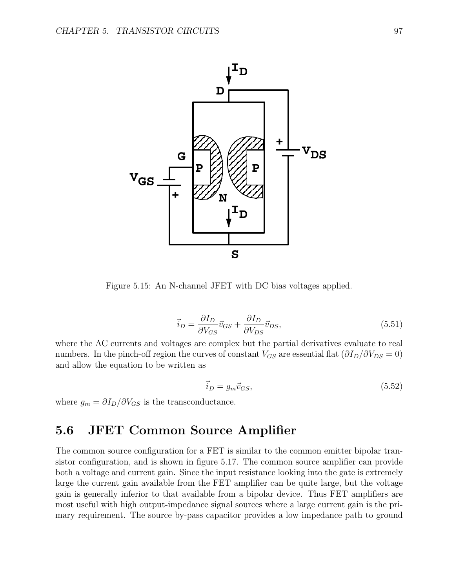

Figure 5.15: An N-channel JFET with DC bias voltages applied.

$$
\vec{i}_D = \frac{\partial I_D}{\partial V_{GS}} \vec{v}_{GS} + \frac{\partial I_D}{\partial V_{DS}} \vec{v}_{DS},\tag{5.51}
$$

where the AC currents and voltages are complex but the partial derivatives evaluate to real numbers. In the pinch-off region the curves of constant  $V_{GS}$  are essential flat  $(\partial I_D/\partial V_{DS} = 0)$ and allow the equation to be written as

$$
\vec{i}_D = g_m \vec{v}_{GS},\tag{5.52}
$$

where  $g_m = \partial I_D / \partial V_{GS}$  is the transconductance.

# **5.6 JFET Common Source Amplifier**

The common source configuration for a FET is similar to the common emitter bipolar transistor configuration, and is shown in figure 5.17. The common source amplifier can provide both a voltage and current gain. Since the input resistance looking into the gate is extremely large the current gain available from the FET amplifier can be quite large, but the voltage gain is generally inferior to that available from a bipolar device. Thus FET amplifiers are most useful with high output-impedance signal sources where a large current gain is the primary requirement. The source by-pass capacitor provides a low impedance path to ground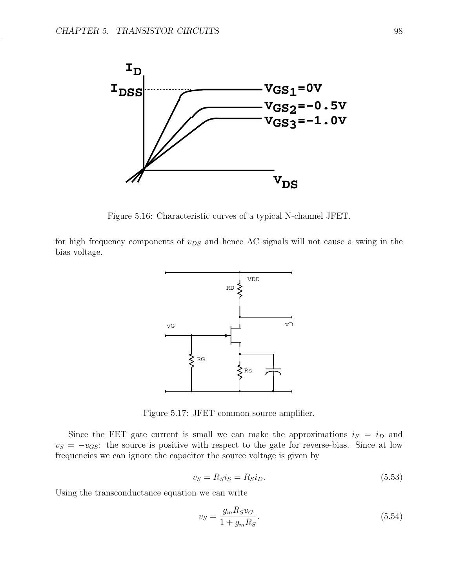

Figure 5.16: Characteristic curves of a typical N-channel JFET.

for high frequency components of  $v_{DS}$  and hence AC signals will not cause a swing in the bias voltage.



Figure 5.17: JFET common source amplifier.

Since the FET gate current is small we can make the approximations  $i_S = i_D$  and  $v_S = -v_{GS}$ : the source is positive with respect to the gate for reverse-bias. Since at low frequencies we can ignore the capacitor the source voltage is given by

$$
v_S = R_S i_S = R_S i_D. \tag{5.53}
$$

Using the transconductance equation we can write

$$
v_S = \frac{g_m R_S v_G}{1 + g_m R_S}.\tag{5.54}
$$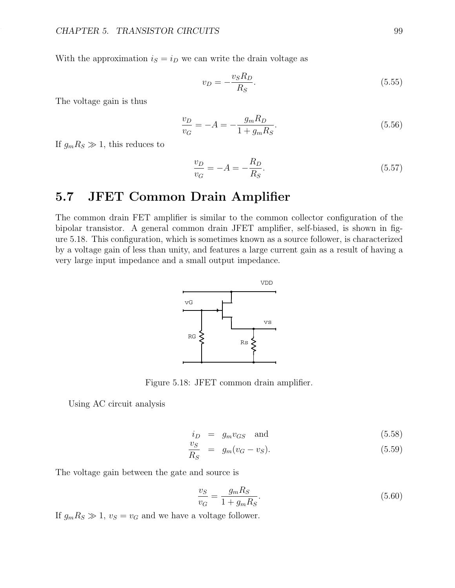With the approximation  $i_S = i_D$  we can write the drain voltage as

$$
v_D = -\frac{v_S R_D}{R_S}.\tag{5.55}
$$

The voltage gain is thus

$$
\frac{v_D}{v_G} = -A = -\frac{g_m R_D}{1 + g_m R_S}.\tag{5.56}
$$

If  $q_m R_S \gg 1$ , this reduces to

$$
\frac{v_D}{v_G} = -A = -\frac{R_D}{R_S}.\tag{5.57}
$$

# **5.7 JFET Common Drain Amplifier**

The common drain FET amplifier is similar to the common collector configuration of the bipolar transistor. A general common drain JFET amplifier, self-biased, is shown in figure 5.18. This configuration, which is sometimes known as a source follower, is characterized by a voltage gain of less than unity, and features a large current gain as a result of having a very large input impedance and a small output impedance.



Figure 5.18: JFET common drain amplifier.

Using AC circuit analysis

$$
i_D = g_m v_{GS} \quad \text{and} \tag{5.58}
$$

$$
\frac{v_S}{R_S} = g_m(v_G - v_S). \tag{5.59}
$$

The voltage gain between the gate and source is

$$
\frac{v_S}{v_G} = \frac{g_m R_S}{1 + g_m R_S}.\tag{5.60}
$$

If  $g_m R_S \gg 1$ ,  $v_S = v_G$  and we have a voltage follower.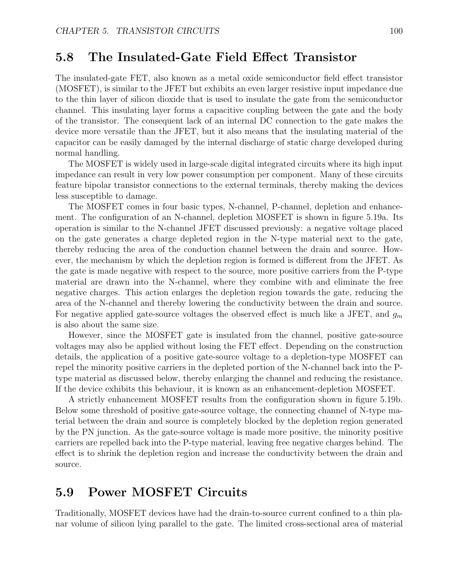## **5.8 The Insulated-Gate Field Effect Transistor**

The insulated-gate FET, also known as a metal oxide semiconductor field effect transistor (MOSFET), is similar to the JFET but exhibits an even larger resistive input impedance due to the thin layer of silicon dioxide that is used to insulate the gate from the semiconductor channel. This insulating layer forms a capacitive coupling between the gate and the body of the transistor. The consequent lack of an internal DC connection to the gate makes the device more versatile than the JFET, but it also means that the insulating material of the capacitor can be easily damaged by the internal discharge of static charge developed during normal handling.

The MOSFET is widely used in large-scale digital integrated circuits where its high input impedance can result in very low power consumption per component. Many of these circuits feature bipolar transistor connections to the external terminals, thereby making the devices less susceptible to damage.

The MOSFET comes in four basic types, N-channel, P-channel, depletion and enhancement. The configuration of an N-channel, depletion MOSFET is shown in figure 5.19a. Its operation is similar to the N-channel JFET discussed previously: a negative voltage placed on the gate generates a charge depleted region in the N-type material next to the gate, thereby reducing the area of the conduction channel between the drain and source. However, the mechanism by which the depletion region is formed is different from the JFET. As the gate is made negative with respect to the source, more positive carriers from the P-type material are drawn into the N-channel, where they combine with and eliminate the free negative charges. This action enlarges the depletion region towards the gate, reducing the area of the N-channel and thereby lowering the conductivity between the drain and source. For negative applied gate-source voltages the observed effect is much like a JFET, and  $g_m$ is also about the same size.

However, since the MOSFET gate is insulated from the channel, positive gate-source voltages may also be applied without losing the FET effect. Depending on the construction details, the application of a positive gate-source voltage to a depletion-type MOSFET can repel the minority positive carriers in the depleted portion of the N-channel back into the Ptype material as discussed below, thereby enlarging the channel and reducing the resistance. If the device exhibits this behaviour, it is known as an enhancement-depletion MOSFET.

A strictly enhancement MOSFET results from the configuration shown in figure 5.19b. Below some threshold of positive gate-source voltage, the connecting channel of N-type material between the drain and source is completely blocked by the depletion region generated by the PN junction. As the gate-source voltage is made more positive, the minority positive carriers are repelled back into the P-type material, leaving free negative charges behind. The effect is to shrink the depletion region and increase the conductivity between the drain and source.

# **5.9 Power MOSFET Circuits**

Traditionally, MOSFET devices have had the drain-to-source current confined to a thin planar volume of silicon lying parallel to the gate. The limited cross-sectional area of material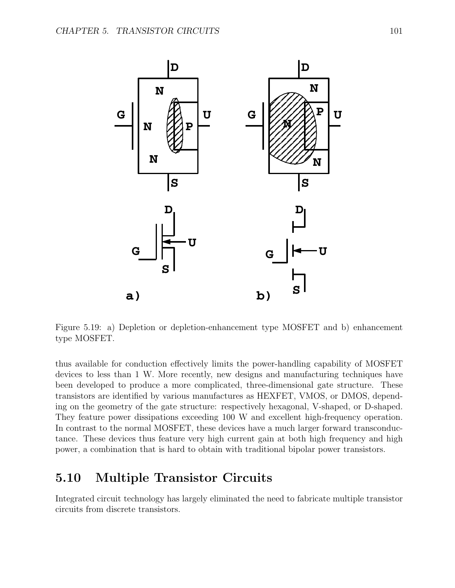

Figure 5.19: a) Depletion or depletion-enhancement type MOSFET and b) enhancement type MOSFET.

thus available for conduction effectively limits the power-handling capability of MOSFET devices to less than 1 W. More recently, new designs and manufacturing techniques have been developed to produce a more complicated, three-dimensional gate structure. These transistors are identified by various manufactures as HEXFET, VMOS, or DMOS, depending on the geometry of the gate structure: respectively hexagonal, V-shaped, or D-shaped. They feature power dissipations exceeding 100 W and excellent high-frequency operation. In contrast to the normal MOSFET, these devices have a much larger forward transconductance. These devices thus feature very high current gain at both high frequency and high power, a combination that is hard to obtain with traditional bipolar power transistors.

# **5.10 Multiple Transistor Circuits**

Integrated circuit technology has largely eliminated the need to fabricate multiple transistor circuits from discrete transistors.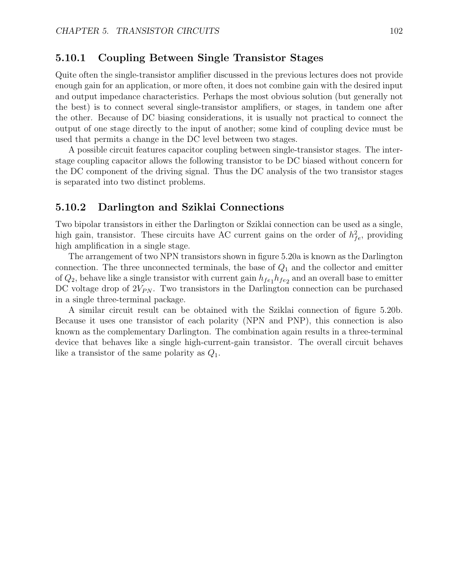#### **5.10.1 Coupling Between Single Transistor Stages**

Quite often the single-transistor amplifier discussed in the previous lectures does not provide enough gain for an application, or more often, it does not combine gain with the desired input and output impedance characteristics. Perhaps the most obvious solution (but generally not the best) is to connect several single-transistor amplifiers, or stages, in tandem one after the other. Because of DC biasing considerations, it is usually not practical to connect the output of one stage directly to the input of another; some kind of coupling device must be used that permits a change in the DC level between two stages.

A possible circuit features capacitor coupling between single-transistor stages. The interstage coupling capacitor allows the following transistor to be DC biased without concern for the DC component of the driving signal. Thus the DC analysis of the two transistor stages is separated into two distinct problems.

#### **5.10.2 Darlington and Sziklai Connections**

Two bipolar transistors in either the Darlington or Sziklai connection can be used as a single, high gain, transistor. These circuits have AC current gains on the order of  $h_{fe}^2$ , providing high amplification in a single stage.

The arrangement of two NPN transistors shown in figure 5.20a is known as the Darlington connection. The three unconnected terminals, the base of  $Q_1$  and the collector and emitter of  $Q_2$ , behave like a single transistor with current gain  $h_{fe1}h_{fe2}$  and an overall base to emitter DC voltage drop of  $2V_{PN}$ . Two transistors in the Darlington connection can be purchased in a single three-terminal package.

A similar circuit result can be obtained with the Sziklai connection of figure 5.20b. Because it uses one transistor of each polarity (NPN and PNP), this connection is also known as the complementary Darlington. The combination again results in a three-terminal device that behaves like a single high-current-gain transistor. The overall circuit behaves like a transistor of the same polarity as  $Q_1$ .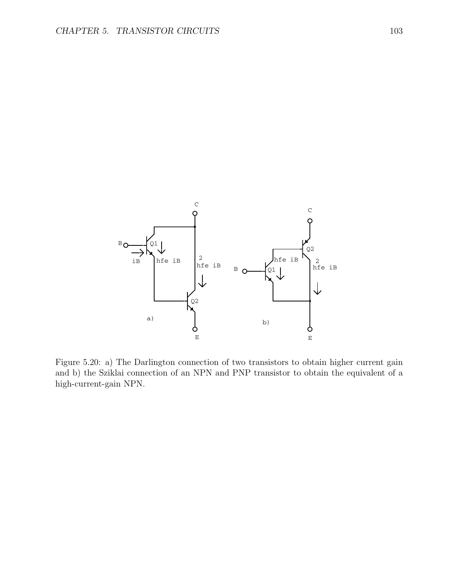

Figure 5.20: a) The Darlington connection of two transistors to obtain higher current gain and b) the Sziklai connection of an NPN and PNP transistor to obtain the equivalent of a high-current-gain NPN.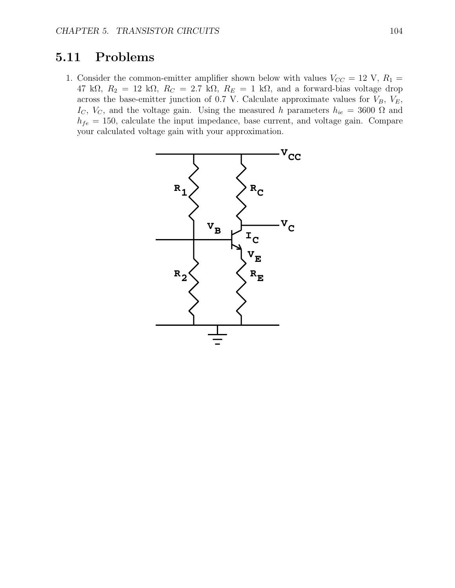## **5.11 Problems**

1. Consider the common-emitter amplifier shown below with values  $V_{CC} = 12 \text{ V}, R_1 =$ 47 kΩ,  $R_2 = 12$  kΩ,  $R_C = 2.7$  kΩ,  $R_E = 1$  kΩ, and a forward-bias voltage drop across the base-emitter junction of 0.7 V. Calculate approximate values for  $V_B$ ,  $V_E$ ,  $I_c$ ,  $V_c$ , and the voltage gain. Using the measured h parameters  $h_{ie} = 3600 \Omega$  and  $h_{fe} = 150$ , calculate the input impedance, base current, and voltage gain. Compare your calculated voltage gain with your approximation.

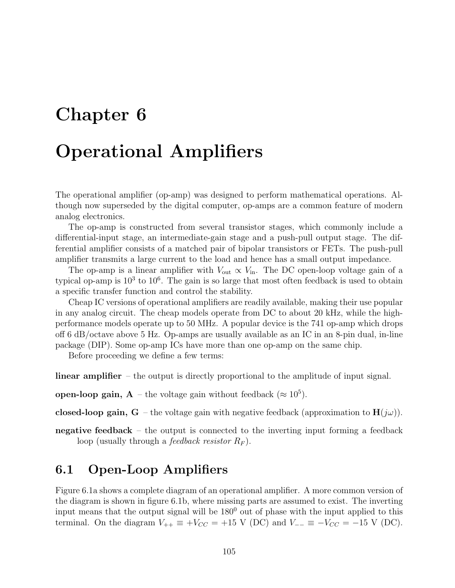# **Chapter 6**

# **Operational Amplifiers**

The operational amplifier (op-amp) was designed to perform mathematical operations. Although now superseded by the digital computer, op-amps are a common feature of modern analog electronics.

The op-amp is constructed from several transistor stages, which commonly include a differential-input stage, an intermediate-gain stage and a push-pull output stage. The differential amplifier consists of a matched pair of bipolar transistors or FETs. The push-pull amplifier transmits a large current to the load and hence has a small output impedance.

The op-amp is a linear amplifier with  $V_{\text{out}} \propto V_{\text{in}}$ . The DC open-loop voltage gain of a typical op-amp is  $10^3$  to  $10^6$ . The gain is so large that most often feedback is used to obtain a specific transfer function and control the stability.

Cheap IC versions of operational amplifiers are readily available, making their use popular in any analog circuit. The cheap models operate from DC to about 20 kHz, while the highperformance models operate up to 50 MHz. A popular device is the 741 op-amp which drops off 6 dB/octave above 5 Hz. Op-amps are usually available as an IC in an 8-pin dual, in-line package (DIP). Some op-amp ICs have more than one op-amp on the same chip.

Before proceeding we define a few terms:

**linear amplifier** – the output is directly proportional to the amplitude of input signal.

**open-loop gain, A** – the voltage gain without feedback ( $\approx 10^5$ ).

**closed-loop gain, G** – the voltage gain with negative feedback (approximation to  $\mathbf{H}(j\omega)$ ).

**negative feedback** – the output is connected to the inverting input forming a feedback loop (usually through a *feedback resistor*  $R_F$ ).

## **6.1 Open-Loop Amplifiers**

Figure 6.1a shows a complete diagram of an operational amplifier. A more common version of the diagram is shown in figure 6.1b, where missing parts are assumed to exist. The inverting input means that the output signal will be  $180^0$  out of phase with the input applied to this terminal. On the diagram  $V_{++} \equiv +V_{CC} = +15$  V (DC) and  $V_{--} \equiv -V_{CC} = -15$  V (DC).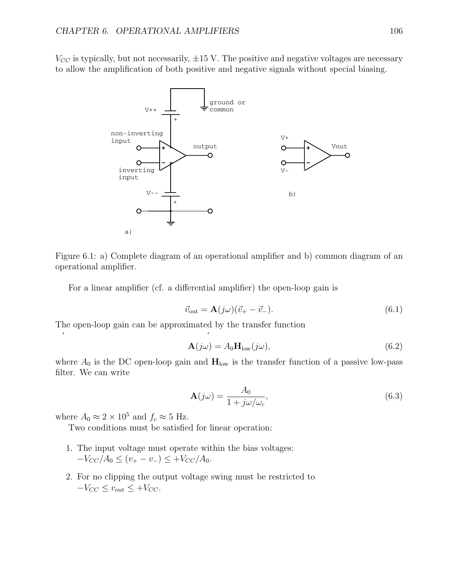$V_{CC}$  is typically, but not necessarily,  $\pm 15$  V. The positive and negative voltages are necessary to allow the amplification of both positive and negative signals without special biasing.



Figure 6.1: a) Complete diagram of an operational amplifier and b) common diagram of an operational amplifier.

For a linear amplifier (cf. a differential amplifier) the open-loop gain is

$$
\vec{v}_{\text{out}} = \mathbf{A}(j\omega)(\vec{v}_+ - \vec{v}_-). \tag{6.1}
$$

The open-loop gain can be approximated by the transfer function

$$
\mathbf{A}(j\omega) = A_0 \mathbf{H}_{\text{low}}(j\omega),\tag{6.2}
$$

where  $A_0$  is the DC open-loop gain and  $H_{low}$  is the transfer function of a passive low-pass filter. We can write

$$
\mathbf{A}(j\omega) = \frac{A_0}{1 + j\omega/\omega_c},\tag{6.3}
$$

where  $A_0 \approx 2 \times 10^5$  and  $f_c \approx 5$  Hz.

Two conditions must be satisfied for linear operation:

- 1. The input voltage must operate within the bias voltages:  $-V_{CC}/A_0 \leq (v_+ - v_-) \leq +V_{CC}/A_0.$
- 2. For no clipping the output voltage swing must be restricted to  $-V_{CC} \le v_{\text{out}} \le +V_{CC}.$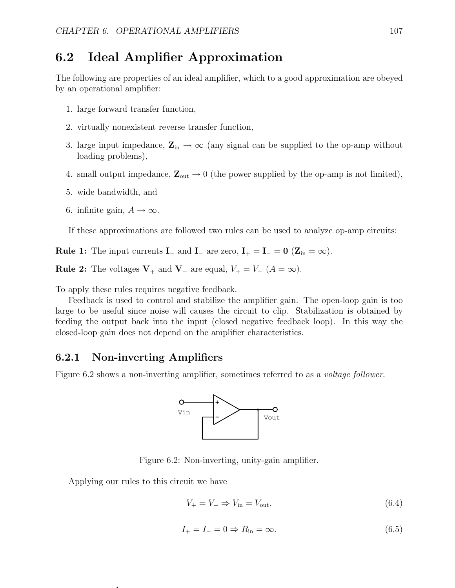# **6.2 Ideal Amplifier Approximation**

The following are properties of an ideal amplifier, which to a good approximation are obeyed by an operational amplifier:

- 1. large forward transfer function,
- 2. virtually nonexistent reverse transfer function,
- 3. large input impedance,  $\mathbf{Z}_{in} \to \infty$  (any signal can be supplied to the op-amp without loading problems),
- 4. small output impedance,  $\mathbf{Z}_{out} \to 0$  (the power supplied by the op-amp is not limited),

5. wide bandwidth, and

6. infinite gain,  $A \rightarrow \infty$ .

If these approximations are followed two rules can be used to analyze op-amp circuits:

**Rule 1:** The input currents  $\mathbf{I}_{+}$  and  $\mathbf{I}_{-}$  are zero,  $\mathbf{I}_{+} = \mathbf{I}_{-} = \mathbf{0}$  ( $\mathbf{Z}_{in} = \infty$ ).

**Rule 2:** The voltages  $V_+$  and  $V_-$  are equal,  $V_+ = V_-(A = \infty)$ .

To apply these rules requires negative feedback.

Feedback is used to control and stabilize the amplifier gain. The open-loop gain is too large to be useful since noise will causes the circuit to clip. Stabilization is obtained by feeding the output back into the input (closed negative feedback loop). In this way the closed-loop gain does not depend on the amplifier characteristics.

### **6.2.1 Non-inverting Amplifiers**

Figure 6.2 shows a non-inverting amplifier, sometimes referred to as a voltage follower.



Figure 6.2: Non-inverting, unity-gain amplifier.

Applying our rules to this circuit we have

$$
V_{+} = V_{-} \Rightarrow V_{\text{in}} = V_{\text{out}}.\tag{6.4}
$$

$$
I_{+} = I_{-} = 0 \Rightarrow R_{\rm in} = \infty. \tag{6.5}
$$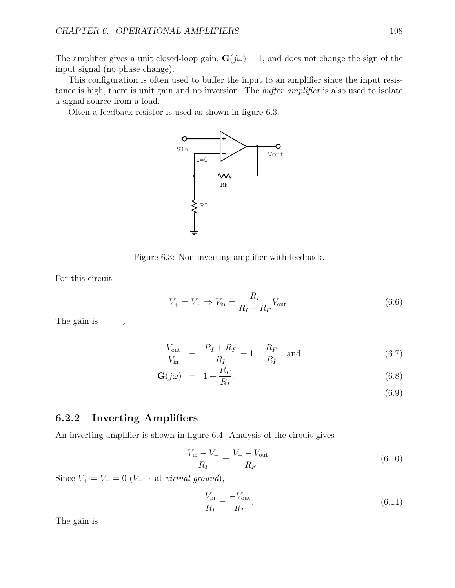The amplifier gives a unit closed-loop gain,  $\mathbf{G}(j\omega) = 1$ , and does not change the sign of the input signal (no phase change).

This configuration is often used to buffer the input to an amplifier since the input resistance is high, there is unit gain and no inversion. The *buffer amplifier* is also used to isolate a signal source from a load.

Often a feedback resistor is used as shown in figure 6.3.



Figure 6.3: Non-inverting amplifier with feedback.

For this circuit

$$
V_{+} = V_{-} \Rightarrow V_{\text{in}} = \frac{R_{I}}{R_{I} + R_{F}} V_{\text{out}}.
$$
\n(6.6)

The gain is

$$
\frac{V_{\text{out}}}{V_{\text{in}}} = \frac{R_I + R_F}{R_I} = 1 + \frac{R_F}{R_I} \quad \text{and} \tag{6.7}
$$

$$
\mathbf{G}(j\omega) = 1 + \frac{R_F}{R_I}.\tag{6.8}
$$

(6.9)

### **6.2.2 Inverting Amplifiers**

An inverting amplifier is shown in figure 6.4. Analysis of the circuit gives

$$
\frac{V_{\text{in}} - V_{-}}{R_{I}} = \frac{V_{-} - V_{\text{out}}}{R_{F}}.
$$
\n(6.10)

Since  $V_+ = V_- = 0$  ( $V_-$  is at *virtual ground*),

$$
\frac{V_{\text{in}}}{R_I} = \frac{-V_{\text{out}}}{R_F}.\tag{6.11}
$$

The gain is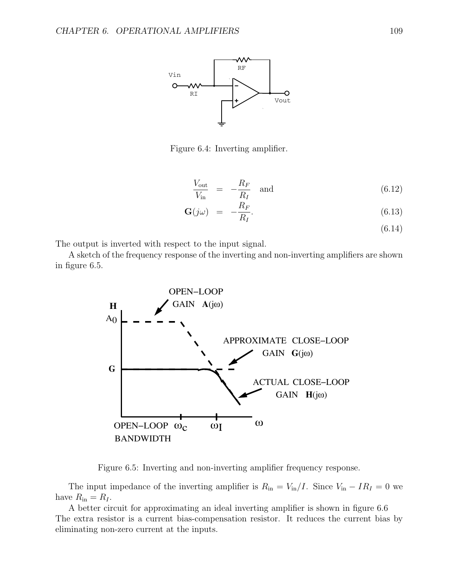

Figure 6.4: Inverting amplifier.

$$
\frac{V_{\text{out}}}{V_{\text{in}}} = -\frac{R_F}{R_I} \quad \text{and} \tag{6.12}
$$

$$
\mathbf{G}(j\omega) = -\frac{R_F}{R_I}.\tag{6.13}
$$

(6.14)

The output is inverted with respect to the input signal.

A sketch of the frequency response of the inverting and non-inverting amplifiers are shown in figure 6.5.



Figure 6.5: Inverting and non-inverting amplifier frequency response.

The input impedance of the inverting amplifier is  $R_{\rm in} = V_{\rm in}/I$ . Since  $V_{\rm in} - IR_I = 0$  we have  $R_{\rm in} = R_I$ .

A better circuit for approximating an ideal inverting amplifier is shown in figure 6.6 The extra resistor is a current bias-compensation resistor. It reduces the current bias by eliminating non-zero current at the inputs.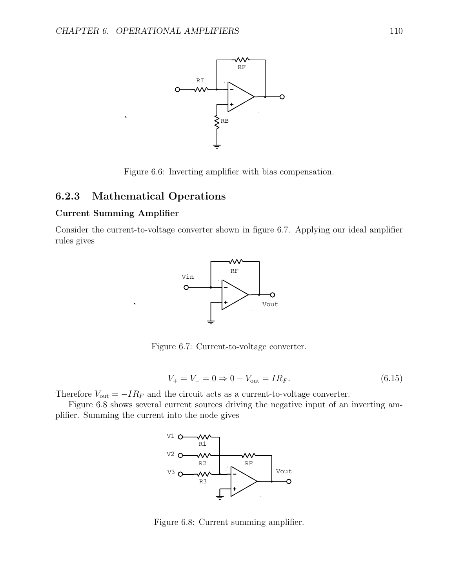

Figure 6.6: Inverting amplifier with bias compensation.

### **6.2.3 Mathematical Operations**

### **Current Summing Amplifier**

Consider the current-to-voltage converter shown in figure 6.7. Applying our ideal amplifier rules gives



Figure 6.7: Current-to-voltage converter.

$$
V_{+} = V_{-} = 0 \Rightarrow 0 - V_{\text{out}} = IR_{F}.
$$
\n(6.15)

Therefore  $V_{\text{out}} = -IR_F$  and the circuit acts as a current-to-voltage converter.

Figure 6.8 shows several current sources driving the negative input of an inverting amplifier. Summing the current into the node gives



Figure 6.8: Current summing amplifier.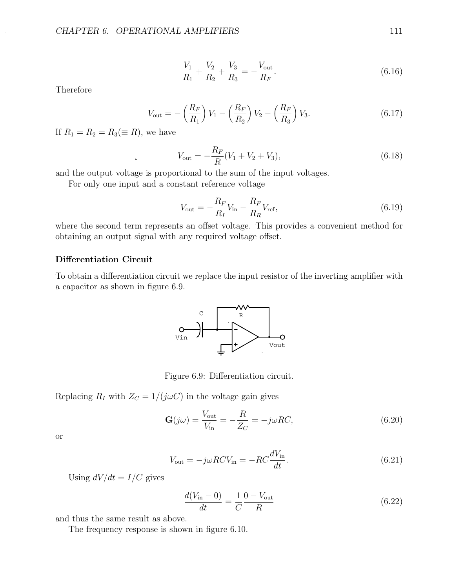$$
\frac{V_1}{R_1} + \frac{V_2}{R_2} + \frac{V_3}{R_3} = -\frac{V_{\text{out}}}{R_F}.
$$
\n(6.16)

Therefore

$$
V_{\text{out}} = -\left(\frac{R_F}{R_1}\right)V_1 - \left(\frac{R_F}{R_2}\right)V_2 - \left(\frac{R_F}{R_3}\right)V_3. \tag{6.17}
$$

If  $R_1 = R_2 = R_3 (\equiv R)$ , we have

$$
V_{\text{out}} = -\frac{R_F}{R}(V_1 + V_2 + V_3),\tag{6.18}
$$

and the output voltage is proportional to the sum of the input voltages.

For only one input and a constant reference voltage

$$
V_{\text{out}} = -\frac{R_F}{R_I}V_{\text{in}} - \frac{R_F}{R_R}V_{\text{ref}},\tag{6.19}
$$

where the second term represents an offset voltage. This provides a convenient method for obtaining an output signal with any required voltage offset.

### **Differentiation Circuit**

To obtain a differentiation circuit we replace the input resistor of the inverting amplifier with a capacitor as shown in figure 6.9.



Figure 6.9: Differentiation circuit.

Replacing  $R_I$  with  $Z_C = 1/(j\omega C)$  in the voltage gain gives

$$
\mathbf{G}(j\omega) = \frac{V_{\text{out}}}{V_{\text{in}}} = -\frac{R}{Z_C} = -j\omega RC,
$$
\n(6.20)

or

$$
V_{\text{out}} = -j\omega RCV_{\text{in}} = -RC\frac{dV_{\text{in}}}{dt}.\tag{6.21}
$$

Using  $dV/dt = I/C$  gives

$$
\frac{d(V_{\text{in}} - 0)}{dt} = \frac{1}{C} \frac{0 - V_{\text{out}}}{R}
$$
\n(6.22)

and thus the same result as above.

The frequency response is shown in figure 6.10.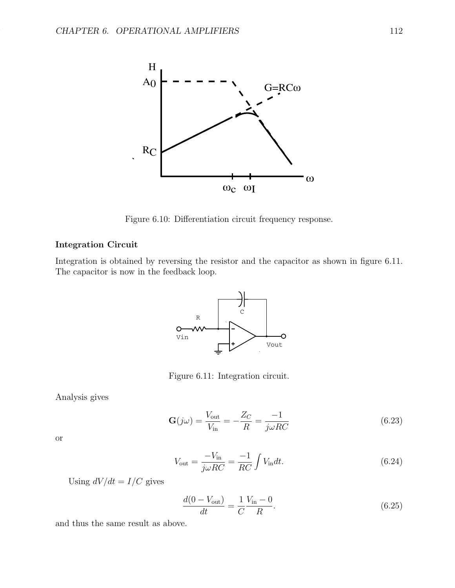

Figure 6.10: Differentiation circuit frequency response.

#### **Integration Circuit**

Integration is obtained by reversing the resistor and the capacitor as shown in figure 6.11. The capacitor is now in the feedback loop.



Figure 6.11: Integration circuit.

Analysis gives

$$
\mathbf{G}(j\omega) = \frac{V_{\text{out}}}{V_{\text{in}}} = -\frac{Z_C}{R} = \frac{-1}{j\omega RC}
$$
\n(6.23)

or

$$
V_{\text{out}} = \frac{-V_{\text{in}}}{j\omega RC} = \frac{-1}{RC} \int V_{\text{in}} dt. \tag{6.24}
$$

Using  $dV/dt = I/C$  gives

$$
\frac{d(0 - V_{\text{out}})}{dt} = \frac{1}{C} \frac{V_{\text{in}} - 0}{R}.
$$
\n(6.25)

and thus the same result as above.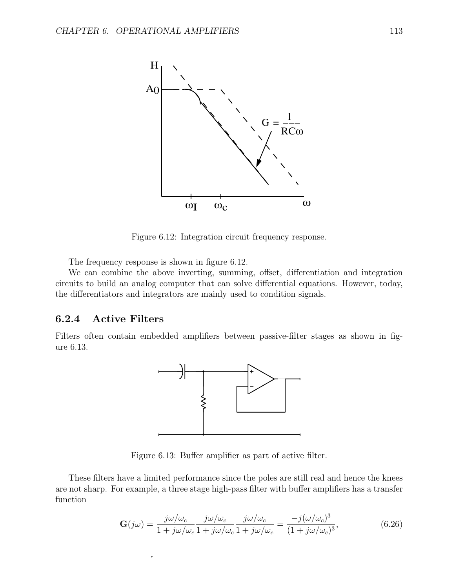

Figure 6.12: Integration circuit frequency response.

The frequency response is shown in figure 6.12.

We can combine the above inverting, summing, offset, differentiation and integration circuits to build an analog computer that can solve differential equations. However, today, the differentiators and integrators are mainly used to condition signals.

### **6.2.4 Active Filters**

Filters often contain embedded amplifiers between passive-filter stages as shown in figure 6.13.



Figure 6.13: Buffer amplifier as part of active filter.

These filters have a limited performance since the poles are still real and hence the knees are not sharp. For example, a three stage high-pass filter with buffer amplifiers has a transfer function

$$
\mathbf{G}(j\omega) = \frac{j\omega/\omega_c}{1 + j\omega/\omega_c} \frac{j\omega/\omega_c}{1 + j\omega/\omega_c} \frac{j\omega/\omega_c}{1 + j\omega/\omega_c} = \frac{-j(\omega/\omega_c)^3}{(1 + j\omega/\omega_c)^3},\tag{6.26}
$$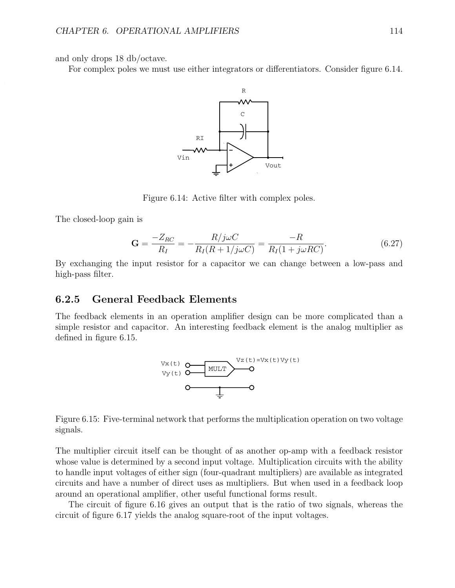and only drops 18 db/octave.

For complex poles we must use either integrators or differentiators. Consider figure 6.14.



Figure 6.14: Active filter with complex poles.

The closed-loop gain is

$$
\mathbf{G} = \frac{-Z_{RC}}{R_I} = -\frac{R/j\omega C}{R_I(R + 1/j\omega C)} = \frac{-R}{R_I(1 + j\omega RC)}.
$$
(6.27)

By exchanging the input resistor for a capacitor we can change between a low-pass and high-pass filter.

### **6.2.5 General Feedback Elements**

The feedback elements in an operation amplifier design can be more complicated than a simple resistor and capacitor. An interesting feedback element is the analog multiplier as defined in figure 6.15.



Figure 6.15: Five-terminal network that performs the multiplication operation on two voltage signals.

The multiplier circuit itself can be thought of as another op-amp with a feedback resistor whose value is determined by a second input voltage. Multiplication circuits with the ability to handle input voltages of either sign (four-quadrant multipliers) are available as integrated circuits and have a number of direct uses as multipliers. But when used in a feedback loop around an operational amplifier, other useful functional forms result.

The circuit of figure 6.16 gives an output that is the ratio of two signals, whereas the circuit of figure 6.17 yields the analog square-root of the input voltages.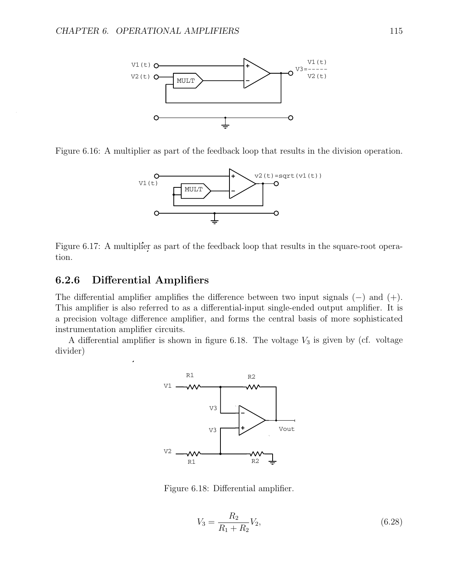

Figure 6.16: A multiplier as part of the feedback loop that results in the division operation.



Figure 6.17: A multiplier as part of the feedback loop that results in the square-root operation.

### **6.2.6 Differential Amplifiers**

The differential amplifier amplifies the difference between two input signals  $(-)$  and  $(+)$ . This amplifier is also referred to as a differential-input single-ended output amplifier. It is a precision voltage difference amplifier, and forms the central basis of more sophisticated instrumentation amplifier circuits.

A differential amplifier is shown in figure 6.18. The voltage  $V_3$  is given by (cf. voltage divider)



Figure 6.18: Differential amplifier.

$$
V_3 = \frac{R_2}{R_1 + R_2} V_2, \tag{6.28}
$$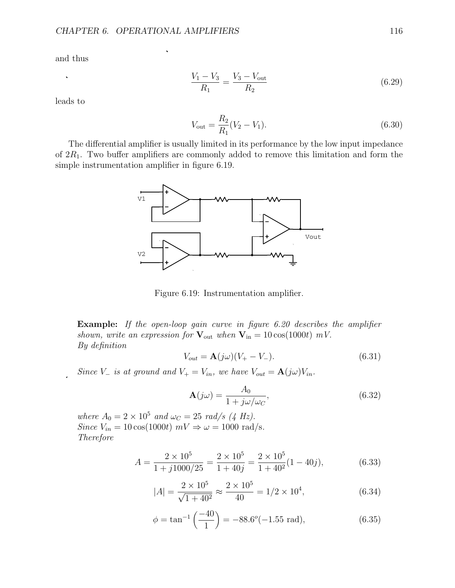$\ddot{\phantom{0}}$ 

and thus

$$
\frac{V_1 - V_3}{R_1} = \frac{V_3 - V_{\text{out}}}{R_2} \tag{6.29}
$$

leads to

$$
V_{\text{out}} = \frac{R_2}{R_1}(V_2 - V_1). \tag{6.30}
$$

The differential amplifier is usually limited in its performance by the low input impedance of  $2R_1$ . Two buffer amplifiers are commonly added to remove this limitation and form the simple instrumentation amplifier in figure 6.19.



Figure 6.19: Instrumentation amplifier.

**Example:** If the open-loop gain curve in figure 6.20 describes the amplifier shown, write an expression for  $V_{\text{out}}$  when  $V_{\text{in}} = 10 \cos(1000t)$  mV. By definition

$$
V_{out} = \mathbf{A}(j\omega)(V_{+} - V_{-}).\tag{6.31}
$$

Since V<sub>−</sub> is at ground and  $V_+ = V_{in}$ , we have  $V_{out} = \mathbf{A}(j\omega)V_{in}$ .

$$
\mathbf{A}(j\omega) = \frac{A_0}{1 + j\omega/\omega_C},\tag{6.32}
$$

where  $A_0 = 2 \times 10^5$  and  $\omega_C = 25$  rad/s (4 Hz). Since  $V_{in} = 10 \cos(1000t)$   $mV \Rightarrow \omega = 1000 \text{ rad/s}.$ Therefore

$$
A = \frac{2 \times 10^5}{1 + j1000/25} = \frac{2 \times 10^5}{1 + 40j} = \frac{2 \times 10^5}{1 + 40^2} (1 - 40j),
$$
 (6.33)

$$
|A| = \frac{2 \times 10^5}{\sqrt{1 + 40^2}} \approx \frac{2 \times 10^5}{40} = 1/2 \times 10^4,
$$
\n(6.34)

$$
\phi = \tan^{-1}\left(\frac{-40}{1}\right) = -88.6^{\circ}(-1.55 \text{ rad}),\tag{6.35}
$$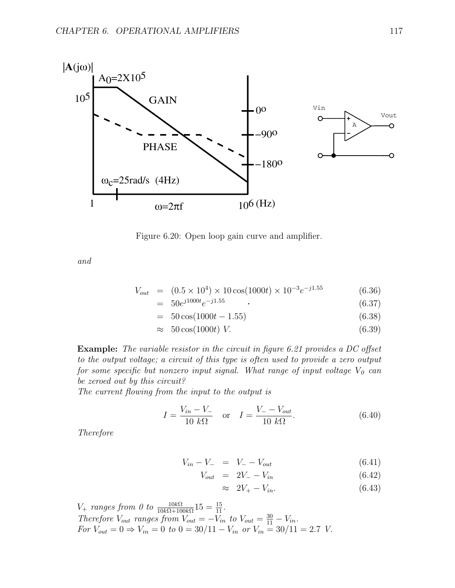

Figure 6.20: Open loop gain curve and amplifier.

and

$$
V_{out} = (0.5 \times 10^4) \times 10 \cos(1000t) \times 10^{-3} e^{-j1.55}
$$
 (6.36)

$$
= 50e^{j1000t}e^{-j1.55} \t\t(6.37)
$$

$$
= 50 \cos(1000t - 1.55) \tag{6.38}
$$

$$
\approx 50\cos(1000t) V. \tag{6.39}
$$

**Example:** The variable resistor in the circuit in figure 6.21 provides a DC offset to the output voltage; a circuit of this type is often used to provide a zero output for some specific but nonzero input signal. What range of input voltage *V<sup>0</sup>* can be zeroed out by this circuit?

The current flowing from the input to the output is

$$
I = \frac{V_{in} - V_{-}}{10 k\Omega} \quad \text{or} \quad I = \frac{V_{-} - V_{out}}{10 k\Omega}.
$$
 (6.40)

Therefore

$$
V_{in} - V_{-} = V_{-} - V_{out} \tag{6.41}
$$

$$
V_{out} = 2V_{-} - V_{in}
$$
 (6.42)

$$
\approx 2V_{+} - V_{in}.\tag{6.43}
$$

 $V_+$  ranges from 0 to  $\frac{10k\Omega}{10k\Omega+100k\Omega}15 = \frac{15}{11}$ . Therefore  $V_{out}$  ranges from  $V_{out} = -V_{in}$  to  $V_{out} = \frac{30}{11} - V_{in}$ . For  $V_{out} = 0 \Rightarrow V_{in} = 0$  to  $0 = 30/11 - V_{in}$  or  $V_{in} = 30/11 = 2.7$  V.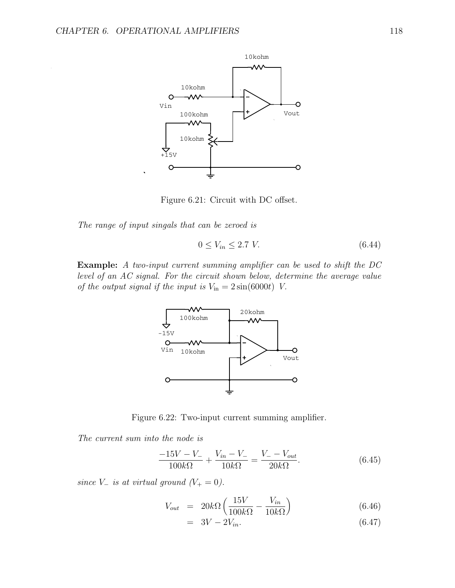

Figure 6.21: Circuit with DC offset.

The range of input singals that can be zeroed is

$$
0 \le V_{in} \le 2.7 V. \tag{6.44}
$$

**Example:** A two-input current summing amplifier can be used to shift the DC level of an AC signal. For the circuit shown below, determine the average value of the output signal if the input is  $V_{\text{in}} = 2 \sin(6000t)$  V.



Figure 6.22: Two-input current summing amplifier.

The current sum into the node is

$$
\frac{-15V - V_-}{100k\Omega} + \frac{V_{in} - V_-}{10k\Omega} = \frac{V_- - V_{out}}{20k\Omega}.
$$
\n(6.45)

since  $V_$  is at virtual ground  $(V_+ = 0)$ .

$$
V_{out} = 20k\Omega \left(\frac{15V}{100k\Omega} - \frac{V_{in}}{10k\Omega}\right) \tag{6.46}
$$

$$
= 3V - 2V_{in}. \tag{6.47}
$$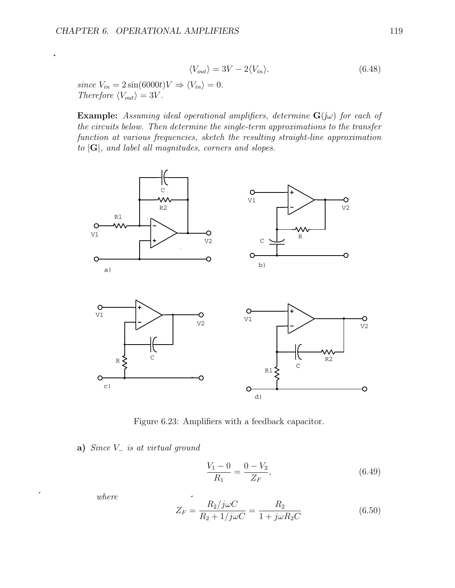$$
\langle V_{out} \rangle = 3V - 2\langle V_{in} \rangle.
$$
\n
$$
\langle V_{in} \rangle = 0.
$$
\n(6.48)

since  $V_{in} = 2 \sin(6000t) V \Rightarrow$ Therefore  $\langle V_{out} \rangle = 3V$ .

 $\ddot{\phantom{0}}$ 

**Example:** Assuming ideal operational amplifiers, determine  $G(j\omega)$  for each of the circuits below. Then determine the single-term approximations to the transfer function at various frequencies, sketch the resulting straight-line approximation to |**G**|, and label all magnitudes, corners and slopes.



Figure 6.23: Amplifiers with a feedback capacitor.

 $\cdot$ 

**a)** Since V<sup>−</sup> is at virtual ground

$$
\frac{V_1 - 0}{R_1} = \frac{0 - V_2}{Z_F},\tag{6.49}
$$

where

 $\hat{\boldsymbol{\theta}}$ 

$$
Z_F = \frac{R_2 / j\omega C}{R_2 + 1 / j\omega C} = \frac{R_2}{1 + j\omega R_2 C}
$$
(6.50)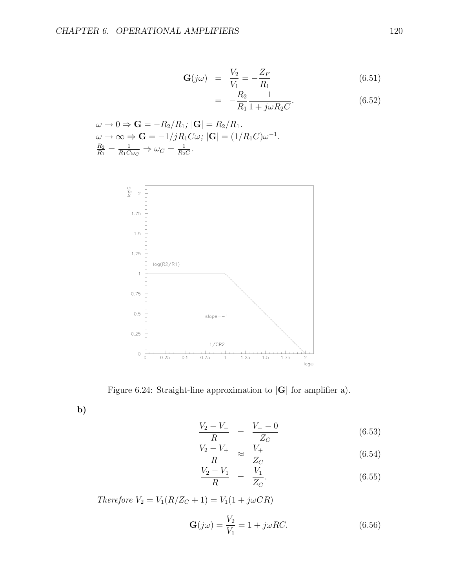$$
\mathbf{G}(j\omega) = \frac{V_2}{V_1} = -\frac{Z_F}{R_1} \tag{6.51}
$$

$$
= -\frac{R_2}{R_1} \frac{1}{1 + j\omega R_2 C}.
$$
 (6.52)

$$
\omega \to 0 \Rightarrow \mathbf{G} = -R_2/R_1; |\mathbf{G}| = R_2/R_1.
$$
  
\n
$$
\omega \to \infty \Rightarrow \mathbf{G} = -1/jR_1C\omega; |\mathbf{G}| = (1/R_1C)\omega^{-1}.
$$
  
\n
$$
\frac{R_2}{R_1} = \frac{1}{R_1C\omega_C} \Rightarrow \omega_C = \frac{1}{R_2C}.
$$



Figure 6.24: Straight-line approximation to |**G**| for amplifier a).

**b)**

$$
\frac{V_2 - V_-}{R} = \frac{V_- - 0}{Z_C} \tag{6.53}
$$

$$
\frac{V_2 - V_+}{R} \approx \frac{V_+}{Z_C} \tag{6.54}
$$

$$
\frac{V_2 - V_1}{R} = \frac{V_1}{Z_C}.
$$
\n(6.55)

Therefore  $V_2 = V_1(R/Z_C + 1) = V_1(1 + j\omega CR)$ 

$$
\mathbf{G}(j\omega) = \frac{V_2}{V_1} = 1 + j\omega RC.
$$
\n(6.56)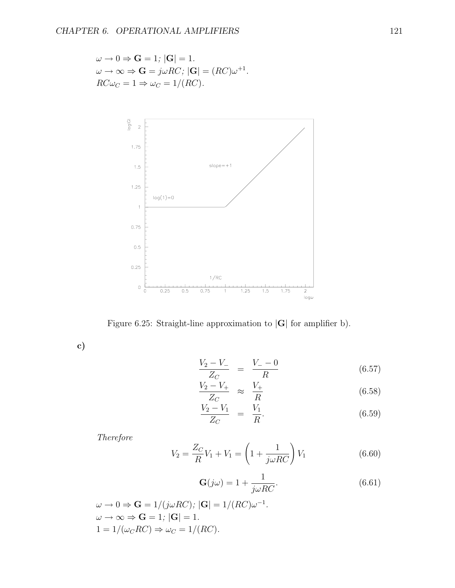$$
\omega \to 0 \Rightarrow \mathbf{G} = 1; |\mathbf{G}| = 1.
$$
  
\n
$$
\omega \to \infty \Rightarrow \mathbf{G} = j\omega RC; |\mathbf{G}| = (RC)\omega^{+1}.
$$
  
\n
$$
RC\omega_C = 1 \Rightarrow \omega_C = 1/(RC).
$$



Figure 6.25: Straight-line approximation to |**G**| for amplifier b).

**c)**

$$
\frac{V_2 - V_-}{Z_C} = \frac{V_- - 0}{R} \tag{6.57}
$$

$$
\frac{V_2 - V_+}{Z_C} \approx \frac{V_+}{R} \tag{6.58}
$$

$$
\frac{V_2 - V_1}{Z_C} = \frac{V_1}{R}.
$$
\n(6.59)

Therefore

$$
V_2 = \frac{Z_C}{R}V_1 + V_1 = \left(1 + \frac{1}{j\omega RC}\right)V_1
$$
 (6.60)

$$
\mathbf{G}(j\omega) = 1 + \frac{1}{j\omega RC}.\tag{6.61}
$$

 $\omega \to 0 \Rightarrow \mathbf{G} = 1/(j\omega RC); |\mathbf{G}| = 1/(RC)\omega^{-1}.$  $\omega \to \infty \Rightarrow \mathbf{G} = 1; |\mathbf{G}| = 1.$  $1=1/(\omega_C RC) \Rightarrow \omega_C = 1/(RC).$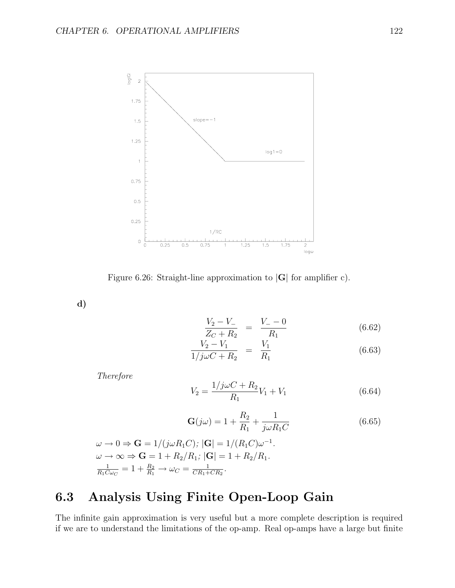

Figure 6.26: Straight-line approximation to |**G**| for amplifier c).

**d)**

$$
\frac{V_2 - V_-}{Z_C + R_2} = \frac{V_- - 0}{R_1} \tag{6.62}
$$

$$
\frac{V_2 - V_1}{1/j\omega C + R_2} = \frac{V_1}{R_1}
$$
\n(6.63)

Therefore

$$
V_2 = \frac{1/j\omega C + R_2}{R_1} V_1 + V_1
$$
\n(6.64)

$$
\mathbf{G}(j\omega) = 1 + \frac{R_2}{R_1} + \frac{1}{j\omega R_1 C}
$$
 (6.65)

$$
\omega \to 0 \Rightarrow \mathbf{G} = 1/(j\omega R_1 C); |\mathbf{G}| = 1/(R_1 C)\omega^{-1}.
$$
  

$$
\omega \to \infty \Rightarrow \mathbf{G} = 1 + R_2/R_1; |\mathbf{G}| = 1 + R_2/R_1.
$$
  

$$
\frac{1}{R_1 C \omega_C} = 1 + \frac{R_2}{R_1} \to \omega_C = \frac{1}{CR_1 + CR_2}.
$$

# **6.3 Analysis Using Finite Open-Loop Gain**

The infinite gain approximation is very useful but a more complete description is required if we are to understand the limitations of the op-amp. Real op-amps have a large but finite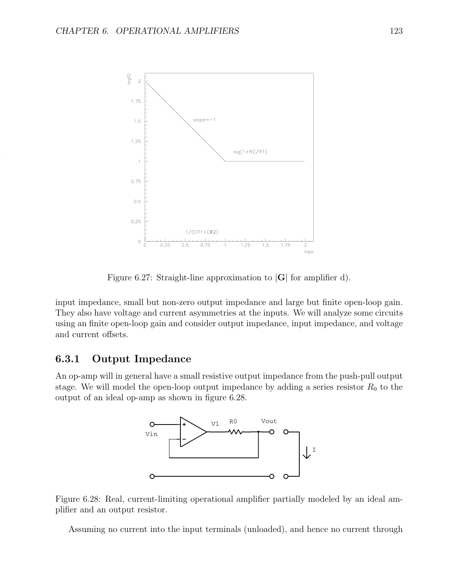

Figure 6.27: Straight-line approximation to |**G**| for amplifier d).

input impedance, small but non-zero output impedance and large but finite open-loop gain. They also have voltage and current asymmetries at the inputs. We will analyze some circuits using an finite open-loop gain and consider output impedance, input impedance, and voltage and current offsets.

### **6.3.1 Output Impedance**

An op-amp will in general have a small resistive output impedance from the push-pull output stage. We will model the open-loop output impedance by adding a series resistor  $R_0$  to the output of an ideal op-amp as shown in figure 6.28.



Figure 6.28: Real, current-limiting operational amplifier partially modeled by an ideal amplifier and an output resistor.

Assuming no current into the input terminals (unloaded), and hence no current through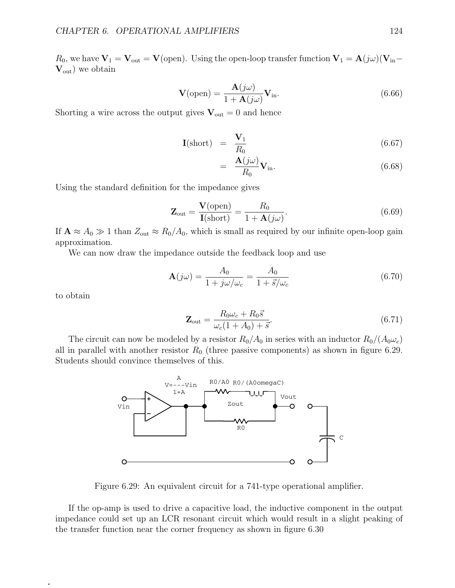$R_0$ , we have  $V_1 = V_{\text{out}} = V(\text{open})$ . Using the open-loop transfer function  $V_1 = A(j\omega)(V_{\text{in}} -$ **V**out) we obtain

$$
\mathbf{V}(\text{open}) = \frac{\mathbf{A}(j\omega)}{1 + \mathbf{A}(j\omega)} \mathbf{V}_{\text{in}}.
$$
 (6.66)

Shorting a wire across the output gives  $V_{\text{out}} = 0$  and hence

$$
\mathbf{I}(\text{short}) = \frac{\mathbf{V}_1}{R_0} \tag{6.67}
$$

$$
= \frac{\mathbf{A}(j\omega)}{R_0} \mathbf{V}_{\text{in}}.\tag{6.68}
$$

Using the standard definition for the impedance gives

$$
\mathbf{Z}_{\text{out}} = \frac{\mathbf{V}(\text{open})}{\mathbf{I}(\text{short})} = \frac{R_0}{1 + \mathbf{A}(j\omega)}.
$$
(6.69)

If  $\mathbf{A} \approx A_0 \gg 1$  than  $Z_{\text{out}} \approx R_0/A_0$ , which is small as required by our infinite open-loop gain approximation.

We can now draw the impedance outside the feedback loop and use

$$
\mathbf{A}(j\omega) = \frac{A_0}{1 + j\omega/\omega_c} = \frac{A_0}{1 + \vec{s}/\omega_c}
$$
(6.70)

to obtain

$$
\mathbf{Z}_{\text{out}} = \frac{R_0 \omega_c + R_0 \vec{s}}{\omega_c (1 + A_0) + \vec{s}}.
$$
\n(6.71)

The circuit can now be modeled by a resistor  $R_0/A_0$  in series with an inductor  $R_0/(A_0\omega_c)$ all in parallel with another resistor  $R_0$  (three passive components) as shown in figure 6.29. Students should convince themselves of this.



Figure 6.29: An equivalent circuit for a 741-type operational amplifier.

If the op-amp is used to drive a capacitive load, the inductive component in the output impedance could set up an LCR resonant circuit which would result in a slight peaking of the transfer function near the corner frequency as shown in figure 6.30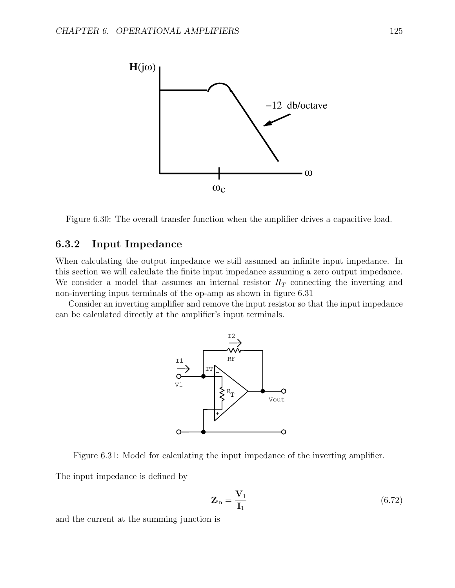

Figure 6.30: The overall transfer function when the amplifier drives a capacitive load.

### **6.3.2 Input Impedance**

When calculating the output impedance we still assumed an infinite input impedance. In this section we will calculate the finite input impedance assuming a zero output impedance. We consider a model that assumes an internal resistor  $R_T$  connecting the inverting and non-inverting input terminals of the op-amp as shown in figure 6.31

Consider an inverting amplifier and remove the input resistor so that the input impedance can be calculated directly at the amplifier's input terminals.



Figure 6.31: Model for calculating the input impedance of the inverting amplifier.

The input impedance is defined by

$$
\mathbf{Z}_{\rm in} = \frac{\mathbf{V}_1}{\mathbf{I}_1} \tag{6.72}
$$

and the current at the summing junction is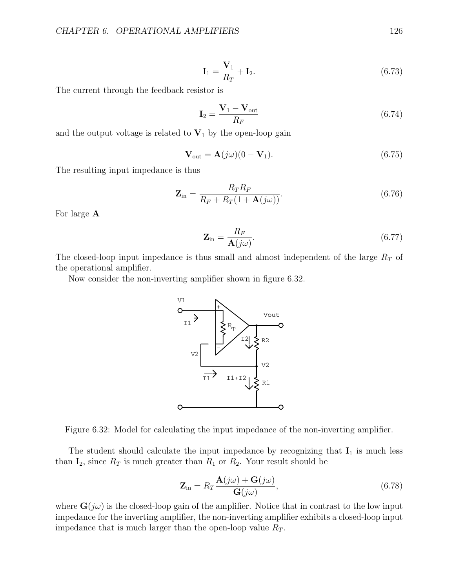$$
\mathbf{I}_1 = \frac{\mathbf{V}_1}{R_T} + \mathbf{I}_2. \tag{6.73}
$$

The current through the feedback resistor is

$$
\mathbf{I}_2 = \frac{\mathbf{V}_1 - \mathbf{V}_{\text{out}}}{R_F} \tag{6.74}
$$

and the output voltage is related to  $V_1$  by the open-loop gain

$$
\mathbf{V}_{\text{out}} = \mathbf{A}(j\omega)(0 - \mathbf{V}_1). \tag{6.75}
$$

The resulting input impedance is thus

$$
\mathbf{Z}_{\text{in}} = \frac{R_T R_F}{R_F + R_T (1 + \mathbf{A}(j\omega))}.
$$
\n(6.76)

For large **A**

$$
\mathbf{Z}_{\text{in}} = \frac{R_F}{\mathbf{A}(j\omega)}.\tag{6.77}
$$

The closed-loop input impedance is thus small and almost independent of the large  $R_T$  of the operational amplifier.

Now consider the non-inverting amplifier shown in figure 6.32.



Figure 6.32: Model for calculating the input impedance of the non-inverting amplifier.

The student should calculate the input impedance by recognizing that  $I_1$  is much less than  $I_2$ , since  $R_T$  is much greater than  $R_1$  or  $R_2$ . Your result should be

$$
\mathbf{Z}_{\text{in}} = R_T \frac{\mathbf{A}(j\omega) + \mathbf{G}(j\omega)}{\mathbf{G}(j\omega)},
$$
\n(6.78)

where  $\mathbf{G}(j\omega)$  is the closed-loop gain of the amplifier. Notice that in contrast to the low input impedance for the inverting amplifier, the non-inverting amplifier exhibits a closed-loop input impedance that is much larger than the open-loop value  $R_T$ .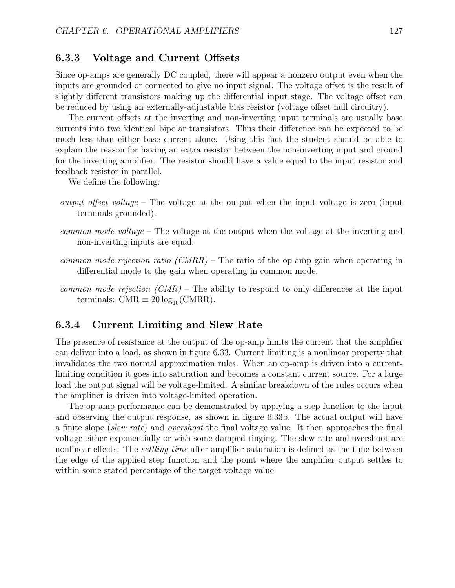### **6.3.3 Voltage and Current Offsets**

Since op-amps are generally DC coupled, there will appear a nonzero output even when the inputs are grounded or connected to give no input signal. The voltage offset is the result of slightly different transistors making up the differential input stage. The voltage offset can be reduced by using an externally-adjustable bias resistor (voltage offset null circuitry).

The current offsets at the inverting and non-inverting input terminals are usually base currents into two identical bipolar transistors. Thus their difference can be expected to be much less than either base current alone. Using this fact the student should be able to explain the reason for having an extra resistor between the non-inverting input and ground for the inverting amplifier. The resistor should have a value equal to the input resistor and feedback resistor in parallel.

We define the following:

- *output offset voltage* The voltage at the output when the input voltage is zero (input terminals grounded).
- common mode voltage The voltage at the output when the voltage at the inverting and non-inverting inputs are equal.
- common mode rejection ratio  $(CMRR)$  The ratio of the op-amp gain when operating in differential mode to the gain when operating in common mode.
- *common mode rejection*  $(CMR)$  The ability to respond to only differences at the input terminals: CMR  $\equiv 20 \log_{10}(\text{CMRR})$ .

### **6.3.4 Current Limiting and Slew Rate**

The presence of resistance at the output of the op-amp limits the current that the amplifier can deliver into a load, as shown in figure 6.33. Current limiting is a nonlinear property that invalidates the two normal approximation rules. When an op-amp is driven into a currentlimiting condition it goes into saturation and becomes a constant current source. For a large load the output signal will be voltage-limited. A similar breakdown of the rules occurs when the amplifier is driven into voltage-limited operation.

The op-amp performance can be demonstrated by applying a step function to the input and observing the output response, as shown in figure 6.33b. The actual output will have a finite slope (slew rate) and overshoot the final voltage value. It then approaches the final voltage either exponentially or with some damped ringing. The slew rate and overshoot are nonlinear effects. The *settling time* after amplifier saturation is defined as the time between the edge of the applied step function and the point where the amplifier output settles to within some stated percentage of the target voltage value.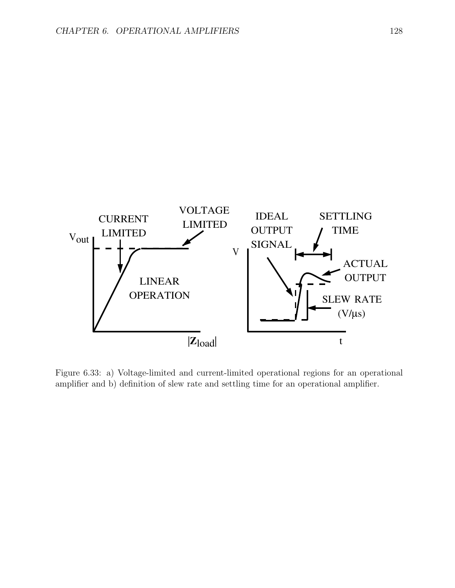

Figure 6.33: a) Voltage-limited and current-limited operational regions for an operational amplifier and b) definition of slew rate and settling time for an operational amplifier.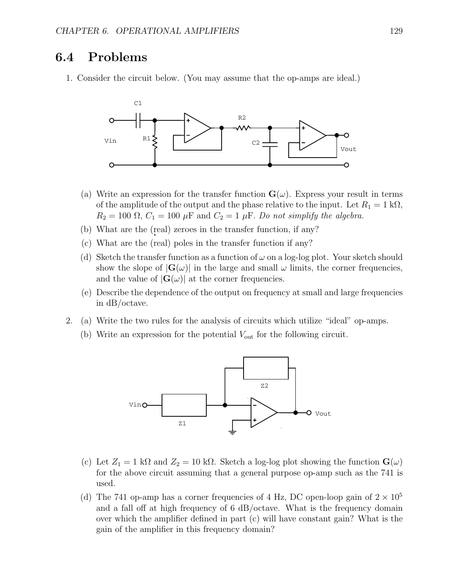# **6.4 Problems**

1. Consider the circuit below. (You may assume that the op-amps are ideal.)



- (a) Write an expression for the transfer function  $\mathbf{G}(\omega)$ . Express your result in terms of the amplitude of the output and the phase relative to the input. Let  $R_1 = 1 \text{ k}\Omega$ ,  $R_2 = 100 \Omega$ ,  $C_1 = 100 \mu$ F and  $C_2 = 1 \mu$ F. Do not simplify the algebra.
- (b) What are the (real) zeroes in the transfer function, if any?
- (c) What are the (real) poles in the transfer function if any?
- (d) Sketch the transfer function as a function of  $\omega$  on a log-log plot. Your sketch should show the slope of  $|\mathbf{G}(\omega)|$  in the large and small  $\omega$  limits, the corner frequencies, and the value of  $|\mathbf{G}(\omega)|$  at the corner frequencies.
- (e) Describe the dependence of the output on frequency at small and large frequencies in dB/octave.
- 2. (a) Write the two rules for the analysis of circuits which utilize "ideal" op-amps.
	- (b) Write an expression for the potential  $V_{\text{out}}$  for the following circuit.



- (c) Let  $Z_1 = 1$  kΩ and  $Z_2 = 10$  kΩ. Sketch a log-log plot showing the function  $\mathbf{G}(\omega)$ for the above circuit assuming that a general purpose op-amp such as the 741 is used.
- (d) The 741 op-amp has a corner frequencies of 4 Hz, DC open-loop gain of  $2 \times 10^5$ and a fall off at high frequency of 6 dB/octave. What is the frequency domain over which the amplifier defined in part (c) will have constant gain? What is the gain of the amplifier in this frequency domain?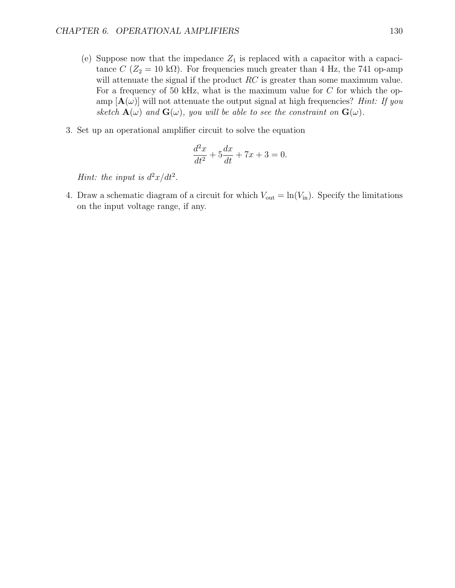- (e) Suppose now that the impedance  $Z_1$  is replaced with a capacitor with a capacitance  $C$  ( $Z_2 = 10 \text{ k}\Omega$ ). For frequencies much greater than 4 Hz, the 741 op-amp will attenuate the signal if the product RC is greater than some maximum value. For a frequency of 50 kHz, what is the maximum value for  $C$  for which the opamp  $[A(\omega)]$  will not attenuate the output signal at high frequencies? *Hint: If you* sketch  $\mathbf{A}(\omega)$  and  $\mathbf{G}(\omega)$ , you will be able to see the constraint on  $\mathbf{G}(\omega)$ .
- 3. Set up an operational amplifier circuit to solve the equation

$$
\frac{d^2x}{dt^2} + 5\frac{dx}{dt} + 7x + 3 = 0.
$$

Hint: the input is  $d^2x/dt^2$ .

4. Draw a schematic diagram of a circuit for which  $V_{\text{out}} = \ln(V_{\text{in}})$ . Specify the limitations on the input voltage range, if any.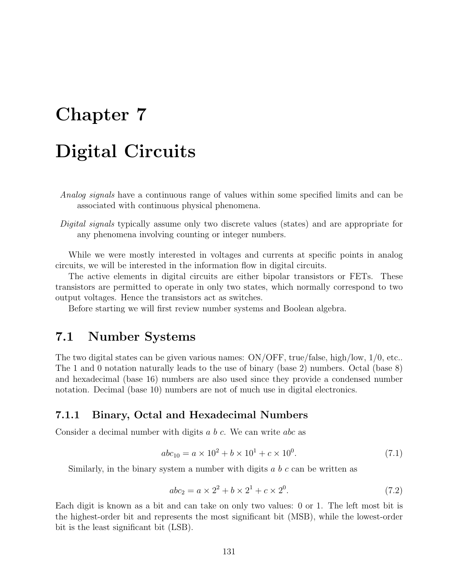# **Chapter 7**

# **Digital Circuits**

- Analog signals have a continuous range of values within some specified limits and can be associated with continuous physical phenomena.
- Digital signals typically assume only two discrete values (states) and are appropriate for any phenomena involving counting or integer numbers.

While we were mostly interested in voltages and currents at specific points in analog circuits, we will be interested in the information flow in digital circuits.

The active elements in digital circuits are either bipolar transistors or FETs. These transistors are permitted to operate in only two states, which normally correspond to two output voltages. Hence the transistors act as switches.

Before starting we will first review number systems and Boolean algebra.

# **7.1 Number Systems**

The two digital states can be given various names: ON/OFF, true/false, high/low, 1/0, etc.. The 1 and 0 notation naturally leads to the use of binary (base 2) numbers. Octal (base 8) and hexadecimal (base 16) numbers are also used since they provide a condensed number notation. Decimal (base 10) numbers are not of much use in digital electronics.

### **7.1.1 Binary, Octal and Hexadecimal Numbers**

Consider a decimal number with digits  $a\,b\,c$ . We can write  $abc$  as

$$
abc_{10} = a \times 10^2 + b \times 10^1 + c \times 10^0. \tag{7.1}
$$

Similarly, in the binary system a number with digits  $a\,b\,c$  can be written as

$$
abc_2 = a \times 2^2 + b \times 2^1 + c \times 2^0.
$$
 (7.2)

Each digit is known as a bit and can take on only two values: 0 or 1. The left most bit is the highest-order bit and represents the most significant bit (MSB), while the lowest-order bit is the least significant bit (LSB).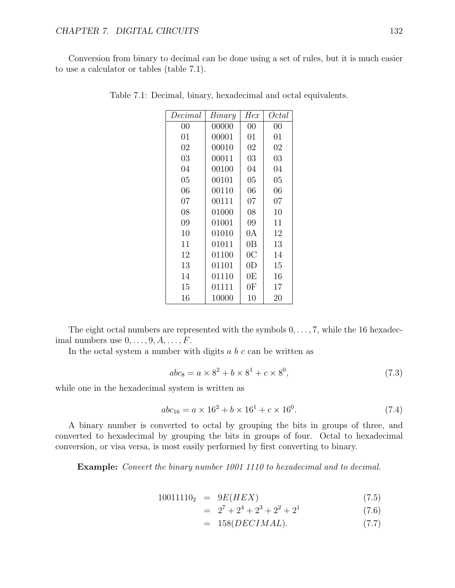Conversion from binary to decimal can be done using a set of rules, but it is much easier to use a calculator or tables (table 7.1).

| Decimal | Binary | Hex            | Octal  |
|---------|--------|----------------|--------|
| 00      | 00000  | 00             | $00\,$ |
| 01      | 00001  | 01             | $01\,$ |
| 02      | 00010  | 02             | 02     |
| 03      | 00011  | 03             | 03     |
| 04      | 00100  | 04             | 04     |
| 05      | 00101  | 05             | 05     |
| 06      | 00110  | 06             | 06     |
| 07      | 00111  | 07             | 07     |
| 08      | 01000  | 08             | 10     |
| 09      | 01001  | 09             | 11     |
| 10      | 01010  | 0A             | 12     |
| 11      | 01011  | 0B             | 13     |
| 12      | 01100  | $0\mathrm{C}$  | 14     |
| 13      | 01101  | $0\mathrm{D}$  | 15     |
| 14      | 01110  | $0\mathrm{E}$  | 16     |
| 15      | 01111  | 0 <sub>F</sub> | 17     |
| 16      | 10000  | 10             | 20     |

Table 7.1: Decimal, binary, hexadecimal and octal equivalents.

The eight octal numbers are represented with the symbols  $0, \ldots, 7$ , while the 16 hexadecimal numbers use  $0, \ldots, 9, A, \ldots, F$ .

In the octal system a number with digits  $a\,b\,c$  can be written as

$$
abc_8 = a \times 8^2 + b \times 8^1 + c \times 8^0,
$$
\n(7.3)

while one in the hexadecimal system is written as

$$
abc_{16} = a \times 16^2 + b \times 16^1 + c \times 16^0. \tag{7.4}
$$

A binary number is converted to octal by grouping the bits in groups of three, and converted to hexadecimal by grouping the bits in groups of four. Octal to hexadecimal conversion, or visa versa, is most easily performed by first converting to binary.

**Example:** Convert the binary number 1001 1110 to hexadecimal and to decimal.

$$
10011110_2 = 9E(HEX) \t(7.5)
$$

$$
= 27 + 24 + 23 + 22 + 21
$$
 (7.6)

$$
= 158(DECIMAL). \t(7.7)
$$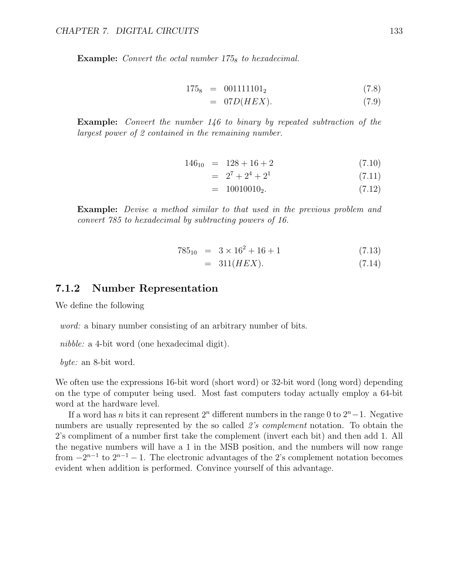**Example:** Convert the octal number *175<sup>8</sup>* to hexadecimal.

$$
175_8 = 001111101_2 \tag{7.8}
$$

$$
= 07D(HEX). \t(7.9)
$$

**Example:** Convert the number 146 to binary by repeated subtraction of the largest power of 2 contained in the remaining number.

$$
146_{10} = 128 + 16 + 2 \tag{7.10}
$$

$$
= 27 + 24 + 21
$$
 (7.11)

$$
= 10010010_2. \t(7.12)
$$

**Example:** Devise a method similar to that used in the previous problem and convert 785 to hexadecimal by subtracting powers of 16.

$$
785_{10} = 3 \times 16^2 + 16 + 1 \tag{7.13}
$$

$$
= 311 (HEX). \t(7.14)
$$

### **7.1.2 Number Representation**

We define the following

word: a binary number consisting of an arbitrary number of bits.

```
nibble: a 4-bit word (one hexadecimal digit).
```
byte: an 8-bit word.

We often use the expressions 16-bit word (short word) or 32-bit word (long word) depending on the type of computer being used. Most fast computers today actually employ a 64-bit word at the hardware level.

If a word has n bits it can represent  $2<sup>n</sup>$  different numbers in the range 0 to  $2<sup>n</sup> - 1$ . Negative numbers are usually represented by the so called 2's *complement* notation. To obtain the 2's compliment of a number first take the complement (invert each bit) and then add 1. All the negative numbers will have a 1 in the MSB position, and the numbers will now range from  $-2^{n-1}$  to  $2^{n-1}-1$ . The electronic advantages of the 2's complement notation becomes evident when addition is performed. Convince yourself of this advantage.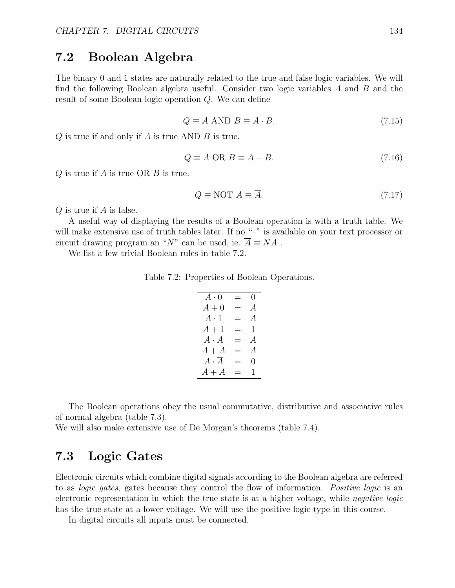# **7.2 Boolean Algebra**

The binary 0 and 1 states are naturally related to the true and false logic variables. We will find the following Boolean algebra useful. Consider two logic variables  $A$  and  $B$  and the result of some Boolean logic operation Q. We can define

$$
Q \equiv A \text{ AND } B \equiv A \cdot B. \tag{7.15}
$$

 $Q$  is true if and only if  $A$  is true AND  $B$  is true.

$$
Q \equiv A \text{ OR } B \equiv A + B. \tag{7.16}
$$

 $Q$  is true if  $A$  is true OR  $B$  is true.

$$
Q \equiv \text{NOT } A \equiv \overline{A}.\tag{7.17}
$$

 $Q$  is true if  $A$  is false.

A useful way of displaying the results of a Boolean operation is with a truth table. We will make extensive use of truth tables later. If no "-" is available on your text processor or circuit drawing program an "N" can be used, ie.  $\overline{A} \equiv NA$ .

We list a few trivial Boolean rules in table 7.2.

Table 7.2: Properties of Boolean Operations.

| $A \cdot 0$            | $=$ | $\left( \right)$ |
|------------------------|-----|------------------|
| $A+0$                  | =   | $\boldsymbol{A}$ |
| $A \cdot 1$            | =   | $\overline{A}$   |
| $A+1$                  | $=$ | 1                |
| $A \cdot A$            | =   | $\overline{A}$   |
| $A + A$                | —   | $\overline{A}$   |
| $A \cdot \overline{A}$ | =   | 0                |
| $A+\overline{A}$       | $=$ | 1                |

The Boolean operations obey the usual commutative, distributive and associative rules of normal algebra (table 7.3).

We will also make extensive use of De Morgan's theorems (table 7.4).

# **7.3 Logic Gates**

Electronic circuits which combine digital signals according to the Boolean algebra are referred to as *logic gates*; gates because they control the flow of information. *Positive logic* is an electronic representation in which the true state is at a higher voltage, while negative logic has the true state at a lower voltage. We will use the positive logic type in this course.

In digital circuits all inputs must be connected.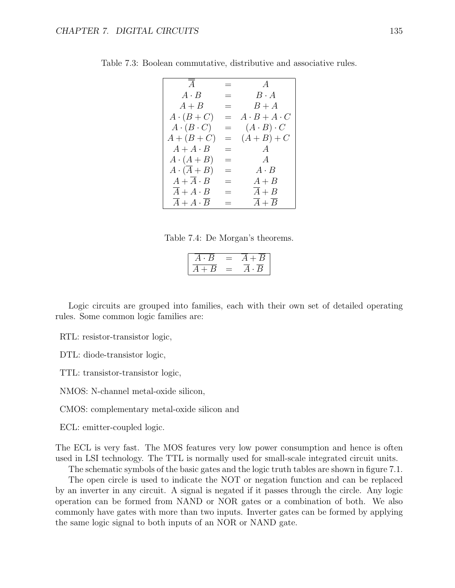| $\overline{A}$                        |     | $\overline{A}$              |
|---------------------------------------|-----|-----------------------------|
| $A \cdot B$                           | $=$ | $B \cdot A$                 |
| $A + B$                               | $=$ | $B+A$                       |
| $A \cdot (B+C)$                       | $=$ | $A \cdot B + A \cdot C$     |
| $A \cdot (B \cdot C)$                 | $=$ | $(A \cdot B) \cdot C$       |
| $A+(B+C)$                             | $=$ | $(A+B)+C$                   |
| $A + A \cdot B$                       | —   | $\overline{A}$              |
| $A \cdot (A + B)$                     | $=$ | $\overline{A}$              |
| $A\cdot (\overline{A}+B)$             | =   | $A \cdot B$                 |
| $A + \overline{A} \cdot B$            | $=$ | $A + B$                     |
| $\overline{A} + A \cdot B$            | =   | $\overline{A} + B$          |
| $\overline{A} + A \cdot \overline{B}$ | $=$ | $\overline{A}+\overline{B}$ |

Table 7.3: Boolean commutative, distributive and associative rules.

| Table 7.4: De Morgan's theorems. |  |  |  |
|----------------------------------|--|--|--|
|----------------------------------|--|--|--|

|                                       | $+ B$ |
|---------------------------------------|-------|
| D<br>$\hspace{0.1mm} +\hspace{0.1mm}$ | ∍     |

Logic circuits are grouped into families, each with their own set of detailed operating rules. Some common logic families are:

RTL: resistor-transistor logic,

DTL: diode-transistor logic,

TTL: transistor-transistor logic,

NMOS: N-channel metal-oxide silicon,

CMOS: complementary metal-oxide silicon and

ECL: emitter-coupled logic.

The ECL is very fast. The MOS features very low power consumption and hence is often used in LSI technology. The TTL is normally used for small-scale integrated circuit units.

The schematic symbols of the basic gates and the logic truth tables are shown in figure 7.1.

The open circle is used to indicate the NOT or negation function and can be replaced by an inverter in any circuit. A signal is negated if it passes through the circle. Any logic operation can be formed from NAND or NOR gates or a combination of both. We also commonly have gates with more than two inputs. Inverter gates can be formed by applying the same logic signal to both inputs of an NOR or NAND gate.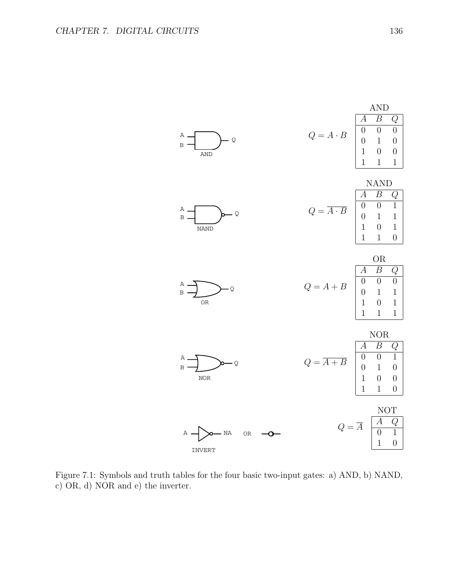

Figure 7.1: Symbols and truth tables for the four basic two-input gates: a) AND, b) NAND, c) OR, d) NOR and e) the inverter.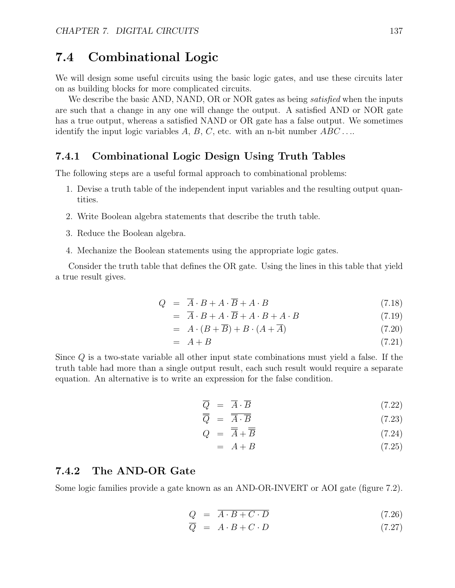# **7.4 Combinational Logic**

We will design some useful circuits using the basic logic gates, and use these circuits later on as building blocks for more complicated circuits.

We describe the basic AND, NAND, OR or NOR gates as being *satisfied* when the inputs are such that a change in any one will change the output. A satisfied AND or NOR gate has a true output, whereas a satisfied NAND or OR gate has a false output. We sometimes identify the input logic variables  $A, B, C$ , etc. with an n-bit number  $ABC \dots$ 

### **7.4.1 Combinational Logic Design Using Truth Tables**

The following steps are a useful formal approach to combinational problems:

- 1. Devise a truth table of the independent input variables and the resulting output quantities.
- 2. Write Boolean algebra statements that describe the truth table.
- 3. Reduce the Boolean algebra.
- 4. Mechanize the Boolean statements using the appropriate logic gates.

Consider the truth table that defines the OR gate. Using the lines in this table that yield a true result gives.

$$
Q = \overline{A} \cdot B + A \cdot \overline{B} + A \cdot B \tag{7.18}
$$

$$
= \overline{A} \cdot B + A \cdot \overline{B} + A \cdot B + A \cdot B \tag{7.19}
$$

$$
= A \cdot (B + \overline{B}) + B \cdot (A + \overline{A}) \tag{7.20}
$$

$$
= A + B \tag{7.21}
$$

Since Q is a two-state variable all other input state combinations must yield a false. If the truth table had more than a single output result, each such result would require a separate equation. An alternative is to write an expression for the false condition.

$$
\overline{Q} = \overline{A} \cdot \overline{B} \tag{7.22}
$$

$$
\overline{\overline{Q}} = \overline{\overline{A} \cdot \overline{B}} \tag{7.23}
$$

$$
Q = \overline{\overline{A}} + \overline{\overline{B}} \tag{7.24}
$$

 $= A + B$  (7.25)

### **7.4.2 The AND-OR Gate**

Some logic families provide a gate known as an AND-OR-INVERT or AOI gate (figure 7.2).

$$
Q = \overline{A \cdot B + C \cdot D} \tag{7.26}
$$

$$
\overline{Q} = A \cdot B + C \cdot D \tag{7.27}
$$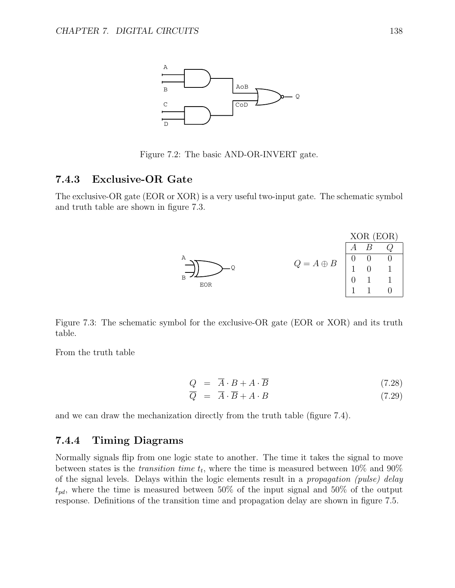

Figure 7.2: The basic AND-OR-INVERT gate.

### **7.4.3 Exclusive-OR Gate**

The exclusive-OR gate (EOR or XOR) is a very useful two-input gate. The schematic symbol and truth table are shown in figure 7.3.



Figure 7.3: The schematic symbol for the exclusive-OR gate (EOR or XOR) and its truth table.

From the truth table

$$
Q = \overline{A} \cdot B + A \cdot \overline{B} \tag{7.28}
$$

$$
\overline{Q} = \overline{A} \cdot \overline{B} + A \cdot B \tag{7.29}
$$

and we can draw the mechanization directly from the truth table (figure 7.4).

### **7.4.4 Timing Diagrams**

Normally signals flip from one logic state to another. The time it takes the signal to move between states is the *transition time t<sub>t</sub>*, where the time is measured between  $10\%$  and  $90\%$ of the signal levels. Delays within the logic elements result in a propagation (pulse) delay  $t_{nd}$ , where the time is measured between 50% of the input signal and 50% of the output response. Definitions of the transition time and propagation delay are shown in figure 7.5.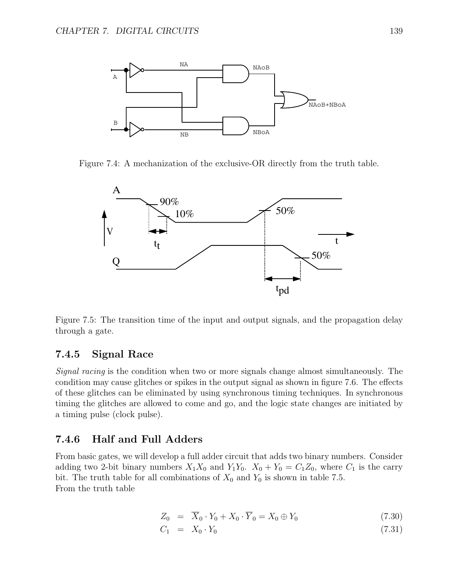

Figure 7.4: A mechanization of the exclusive-OR directly from the truth table.



Figure 7.5: The transition time of the input and output signals, and the propagation delay through a gate.

### **7.4.5 Signal Race**

Signal racing is the condition when two or more signals change almost simultaneously. The condition may cause glitches or spikes in the output signal as shown in figure 7.6. The effects of these glitches can be eliminated by using synchronous timing techniques. In synchronous timing the glitches are allowed to come and go, and the logic state changes are initiated by a timing pulse (clock pulse).

### **7.4.6 Half and Full Adders**

From basic gates, we will develop a full adder circuit that adds two binary numbers. Consider adding two 2-bit binary numbers  $X_1X_0$  and  $Y_1Y_0$ .  $X_0 + Y_0 = C_1Z_0$ , where  $C_1$  is the carry bit. The truth table for all combinations of  $X_0$  and  $Y_0$  is shown in table 7.5. From the truth table

$$
Z_0 = \overline{X}_0 \cdot Y_0 + X_0 \cdot \overline{Y}_0 = X_0 \oplus Y_0 \tag{7.30}
$$

$$
C_1 = X_0 \cdot Y_0 \tag{7.31}
$$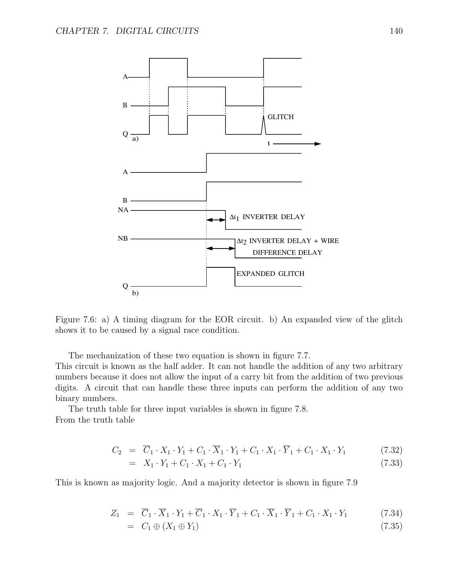

Figure 7.6: a) A timing diagram for the EOR circuit. b) An expanded view of the glitch shows it to be caused by a signal race condition.

The mechanization of these two equation is shown in figure 7.7.

This circuit is known as the half adder. It can not handle the addition of any two arbitrary numbers because it does not allow the input of a carry bit from the addition of two previous digits. A circuit that can handle these three inputs can perform the addition of any two binary numbers.

The truth table for three input variables is shown in figure 7.8. From the truth table

$$
C_2 = \overline{C}_1 \cdot X_1 \cdot Y_1 + C_1 \cdot \overline{X}_1 \cdot Y_1 + C_1 \cdot X_1 \cdot \overline{Y}_1 + C_1 \cdot X_1 \cdot Y_1 \tag{7.32}
$$

$$
= X_1 \cdot Y_1 + C_1 \cdot X_1 + C_1 \cdot Y_1 \tag{7.33}
$$

This is known as majority logic. And a majority detector is shown in figure 7.9

$$
Z_1 = \overline{C}_1 \cdot \overline{X}_1 \cdot Y_1 + \overline{C}_1 \cdot X_1 \cdot \overline{Y}_1 + C_1 \cdot \overline{X}_1 \cdot \overline{Y}_1 + C_1 \cdot X_1 \cdot Y_1 \tag{7.34}
$$

 $= C_1 \oplus (X_1 \oplus Y_1)$  (7.35)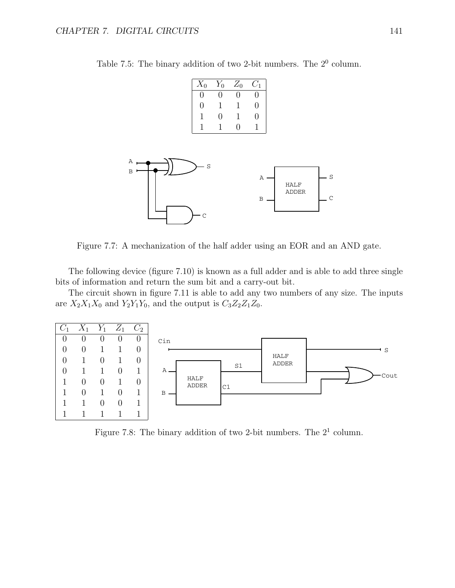| $X_0$ | $Y_0$            | $Z_0$ | $C_1$            |
|-------|------------------|-------|------------------|
| 0     | 0                | 0     | 0                |
| 0     | I.               | 1     | 0                |
|       | $\left( \right)$ | 1     | $\left( \right)$ |
|       |                  | 0     |                  |

Table 7.5: The binary addition of two 2-bit numbers. The  $2^0$  column.

S  $\overline{B}$   $\overline{C}$ A C S B A HALF ADDER

Figure 7.7: A mechanization of the half adder using an EOR and an AND gate.

The following device (figure 7.10) is known as a full adder and is able to add three single bits of information and return the sum bit and a carry-out bit.

The circuit shown in figure 7.11 is able to add any two numbers of any size. The inputs are  $X_2X_1X_0$  and  $Y_2Y_1Y_0$ , and the output is  $C_3Z_2Z_1Z_0$ .



Figure 7.8: The binary addition of two 2-bit numbers. The  $2<sup>1</sup>$  column.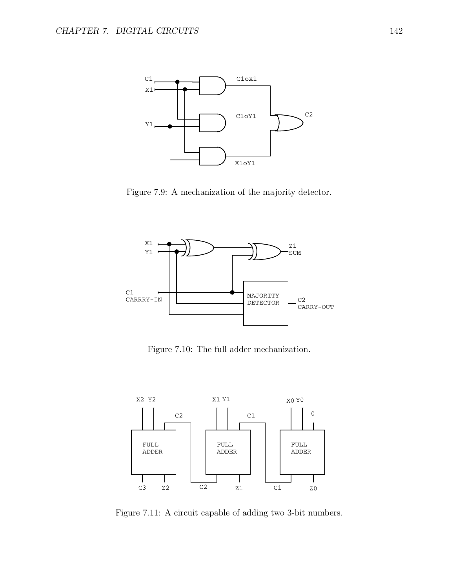

Figure 7.9: A mechanization of the majority detector.



Figure 7.10: The full adder mechanization.



Figure 7.11: A circuit capable of adding two 3-bit numbers.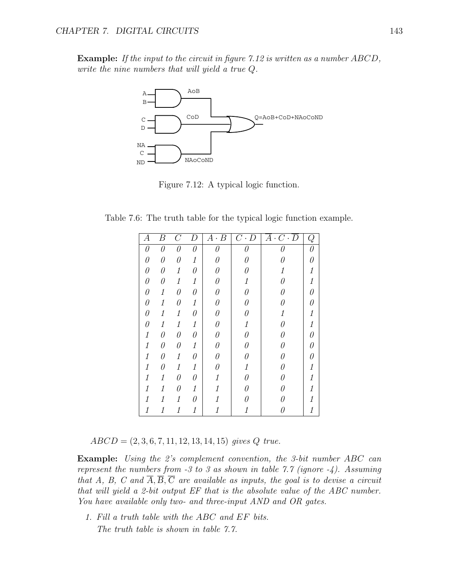**Example:** If the input to the circuit in figure 7.12 is written as a number ABCD, write the nine numbers that will yield a true Q.



Figure 7.12: A typical logic function.

Table 7.6: The truth table for the typical logic function example.

|                                                           | B                                                                                                                                                                                                                                                                                                                                                                                                                                                               | $\overline{C}$                                            |                                                           | А        | $\overline{C}$<br>$\cdot$ D                                         | $\overline{A}\cdot \overline{C\cdot D}$ | Q                                                         |
|-----------------------------------------------------------|-----------------------------------------------------------------------------------------------------------------------------------------------------------------------------------------------------------------------------------------------------------------------------------------------------------------------------------------------------------------------------------------------------------------------------------------------------------------|-----------------------------------------------------------|-----------------------------------------------------------|----------|---------------------------------------------------------------------|-----------------------------------------|-----------------------------------------------------------|
| 0                                                         | 0                                                                                                                                                                                                                                                                                                                                                                                                                                                               | 0                                                         | N                                                         | 0        | 0                                                                   |                                         | 0                                                         |
| 0                                                         | 0                                                                                                                                                                                                                                                                                                                                                                                                                                                               | 0                                                         | $\mathcal{I}% _{M_{1},M_{2}}^{\alpha,\beta}(\varepsilon)$ | 0        | 0                                                                   | N                                       | 0                                                         |
| 0                                                         | $\theta$                                                                                                                                                                                                                                                                                                                                                                                                                                                        | 1                                                         | 0                                                         | 0        | 0                                                                   | 1                                       | 1                                                         |
| 0                                                         | $\theta$                                                                                                                                                                                                                                                                                                                                                                                                                                                        | $\it 1$                                                   | $\it 1$                                                   | $\theta$ | $\mathbf{1}$                                                        | 0                                       | 1                                                         |
| $\theta$                                                  | $\mathcal{I}% _{M_{1},M_{2}}^{(1)}(\theta)\equiv\mathcal{I}_{M_{1},M_{2}}^{(1)}(\theta)\equiv\mathcal{I}_{M_{1},M_{2}}^{(1)}(\theta)\equiv\mathcal{I}_{M_{1},M_{2}}^{(1)}(\theta)\equiv\mathcal{I}_{M_{1},M_{2}}^{(1)}(\theta)\equiv\mathcal{I}_{M_{1},M_{2}}^{(1)}(\theta)\equiv\mathcal{I}_{M_{1},M_{2}}^{(1)}(\theta)\equiv\mathcal{I}_{M_{1},M_{2}}^{(1)}(\theta)\equiv\mathcal{I}_{M_{1},M_{2}}^{(1)}(\theta)\equiv\mathcal{I}_{M_{1},M_{2}}^{(1)}(\theta$ | $\theta$                                                  | 0                                                         | $\theta$ | $\theta$                                                            | Ŋ                                       | 0                                                         |
| 0                                                         | 1                                                                                                                                                                                                                                                                                                                                                                                                                                                               | 0                                                         | 1                                                         | 0        | 0                                                                   | Ŋ                                       | 0                                                         |
| 0                                                         | $\mathbf{1}$                                                                                                                                                                                                                                                                                                                                                                                                                                                    | $\it 1$                                                   | 0                                                         | 0        | 0                                                                   | $\it 1$                                 | $\it 1$                                                   |
| 0                                                         | 1                                                                                                                                                                                                                                                                                                                                                                                                                                                               | $\it 1$                                                   | $\mathcal{I}% _{M_{1},M_{2}}^{\alpha,\beta}(\varepsilon)$ | 0        | $\mathcal{I}% _{M_{1},M_{2}}^{(h,\sigma),(h,\sigma)}(-\varepsilon)$ | N                                       | $\mathcal{I}% _{M_{1},M_{2}}^{\alpha,\beta}(\varepsilon)$ |
| $\mathcal{I}% _{M_{1},M_{2}}^{\alpha,\beta}(\varepsilon)$ | $\theta$                                                                                                                                                                                                                                                                                                                                                                                                                                                        | $\theta$                                                  | $\theta$                                                  | 0        | $\theta$                                                            | N                                       | 0                                                         |
| $\it 1$                                                   | $\theta$                                                                                                                                                                                                                                                                                                                                                                                                                                                        | $\theta$                                                  | $\it 1$                                                   | $\theta$ | 0                                                                   | 0                                       | 0                                                         |
| 1                                                         | $\theta$                                                                                                                                                                                                                                                                                                                                                                                                                                                        | $\it 1$                                                   | 0                                                         | $\theta$ | 0                                                                   | N                                       | 0                                                         |
| 1                                                         | 0                                                                                                                                                                                                                                                                                                                                                                                                                                                               | $\mathcal{I}% _{M_{1},M_{2}}^{\alpha,\beta}(\varepsilon)$ | $\overline{\mathfrak{1}}$                                 | 0        | $\mathbf{1}$                                                        | Ŋ                                       | 1                                                         |
| 1                                                         | $\mathcal{I}% _{M_{1},M_{2}}^{\alpha,\beta}(\varepsilon)$                                                                                                                                                                                                                                                                                                                                                                                                       | $\theta$                                                  | 0                                                         | 1        | 0                                                                   | 0                                       | 1                                                         |
| 1                                                         | 1                                                                                                                                                                                                                                                                                                                                                                                                                                                               | 0                                                         | $\it 1$                                                   | 1        | 0                                                                   | $\theta$                                | $\it 1$                                                   |
| 1                                                         | 1                                                                                                                                                                                                                                                                                                                                                                                                                                                               | 1                                                         | 0                                                         | 1        | 0                                                                   | N                                       | 1                                                         |
| 1                                                         | 1                                                                                                                                                                                                                                                                                                                                                                                                                                                               | 1                                                         | 1                                                         | 1        | 1                                                                   |                                         | 1                                                         |

 $ABCD = (2, 3, 6, 7, 11, 12, 13, 14, 15)$  gives Q true.

**Example:** Using the 2's complement convention, the 3-bit number ABC can represent the numbers from  $-3$  to 3 as shown in table 7.7 (ignore  $-4$ ). Assuming that A, B, C and  $\overline{A}$ ,  $\overline{B}$ ,  $\overline{C}$  are available as inputs, the goal is to devise a circuit that will yield a 2-bit output EF that is the absolute value of the ABC number. You have available only two- and three-input AND and OR gates.

1. Fill a truth table with the ABC and EF bits. The truth table is shown in table 7.7.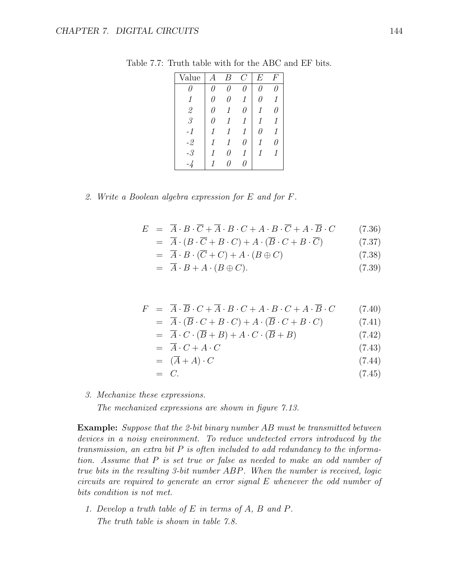| Value         | $\overline{A}$ |     | ۰, | E | H   |
|---------------|----------------|-----|----|---|-----|
|               | 0              | 0   | 0  | 0 | N   |
|               | 0              | 0   |    | 0 |     |
| $\mathscr{Q}$ | 0              |     | 0  |   | ( I |
| 3             | ()             |     | 1  |   |     |
| - 1           |                |     | 1  | 0 |     |
| -2            |                |     | 0  |   | ( I |
| -3            |                | 0   | 1  |   | 1   |
|               |                | I I | ſ, |   |     |

Table 7.7: Truth table with for the ABC and EF bits.

2. Write a Boolean algebra expression for E and for F.

$$
E = \overline{A} \cdot B \cdot \overline{C} + \overline{A} \cdot B \cdot C + A \cdot B \cdot \overline{C} + A \cdot \overline{B} \cdot C \tag{7.36}
$$

$$
= \overline{A} \cdot (B \cdot \overline{C} + B \cdot C) + A \cdot (\overline{B} \cdot C + B \cdot \overline{C}) \tag{7.37}
$$

$$
= \overline{A} \cdot B \cdot (\overline{C} + C) + A \cdot (B \oplus C) \tag{7.38}
$$

$$
= \overline{A} \cdot B + A \cdot (B \oplus C). \tag{7.39}
$$

$$
F = \overline{A} \cdot \overline{B} \cdot C + \overline{A} \cdot B \cdot C + A \cdot B \cdot C + A \cdot \overline{B} \cdot C \tag{7.40}
$$

$$
= \overline{A} \cdot (\overline{B} \cdot C + B \cdot C) + A \cdot (\overline{B} \cdot C + B \cdot C) \tag{7.41}
$$

$$
= \overline{A} \cdot C \cdot (\overline{B} + B) + A \cdot C \cdot (\overline{B} + B) \tag{7.42}
$$

$$
= \overline{A} \cdot C + A \cdot C \tag{7.43}
$$

$$
= (\overline{A} + A) \cdot C \tag{7.44}
$$

$$
= C. \t(7.45)
$$

3. Mechanize these expressions.

The mechanized expressions are shown in figure 7.13.

**Example:** Suppose that the 2-bit binary number AB must be transmitted between devices in a noisy environment. To reduce undetected errors introduced by the transmission, an extra bit P is often included to add redundancy to the information. Assume that P is set true or false as needed to make an odd number of true bits in the resulting 3-bit number ABP. When the number is received, logic circuits are required to generate an error signal E whenever the odd number of bits condition is not met.

1. Develop a truth table of E in terms of A, B and P. The truth table is shown in table 7.8.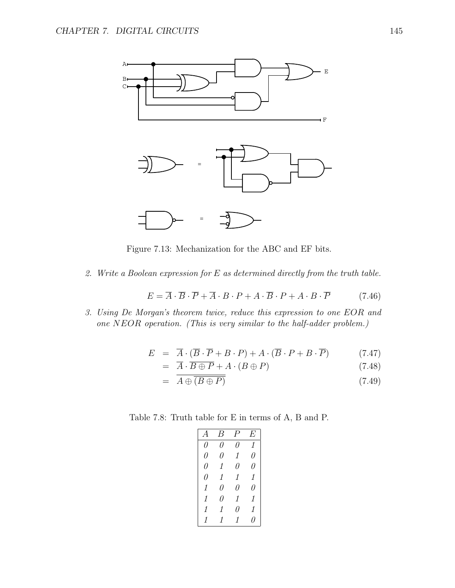

Figure 7.13: Mechanization for the ABC and EF bits.

2. Write a Boolean expression for E as determined directly from the truth table.

$$
E = \overline{A} \cdot \overline{B} \cdot \overline{P} + \overline{A} \cdot B \cdot P + A \cdot \overline{B} \cdot P + A \cdot B \cdot \overline{P}
$$
 (7.46)

3. Using De Morgan's theorem twice, reduce this expression to one EOR and one NEOR operation. (This is very similar to the half-adder problem.)

$$
E = \overline{A} \cdot (\overline{B} \cdot \overline{P} + B \cdot P) + A \cdot (\overline{B} \cdot P + B \cdot \overline{P}) \tag{7.47}
$$

$$
= \overline{A} \cdot \overline{B \oplus P} + A \cdot (B \oplus P) \tag{7.48}
$$

$$
= A \oplus (B \oplus P) \tag{7.49}
$$

Table 7.8: Truth table for E in terms of A, B and P.

|   | B | P | F, |
|---|---|---|----|
| 0 | 0 | 0 | 1  |
| 0 | 0 | 1 | 0  |
| 0 | 1 | 0 | 0  |
| 0 | 1 | 1 | 1  |
| 1 | 0 | 0 | 0  |
| 1 | 0 | 1 | 1  |
| 1 | 1 | 0 | 1  |
| 1 | 1 | 1 | 0  |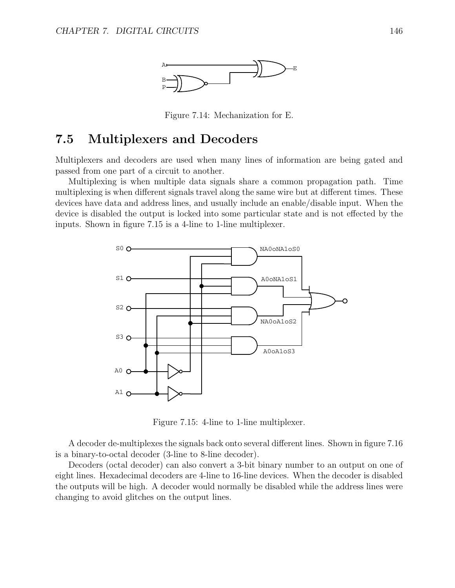

Figure 7.14: Mechanization for E.

### **7.5 Multiplexers and Decoders**

Multiplexers and decoders are used when many lines of information are being gated and passed from one part of a circuit to another.

Multiplexing is when multiple data signals share a common propagation path. Time multiplexing is when different signals travel along the same wire but at different times. These devices have data and address lines, and usually include an enable/disable input. When the device is disabled the output is locked into some particular state and is not effected by the inputs. Shown in figure 7.15 is a 4-line to 1-line multiplexer.



Figure 7.15: 4-line to 1-line multiplexer.

A decoder de-multiplexes the signals back onto several different lines. Shown in figure 7.16 is a binary-to-octal decoder (3-line to 8-line decoder).

Decoders (octal decoder) can also convert a 3-bit binary number to an output on one of eight lines. Hexadecimal decoders are 4-line to 16-line devices. When the decoder is disabled the outputs will be high. A decoder would normally be disabled while the address lines were changing to avoid glitches on the output lines.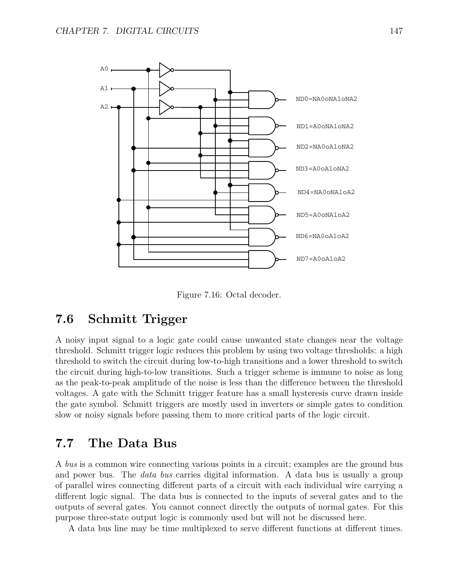

Figure 7.16: Octal decoder.

# **7.6 Schmitt Trigger**

A noisy input signal to a logic gate could cause unwanted state changes near the voltage threshold. Schmitt trigger logic reduces this problem by using two voltage thresholds: a high threshold to switch the circuit during low-to-high transitions and a lower threshold to switch the circuit during high-to-low transitions. Such a trigger scheme is immune to noise as long as the peak-to-peak amplitude of the noise is less than the difference between the threshold voltages. A gate with the Schmitt trigger feature has a small hysteresis curve drawn inside the gate symbol. Schmitt triggers are mostly used in inverters or simple gates to condition slow or noisy signals before passing them to more critical parts of the logic circuit.

# **7.7 The Data Bus**

A bus is a common wire connecting various points in a circuit; examples are the ground bus and power bus. The *data bus* carries digital information. A data bus is usually a group of parallel wires connecting different parts of a circuit with each individual wire carrying a different logic signal. The data bus is connected to the inputs of several gates and to the outputs of several gates. You cannot connect directly the outputs of normal gates. For this purpose three-state output logic is commonly used but will not be discussed here.

A data bus line may be time multiplexed to serve different functions at different times.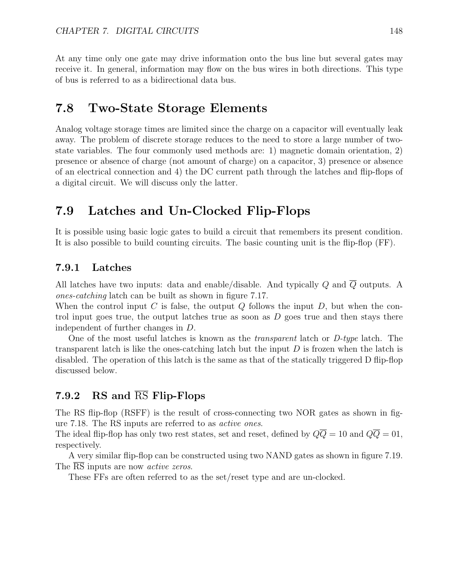At any time only one gate may drive information onto the bus line but several gates may receive it. In general, information may flow on the bus wires in both directions. This type of bus is referred to as a bidirectional data bus.

# **7.8 Two-State Storage Elements**

Analog voltage storage times are limited since the charge on a capacitor will eventually leak away. The problem of discrete storage reduces to the need to store a large number of twostate variables. The four commonly used methods are: 1) magnetic domain orientation, 2) presence or absence of charge (not amount of charge) on a capacitor, 3) presence or absence of an electrical connection and 4) the DC current path through the latches and flip-flops of a digital circuit. We will discuss only the latter.

# **7.9 Latches and Un-Clocked Flip-Flops**

It is possible using basic logic gates to build a circuit that remembers its present condition. It is also possible to build counting circuits. The basic counting unit is the flip-flop (FF).

#### **7.9.1 Latches**

All latches have two inputs: data and enable/disable. And typically Q and  $\overline{Q}$  outputs. A ones-catching latch can be built as shown in figure 7.17.

When the control input C is false, the output Q follows the input D, but when the control input goes true, the output latches true as soon as  $D$  goes true and then stays there independent of further changes in D.

One of the most useful latches is known as the *transparent* latch or  $D$ -type latch. The transparent latch is like the ones-catching latch but the input  $D$  is frozen when the latch is disabled. The operation of this latch is the same as that of the statically triggered D flip-flop discussed below.

## **7.9.2 RS and** RS **Flip-Flops**

The RS flip-flop (RSFF) is the result of cross-connecting two NOR gates as shown in figure 7.18. The RS inputs are referred to as active ones.

The ideal flip-flop has only two rest states, set and reset, defined by  $Q\overline{Q} = 10$  and  $Q\overline{Q} = 01$ , respectively.

A very similar flip-flop can be constructed using two NAND gates as shown in figure 7.19. The RS inputs are now *active zeros*.

These FFs are often referred to as the set/reset type and are un-clocked.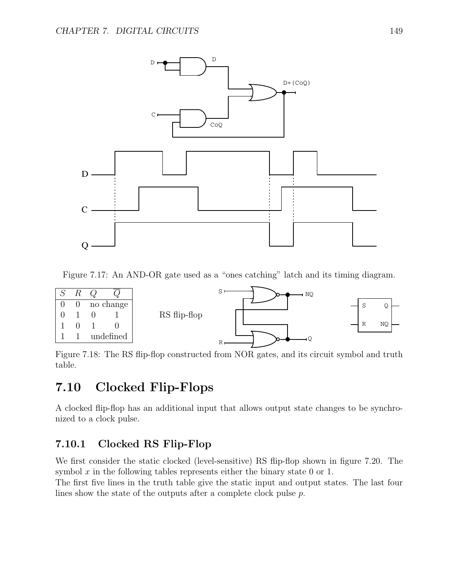

Figure 7.17: An AND-OR gate used as a "ones catching" latch and its timing diagram.



Figure 7.18: The RS flip-flop constructed from NOR gates, and its circuit symbol and truth table.

# **7.10 Clocked Flip-Flops**

A clocked flip-flop has an additional input that allows output state changes to be synchronized to a clock pulse.

## **7.10.1 Clocked RS Flip-Flop**

We first consider the static clocked (level-sensitive) RS flip-flop shown in figure 7.20. The symbol  $x$  in the following tables represents either the binary state 0 or 1.

The first five lines in the truth table give the static input and output states. The last four lines show the state of the outputs after a complete clock pulse p.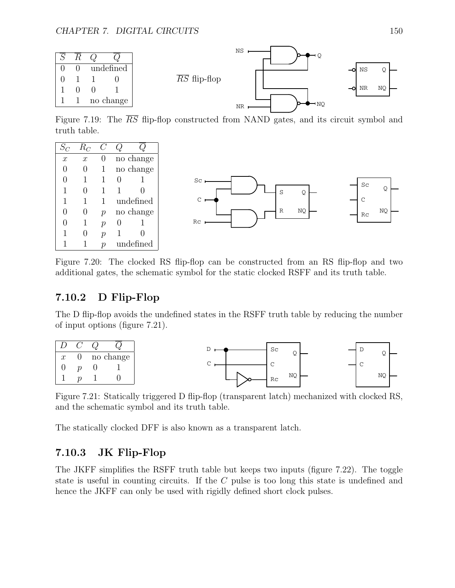

Figure 7.19: The  $\overline{RS}$  flip-flop constructed from NAND gates, and its circuit symbol and truth table.

|                  | $R_C$            |     |                  |
|------------------|------------------|-----|------------------|
| $\boldsymbol{x}$ | $\boldsymbol{x}$ | ( ) | no change        |
| O                |                  | 1   | no change        |
| 0                |                  | 1   | 0                |
| 1                |                  | 1   |                  |
| 1                | 1                | 1   | undefined        |
| 0                |                  | р   | no change        |
| ( )              | 1                | р   | $\left( \right)$ |
| 1                |                  | р   |                  |
|                  |                  |     | undefined        |



Figure 7.20: The clocked RS flip-flop can be constructed from an RS flip-flop and two additional gates, the schematic symbol for the static clocked RSFF and its truth table.

### **7.10.2 D Flip-Flop**

The D flip-flop avoids the undefined states in the RSFF truth table by reducing the number of input options (figure 7.21).



Figure 7.21: Statically triggered D flip-flop (transparent latch) mechanized with clocked RS, and the schematic symbol and its truth table.

The statically clocked DFF is also known as a transparent latch.

### **7.10.3 JK Flip-Flop**

The JKFF simplifies the RSFF truth table but keeps two inputs (figure 7.22). The toggle state is useful in counting circuits. If the C pulse is too long this state is undefined and hence the JKFF can only be used with rigidly defined short clock pulses.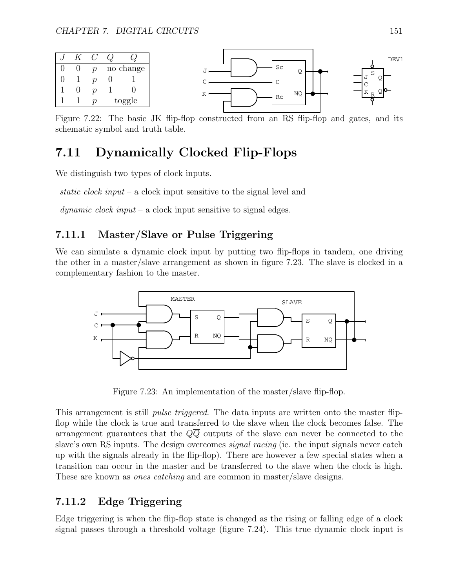

Figure 7.22: The basic JK flip-flop constructed from an RS flip-flop and gates, and its schematic symbol and truth table.

# **7.11 Dynamically Clocked Flip-Flops**

We distinguish two types of clock inputs.

static clock input – a clock input sensitive to the signal level and

 $dynamic \ clock \ input - a \ clock \ input$  sensitive to signal edges.

### **7.11.1 Master/Slave or Pulse Triggering**

We can simulate a dynamic clock input by putting two flip-flops in tandem, one driving the other in a master/slave arrangement as shown in figure 7.23. The slave is clocked in a complementary fashion to the master.



Figure 7.23: An implementation of the master/slave flip-flop.

This arrangement is still *pulse triggered*. The data inputs are written onto the master flipflop while the clock is true and transferred to the slave when the clock becomes false. The arrangement guarantees that the  $Q\overline{Q}$  outputs of the slave can never be connected to the slave's own RS inputs. The design overcomes signal racing (ie. the input signals never catch up with the signals already in the flip-flop). There are however a few special states when a transition can occur in the master and be transferred to the slave when the clock is high. These are known as ones catching and are common in master/slave designs.

### **7.11.2 Edge Triggering**

Edge triggering is when the flip-flop state is changed as the rising or falling edge of a clock signal passes through a threshold voltage (figure 7.24). This true dynamic clock input is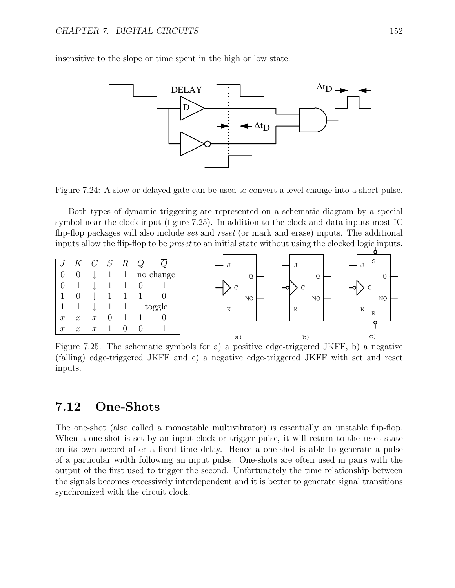

insensitive to the slope or time spent in the high or low state.

Figure 7.24: A slow or delayed gate can be used to convert a level change into a short pulse.

Both types of dynamic triggering are represented on a schematic diagram by a special symbol near the clock input (figure 7.25). In addition to the clock and data inputs most IC flip-flop packages will also include set and reset (or mark and erase) inputs. The additional inputs allow the flip-flop to be preset to an initial state without using the clocked logic inputs.



Figure 7.25: The schematic symbols for a) a positive edge-triggered JKFF, b) a negative (falling) edge-triggered JKFF and c) a negative edge-triggered JKFF with set and reset inputs.

# **7.12 One-Shots**

The one-shot (also called a monostable multivibrator) is essentially an unstable flip-flop. When a one-shot is set by an input clock or trigger pulse, it will return to the reset state on its own accord after a fixed time delay. Hence a one-shot is able to generate a pulse of a particular width following an input pulse. One-shots are often used in pairs with the output of the first used to trigger the second. Unfortunately the time relationship between the signals becomes excessively interdependent and it is better to generate signal transitions synchronized with the circuit clock.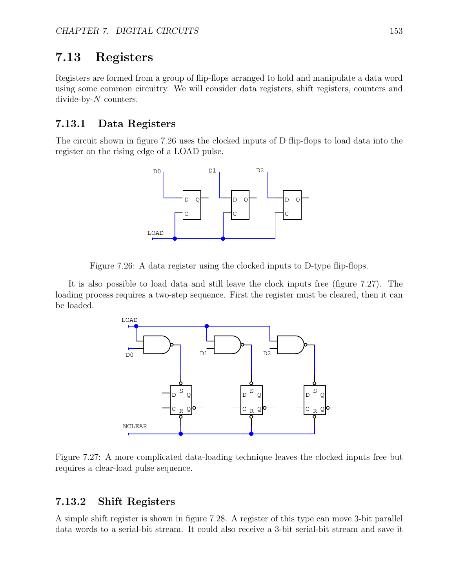# **7.13 Registers**

Registers are formed from a group of flip-flops arranged to hold and manipulate a data word using some common circuitry. We will consider data registers, shift registers, counters and divide-by-N counters.

#### **7.13.1 Data Registers**

The circuit shown in figure 7.26 uses the clocked inputs of D flip-flops to load data into the register on the rising edge of a LOAD pulse.



Figure 7.26: A data register using the clocked inputs to D-type flip-flops.

It is also possible to load data and still leave the clock inputs free (figure 7.27). The loading process requires a two-step sequence. First the register must be cleared, then it can be loaded.



Figure 7.27: A more complicated data-loading technique leaves the clocked inputs free but requires a clear-load pulse sequence.

### **7.13.2 Shift Registers**

A simple shift register is shown in figure 7.28. A register of this type can move 3-bit parallel data words to a serial-bit stream. It could also receive a 3-bit serial-bit stream and save it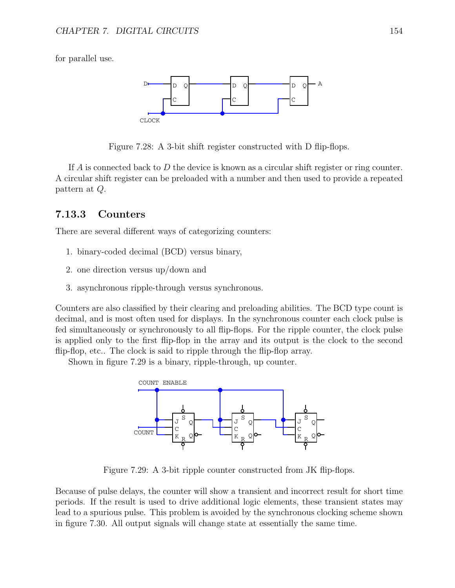DHID OHID OHID OHID OHA CLOCK  $\Box$ C  $\Omega$   $\sim$   $\sim$   $\sim$   $\sim$   $\sim$ C  $\Omega$   $\sim$   $\sim$   $\sim$   $\sim$   $\sim$ C  $\subset$ 

Figure 7.28: A 3-bit shift register constructed with D flip-flops.

If A is connected back to D the device is known as a circular shift register or ring counter. A circular shift register can be preloaded with a number and then used to provide a repeated pattern at Q.

#### **7.13.3 Counters**

for parallel use.

There are several different ways of categorizing counters:

- 1. binary-coded decimal (BCD) versus binary,
- 2. one direction versus up/down and
- 3. asynchronous ripple-through versus synchronous.

Counters are also classified by their clearing and preloading abilities. The BCD type count is decimal, and is most often used for displays. In the synchronous counter each clock pulse is fed simultaneously or synchronously to all flip-flops. For the ripple counter, the clock pulse is applied only to the first flip-flop in the array and its output is the clock to the second flip-flop, etc.. The clock is said to ripple through the flip-flop array.

Shown in figure 7.29 is a binary, ripple-through, up counter.



Figure 7.29: A 3-bit ripple counter constructed from JK flip-flops.

Because of pulse delays, the counter will show a transient and incorrect result for short time periods. If the result is used to drive additional logic elements, these transient states may lead to a spurious pulse. This problem is avoided by the synchronous clocking scheme shown in figure 7.30. All output signals will change state at essentially the same time.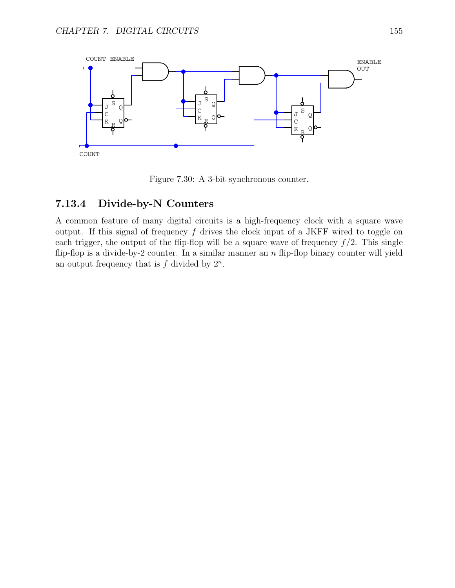

Figure 7.30: A 3-bit synchronous counter.

### **7.13.4 Divide-by-N Counters**

A common feature of many digital circuits is a high-frequency clock with a square wave output. If this signal of frequency  $f$  drives the clock input of a JKFF wired to toggle on each trigger, the output of the flip-flop will be a square wave of frequency  $f/2$ . This single flip-flop is a divide-by-2 counter. In a similar manner an  $n$  flip-flop binary counter will yield an output frequency that is  $f$  divided by  $2^n$ .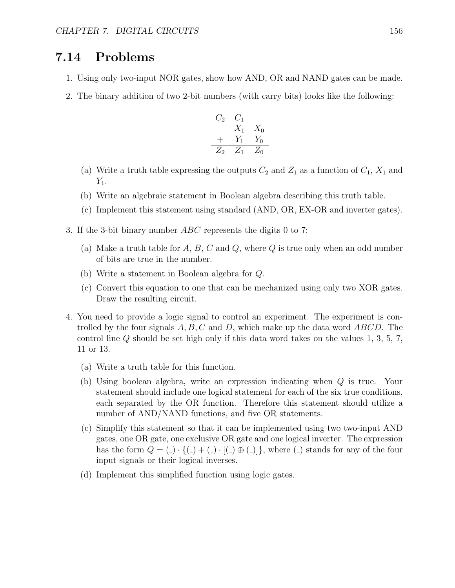### **7.14 Problems**

- 1. Using only two-input NOR gates, show how AND, OR and NAND gates can be made.
- 2. The binary addition of two 2-bit numbers (with carry bits) looks like the following:

$$
\begin{array}{ccc}\nC_2 & C_1 \\
X_1 & X_0 \\
+ & Y_1 & Y_0 \\
Z_2 & Z_1 & Z_0\n\end{array}
$$

- (a) Write a truth table expressing the outputs  $C_2$  and  $Z_1$  as a function of  $C_1$ ,  $X_1$  and  $Y_1$ .
- (b) Write an algebraic statement in Boolean algebra describing this truth table.
- (c) Implement this statement using standard (AND, OR, EX-OR and inverter gates).
- 3. If the 3-bit binary number ABC represents the digits 0 to 7:
	- (a) Make a truth table for  $A, B, C$  and  $Q$ , where  $Q$  is true only when an odd number of bits are true in the number.
	- (b) Write a statement in Boolean algebra for Q.
	- (c) Convert this equation to one that can be mechanized using only two XOR gates. Draw the resulting circuit.
- 4. You need to provide a logic signal to control an experiment. The experiment is controlled by the four signals  $A, B, C$  and D, which make up the data word  $ABCD$ . The control line  $Q$  should be set high only if this data word takes on the values 1, 3, 5, 7, 11 or 13.
	- (a) Write a truth table for this function.
	- (b) Using boolean algebra, write an expression indicating when Q is true. Your statement should include one logical statement for each of the six true conditions, each separated by the OR function. Therefore this statement should utilize a number of AND/NAND functions, and five OR statements.
	- (c) Simplify this statement so that it can be implemented using two two-input AND gates, one OR gate, one exclusive OR gate and one logical inverter. The expression has the form  $Q = (\underline{\ } ) \cdot \{ (\underline{\ } ) + (\underline{\ } ) \cdot [ (\underline{\ } ) \oplus (\underline{\ } ) ] \}$ , where  $(\underline{\ } )$  stands for any of the four input signals or their logical inverses.
	- (d) Implement this simplified function using logic gates.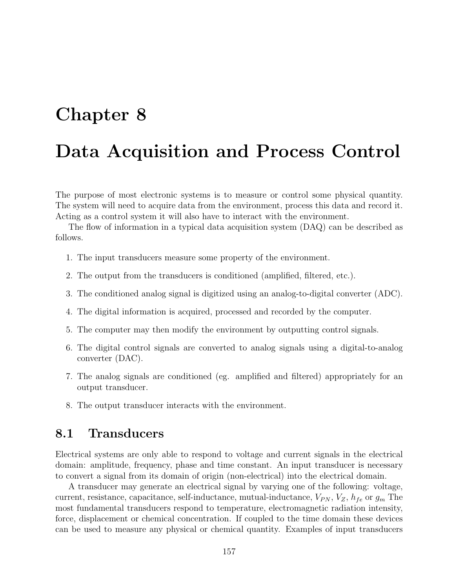# **Chapter 8**

# **Data Acquisition and Process Control**

The purpose of most electronic systems is to measure or control some physical quantity. The system will need to acquire data from the environment, process this data and record it. Acting as a control system it will also have to interact with the environment.

The flow of information in a typical data acquisition system (DAQ) can be described as follows.

- 1. The input transducers measure some property of the environment.
- 2. The output from the transducers is conditioned (amplified, filtered, etc.).
- 3. The conditioned analog signal is digitized using an analog-to-digital converter (ADC).
- 4. The digital information is acquired, processed and recorded by the computer.
- 5. The computer may then modify the environment by outputting control signals.
- 6. The digital control signals are converted to analog signals using a digital-to-analog converter (DAC).
- 7. The analog signals are conditioned (eg. amplified and filtered) appropriately for an output transducer.
- 8. The output transducer interacts with the environment.

## **8.1 Transducers**

Electrical systems are only able to respond to voltage and current signals in the electrical domain: amplitude, frequency, phase and time constant. An input transducer is necessary to convert a signal from its domain of origin (non-electrical) into the electrical domain.

A transducer may generate an electrical signal by varying one of the following: voltage, current, resistance, capacitance, self-inductance, mutual-inductance,  $V_{PN}$ ,  $V_Z$ ,  $h_{fe}$  or  $g_m$  The most fundamental transducers respond to temperature, electromagnetic radiation intensity, force, displacement or chemical concentration. If coupled to the time domain these devices can be used to measure any physical or chemical quantity. Examples of input transducers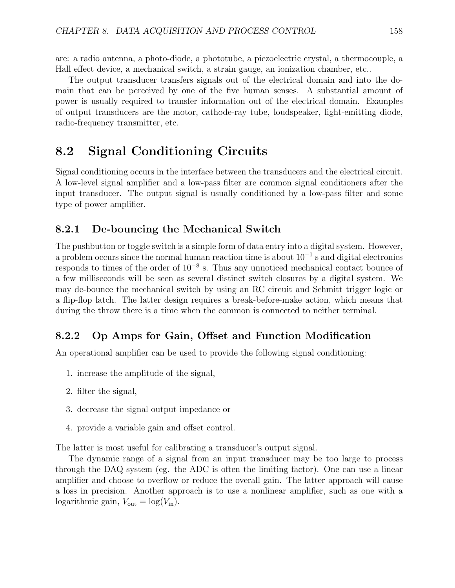are: a radio antenna, a photo-diode, a phototube, a piezoelectric crystal, a thermocouple, a Hall effect device, a mechanical switch, a strain gauge, an ionization chamber, etc..

The output transducer transfers signals out of the electrical domain and into the domain that can be perceived by one of the five human senses. A substantial amount of power is usually required to transfer information out of the electrical domain. Examples of output transducers are the motor, cathode-ray tube, loudspeaker, light-emitting diode, radio-frequency transmitter, etc.

# **8.2 Signal Conditioning Circuits**

Signal conditioning occurs in the interface between the transducers and the electrical circuit. A low-level signal amplifier and a low-pass filter are common signal conditioners after the input transducer. The output signal is usually conditioned by a low-pass filter and some type of power amplifier.

#### **8.2.1 De-bouncing the Mechanical Switch**

The pushbutton or toggle switch is a simple form of data entry into a digital system. However, a problem occurs since the normal human reaction time is about  $10^{-1}$  s and digital electronics responds to times of the order of 10−<sup>8</sup> s. Thus any unnoticed mechanical contact bounce of a few milliseconds will be seen as several distinct switch closures by a digital system. We may de-bounce the mechanical switch by using an RC circuit and Schmitt trigger logic or a flip-flop latch. The latter design requires a break-before-make action, which means that during the throw there is a time when the common is connected to neither terminal.

#### **8.2.2 Op Amps for Gain, Offset and Function Modification**

An operational amplifier can be used to provide the following signal conditioning:

- 1. increase the amplitude of the signal,
- 2. filter the signal,
- 3. decrease the signal output impedance or
- 4. provide a variable gain and offset control.

The latter is most useful for calibrating a transducer's output signal.

The dynamic range of a signal from an input transducer may be too large to process through the DAQ system (eg. the ADC is often the limiting factor). One can use a linear amplifier and choose to overflow or reduce the overall gain. The latter approach will cause a loss in precision. Another approach is to use a nonlinear amplifier, such as one with a logarithmic gain,  $V_{\text{out}} = \log(V_{\text{in}})$ .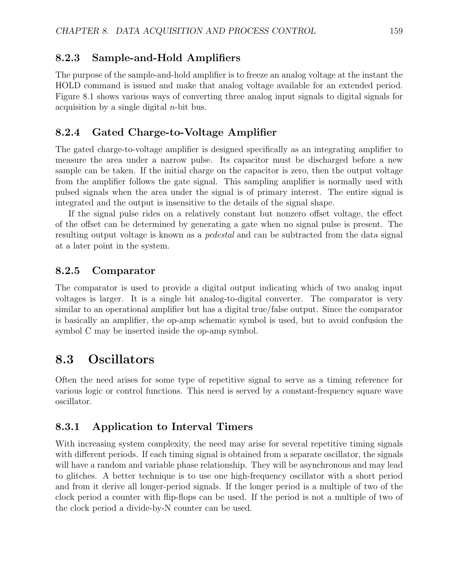### **8.2.3 Sample-and-Hold Amplifiers**

The purpose of the sample-and-hold amplifier is to freeze an analog voltage at the instant the HOLD command is issued and make that analog voltage available for an extended period. Figure 8.1 shows various ways of converting three analog input signals to digital signals for acquisition by a single digital  $n$ -bit bus.

### **8.2.4 Gated Charge-to-Voltage Amplifier**

The gated charge-to-voltage amplifier is designed specifically as an integrating amplifier to measure the area under a narrow pulse. Its capacitor must be discharged before a new sample can be taken. If the initial charge on the capacitor is zero, then the output voltage from the amplifier follows the gate signal. This sampling amplifier is normally used with pulsed signals when the area under the signal is of primary interest. The entire signal is integrated and the output is insensitive to the details of the signal shape.

If the signal pulse rides on a relatively constant but nonzero offset voltage, the effect of the offset can be determined by generating a gate when no signal pulse is present. The resulting output voltage is known as a pedestal and can be subtracted from the data signal at a later point in the system.

### **8.2.5 Comparator**

The comparator is used to provide a digital output indicating which of two analog input voltages is larger. It is a single bit analog-to-digital converter. The comparator is very similar to an operational amplifier but has a digital true/false output. Since the comparator is basically an amplifier, the op-amp schematic symbol is used, but to avoid confusion the symbol C may be inserted inside the op-amp symbol.

# **8.3 Oscillators**

Often the need arises for some type of repetitive signal to serve as a timing reference for various logic or control functions. This need is served by a constant-frequency square wave oscillator.

### **8.3.1 Application to Interval Timers**

With increasing system complexity, the need may arise for several repetitive timing signals with different periods. If each timing signal is obtained from a separate oscillator, the signals will have a random and variable phase relationship. They will be asynchronous and may lead to glitches. A better technique is to use one high-frequency oscillator with a short period and from it derive all longer-period signals. If the longer period is a multiple of two of the clock period a counter with flip-flops can be used. If the period is not a multiple of two of the clock period a divide-by-N counter can be used.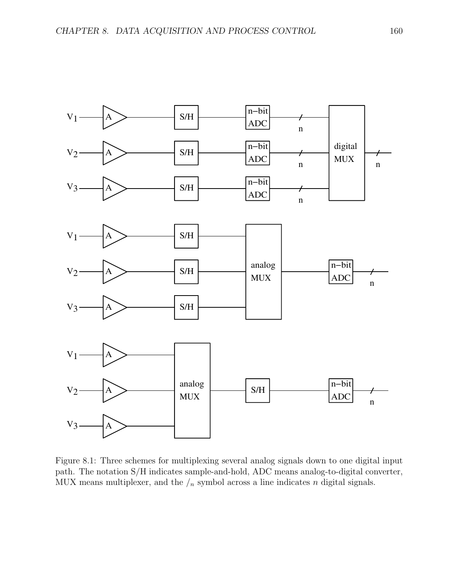

Figure 8.1: Three schemes for multiplexing several analog signals down to one digital input path. The notation S/H indicates sample-and-hold, ADC means analog-to-digital converter, MUX means multiplexer, and the  $/n$  symbol across a line indicates n digital signals.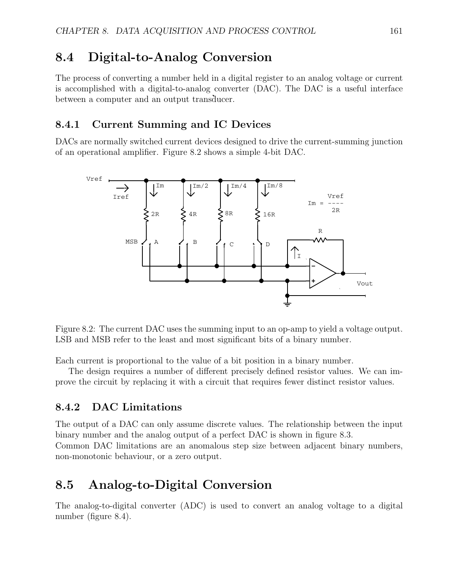# **8.4 Digital-to-Analog Conversion**

The process of converting a number held in a digital register to an analog voltage or current is accomplished with a digital-to-analog converter (DAC). The DAC is a useful interface between a computer and an output transducer.

#### **8.4.1 Current Summing and IC Devices**

DACs are normally switched current devices designed to drive the current-summing junction of an operational amplifier. Figure 8.2 shows a simple 4-bit DAC.



Figure 8.2: The current DAC uses the summing input to an op-amp to yield a voltage output. LSB and MSB refer to the least and most significant bits of a binary number.

Each current is proportional to the value of a bit position in a binary number.

The design requires a number of different precisely defined resistor values. We can improve the circuit by replacing it with a circuit that requires fewer distinct resistor values.

#### **8.4.2 DAC Limitations**

The output of a DAC can only assume discrete values. The relationship between the input binary number and the analog output of a perfect DAC is shown in figure 8.3. Common DAC limitations are an anomalous step size between adjacent binary numbers, non-monotonic behaviour, or a zero output.

# **8.5 Analog-to-Digital Conversion**

The analog-to-digital converter (ADC) is used to convert an analog voltage to a digital number (figure 8.4).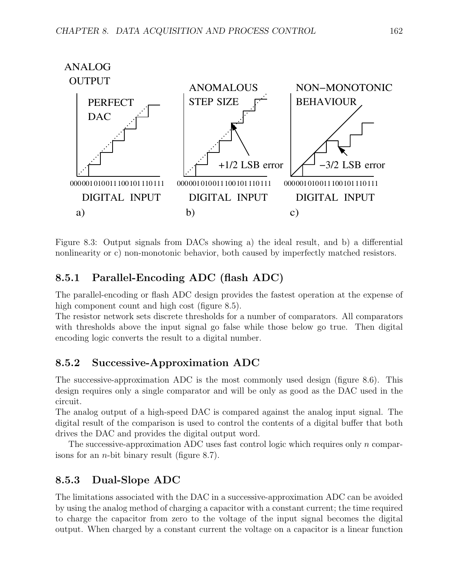

Figure 8.3: Output signals from DACs showing a) the ideal result, and b) a differential nonlinearity or c) non-monotonic behavior, both caused by imperfectly matched resistors.

### **8.5.1 Parallel-Encoding ADC (flash ADC)**

The parallel-encoding or flash ADC design provides the fastest operation at the expense of high component count and high cost (figure 8.5).

The resistor network sets discrete thresholds for a number of comparators. All comparators with thresholds above the input signal go false while those below go true. Then digital encoding logic converts the result to a digital number.

### **8.5.2 Successive-Approximation ADC**

The successive-approximation ADC is the most commonly used design (figure 8.6). This design requires only a single comparator and will be only as good as the DAC used in the circuit.

The analog output of a high-speed DAC is compared against the analog input signal. The digital result of the comparison is used to control the contents of a digital buffer that both drives the DAC and provides the digital output word.

The successive-approximation ADC uses fast control logic which requires only n comparisons for an *n*-bit binary result (figure 8.7).

### **8.5.3 Dual-Slope ADC**

The limitations associated with the DAC in a successive-approximation ADC can be avoided by using the analog method of charging a capacitor with a constant current; the time required to charge the capacitor from zero to the voltage of the input signal becomes the digital output. When charged by a constant current the voltage on a capacitor is a linear function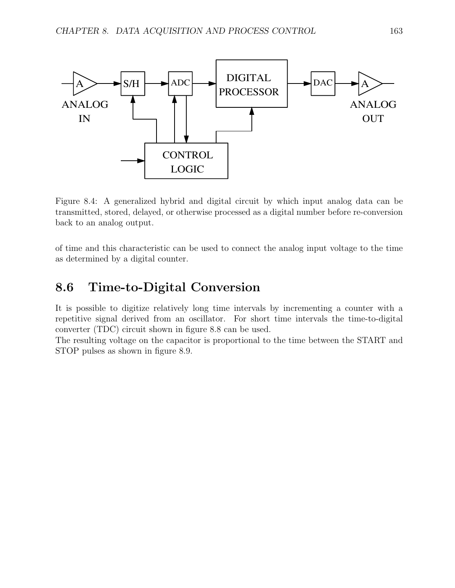

Figure 8.4: A generalized hybrid and digital circuit by which input analog data can be transmitted, stored, delayed, or otherwise processed as a digital number before re-conversion back to an analog output.

of time and this characteristic can be used to connect the analog input voltage to the time as determined by a digital counter.

# **8.6 Time-to-Digital Conversion**

It is possible to digitize relatively long time intervals by incrementing a counter with a repetitive signal derived from an oscillator. For short time intervals the time-to-digital converter (TDC) circuit shown in figure 8.8 can be used.

The resulting voltage on the capacitor is proportional to the time between the START and STOP pulses as shown in figure 8.9.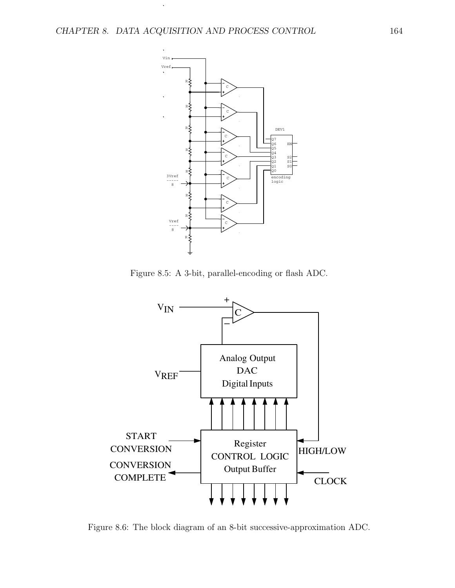$\ddot{\phantom{0}}$ 



Figure 8.5: A 3-bit, parallel-encoding or flash ADC.



Figure 8.6: The block diagram of an 8-bit successive-approximation ADC.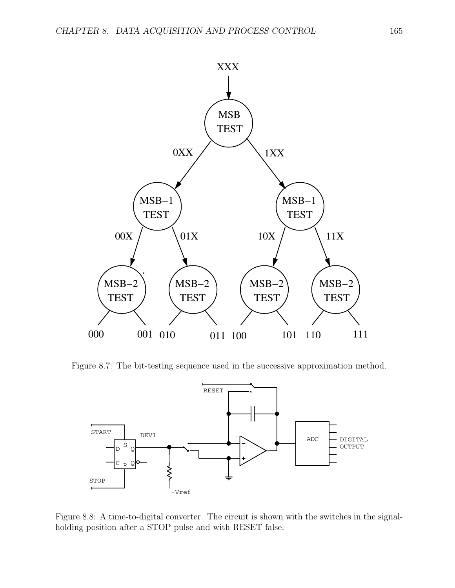

Figure 8.7: The bit-testing sequence used in the successive approximation method.



Figure 8.8: A time-to-digital converter. The circuit is shown with the switches in the signalholding position after a STOP pulse and with RESET false.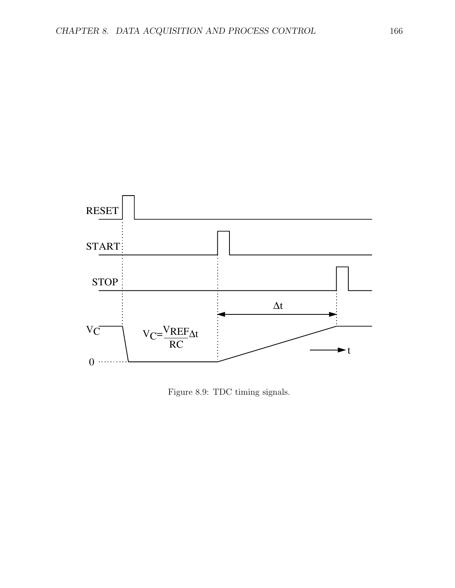

Figure 8.9: TDC timing signals.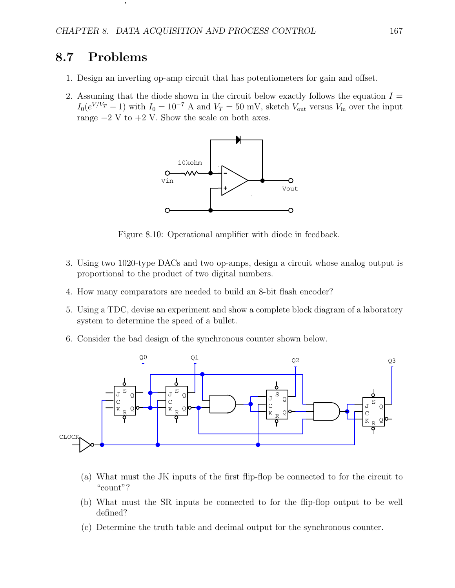# **8.7 Problems**

- 1. Design an inverting op-amp circuit that has potentiometers for gain and offset.
- 2. Assuming that the diode shown in the circuit below exactly follows the equation  $I =$  $I_0(e^{V/V_T}-1)$  with  $I_0=10^{-7}$  A and  $V_T=50$  mV, sketch  $V_{\text{out}}$  versus  $V_{\text{in}}$  over the input range  $-2$  V to  $+2$  V. Show the scale on both axes.



Figure 8.10: Operational amplifier with diode in feedback.

- 3. Using two 1020-type DACs and two op-amps, design a circuit whose analog output is proportional to the product of two digital numbers.
- 4. How many comparators are needed to build an 8-bit flash encoder?
- 5. Using a TDC, devise an experiment and show a complete block diagram of a laboratory system to determine the speed of a bullet.
- 6. Consider the bad design of the synchronous counter shown below.



- (a) What must the JK inputs of the first flip-flop be connected to for the circuit to "count"?
- (b) What must the SR inputs be connected to for the flip-flop output to be well defined?
- (c) Determine the truth table and decimal output for the synchronous counter.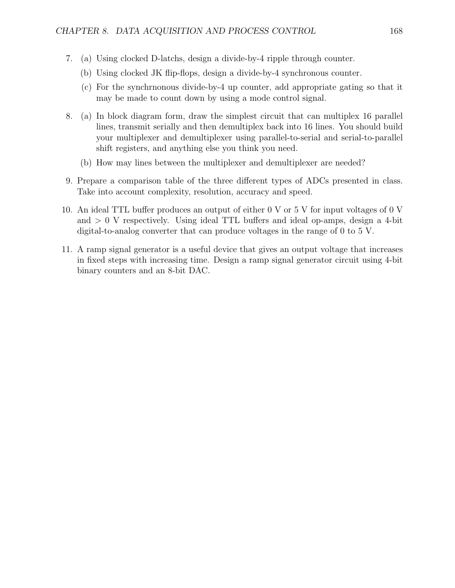- 7. (a) Using clocked D-latchs, design a divide-by-4 ripple through counter.
	- (b) Using clocked JK flip-flops, design a divide-by-4 synchronous counter.
	- (c) For the synchrnonous divide-by-4 up counter, add appropriate gating so that it may be made to count down by using a mode control signal.
- 8. (a) In block diagram form, draw the simplest circuit that can multiplex 16 parallel lines, transmit serially and then demultiplex back into 16 lines. You should build your multiplexer and demultiplexer using parallel-to-serial and serial-to-parallel shift registers, and anything else you think you need.
	- (b) How may lines between the multiplexer and demultiplexer are needed?
- 9. Prepare a comparison table of the three different types of ADCs presented in class. Take into account complexity, resolution, accuracy and speed.
- 10. An ideal TTL buffer produces an output of either 0 V or 5 V for input voltages of 0 V and  $> 0$  V respectively. Using ideal TTL buffers and ideal op-amps, design a 4-bit digital-to-analog converter that can produce voltages in the range of 0 to 5 V.
- 11. A ramp signal generator is a useful device that gives an output voltage that increases in fixed steps with increasing time. Design a ramp signal generator circuit using 4-bit binary counters and an 8-bit DAC.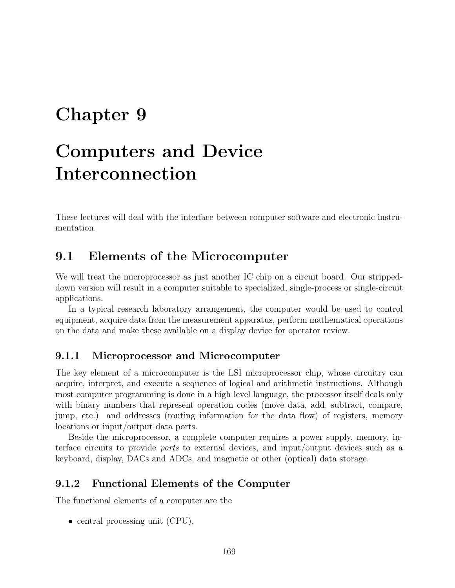# **Chapter 9**

# **Computers and Device Interconnection**

These lectures will deal with the interface between computer software and electronic instrumentation.

# **9.1 Elements of the Microcomputer**

We will treat the microprocessor as just another IC chip on a circuit board. Our strippeddown version will result in a computer suitable to specialized, single-process or single-circuit applications.

In a typical research laboratory arrangement, the computer would be used to control equipment, acquire data from the measurement apparatus, perform mathematical operations on the data and make these available on a display device for operator review.

#### **9.1.1 Microprocessor and Microcomputer**

The key element of a microcomputer is the LSI microprocessor chip, whose circuitry can acquire, interpret, and execute a sequence of logical and arithmetic instructions. Although most computer programming is done in a high level language, the processor itself deals only with binary numbers that represent operation codes (move data, add, subtract, compare, jump, etc.) and addresses (routing information for the data flow) of registers, memory locations or input/output data ports.

Beside the microprocessor, a complete computer requires a power supply, memory, interface circuits to provide ports to external devices, and input/output devices such as a keyboard, display, DACs and ADCs, and magnetic or other (optical) data storage.

#### **9.1.2 Functional Elements of the Computer**

The functional elements of a computer are the

• central processing unit (CPU),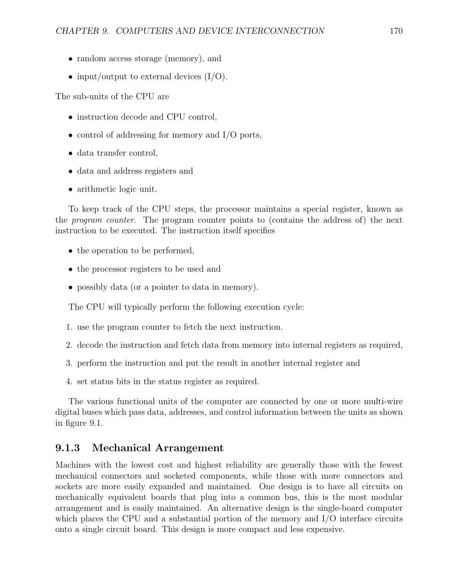- random access storage (memory), and
- input/output to external devices  $(I/O)$ .

The sub-units of the CPU are

- instruction decode and CPU control,
- control of addressing for memory and I/O ports,
- data transfer control,
- data and address registers and
- arithmetic logic unit.

To keep track of the CPU steps, the processor maintains a special register, known as the program counter. The program counter points to (contains the address of) the next instruction to be executed. The instruction itself specifies

- the operation to be performed.
- the processor registers to be used and
- possibly data (or a pointer to data in memory).

The CPU will typically perform the following execution cycle:

- 1. use the program counter to fetch the next instruction.
- 2. decode the instruction and fetch data from memory into internal registers as required,
- 3. perform the instruction and put the result in another internal register and
- 4. set status bits in the status register as required.

The various functional units of the computer are connected by one or more multi-wire digital buses which pass data, addresses, and control information between the units as shown in figure 9.1.

#### **9.1.3 Mechanical Arrangement**

Machines with the lowest cost and highest reliability are generally those with the fewest mechanical connectors and socketed components, while those with more connectors and sockets are more easily expanded and maintained. One design is to have all circuits on mechanically equivalent boards that plug into a common bus, this is the most modular arrangement and is easily maintained. An alternative design is the single-board computer which places the CPU and a substantial portion of the memory and I/O interface circuits onto a single circuit board. This design is more compact and less expensive.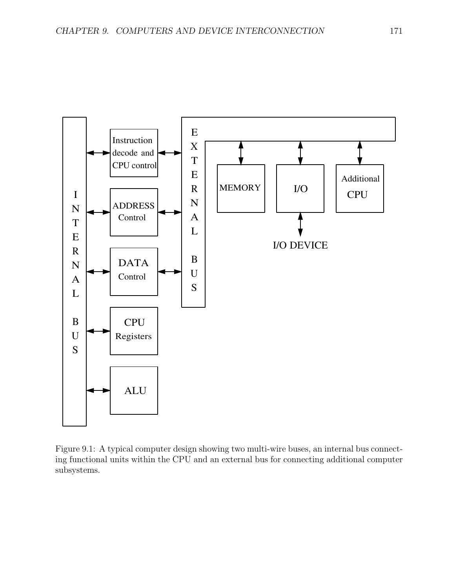

Figure 9.1: A typical computer design showing two multi-wire buses, an internal bus connecting functional units within the CPU and an external bus for connecting additional computer subsystems.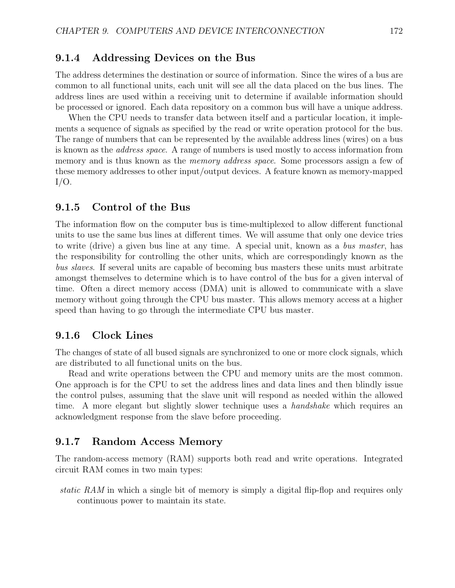#### **9.1.4 Addressing Devices on the Bus**

The address determines the destination or source of information. Since the wires of a bus are common to all functional units, each unit will see all the data placed on the bus lines. The address lines are used within a receiving unit to determine if available information should be processed or ignored. Each data repository on a common bus will have a unique address.

When the CPU needs to transfer data between itself and a particular location, it implements a sequence of signals as specified by the read or write operation protocol for the bus. The range of numbers that can be represented by the available address lines (wires) on a bus is known as the address space. A range of numbers is used mostly to access information from memory and is thus known as the *memory address space*. Some processors assign a few of these memory addresses to other input/output devices. A feature known as memory-mapped  $I/O$ .

#### **9.1.5 Control of the Bus**

The information flow on the computer bus is time-multiplexed to allow different functional units to use the same bus lines at different times. We will assume that only one device tries to write (drive) a given bus line at any time. A special unit, known as a bus master, has the responsibility for controlling the other units, which are correspondingly known as the bus slaves. If several units are capable of becoming bus masters these units must arbitrate amongst themselves to determine which is to have control of the bus for a given interval of time. Often a direct memory access (DMA) unit is allowed to communicate with a slave memory without going through the CPU bus master. This allows memory access at a higher speed than having to go through the intermediate CPU bus master.

#### **9.1.6 Clock Lines**

The changes of state of all bused signals are synchronized to one or more clock signals, which are distributed to all functional units on the bus.

Read and write operations between the CPU and memory units are the most common. One approach is for the CPU to set the address lines and data lines and then blindly issue the control pulses, assuming that the slave unit will respond as needed within the allowed time. A more elegant but slightly slower technique uses a *handshake* which requires an acknowledgment response from the slave before proceeding.

#### **9.1.7 Random Access Memory**

The random-access memory (RAM) supports both read and write operations. Integrated circuit RAM comes in two main types:

static RAM in which a single bit of memory is simply a digital flip-flop and requires only continuous power to maintain its state.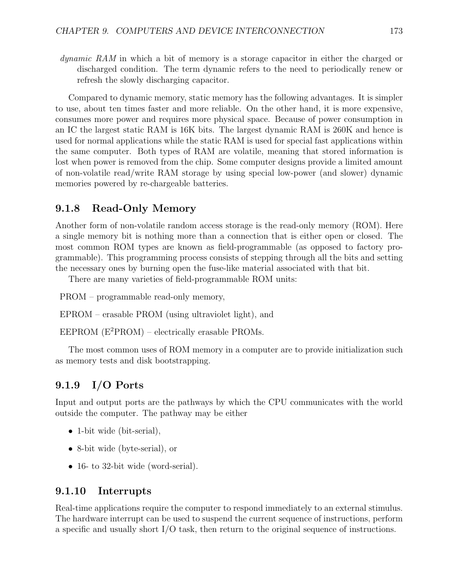dynamic RAM in which a bit of memory is a storage capacitor in either the charged or discharged condition. The term dynamic refers to the need to periodically renew or refresh the slowly discharging capacitor.

Compared to dynamic memory, static memory has the following advantages. It is simpler to use, about ten times faster and more reliable. On the other hand, it is more expensive, consumes more power and requires more physical space. Because of power consumption in an IC the largest static RAM is 16K bits. The largest dynamic RAM is 260K and hence is used for normal applications while the static RAM is used for special fast applications within the same computer. Both types of RAM are volatile, meaning that stored information is lost when power is removed from the chip. Some computer designs provide a limited amount of non-volatile read/write RAM storage by using special low-power (and slower) dynamic memories powered by re-chargeable batteries.

#### **9.1.8 Read-Only Memory**

Another form of non-volatile random access storage is the read-only memory (ROM). Here a single memory bit is nothing more than a connection that is either open or closed. The most common ROM types are known as field-programmable (as opposed to factory programmable). This programming process consists of stepping through all the bits and setting the necessary ones by burning open the fuse-like material associated with that bit.

There are many varieties of field-programmable ROM units:

PROM – programmable read-only memory,

EPROM – erasable PROM (using ultraviolet light), and

EEPROM  $(E^2PROM)$  – electrically erasable PROMs.

The most common uses of ROM memory in a computer are to provide initialization such as memory tests and disk bootstrapping.

### **9.1.9 I/O Ports**

Input and output ports are the pathways by which the CPU communicates with the world outside the computer. The pathway may be either

- 1-bit wide (bit-serial),
- 8-bit wide (byte-serial), or
- 16- to 32-bit wide (word-serial).

#### **9.1.10 Interrupts**

Real-time applications require the computer to respond immediately to an external stimulus. The hardware interrupt can be used to suspend the current sequence of instructions, perform a specific and usually short I/O task, then return to the original sequence of instructions.